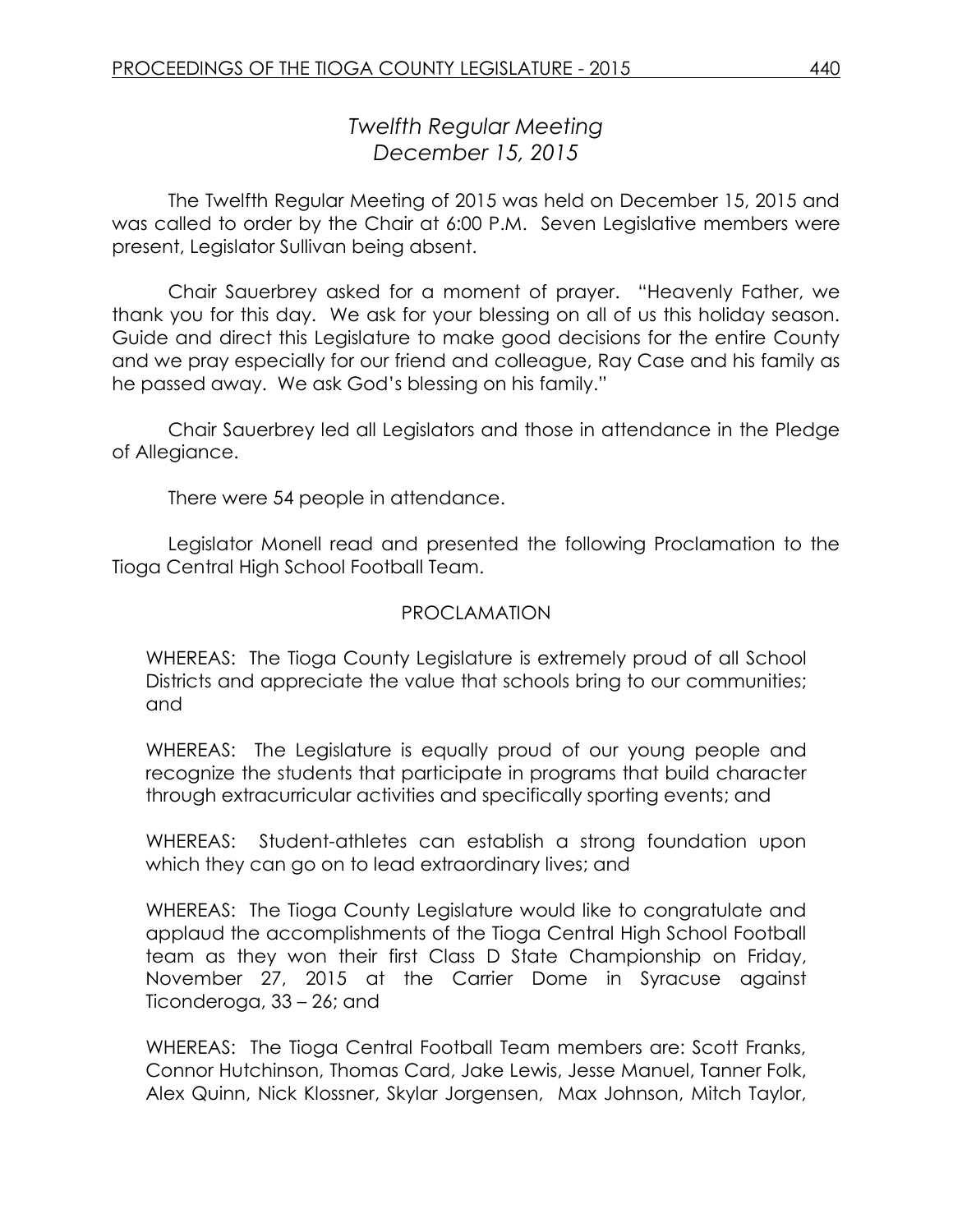# *Twelfth Regular Meeting December 15, 2015*

The Twelfth Regular Meeting of 2015 was held on December 15, 2015 and was called to order by the Chair at 6:00 P.M. Seven Legislative members were present, Legislator Sullivan being absent.

Chair Sauerbrey asked for a moment of prayer. "Heavenly Father, we thank you for this day. We ask for your blessing on all of us this holiday season. Guide and direct this Legislature to make good decisions for the entire County and we pray especially for our friend and colleague, Ray Case and his family as he passed away. We ask God's blessing on his family."

Chair Sauerbrey led all Legislators and those in attendance in the Pledge of Allegiance.

There were 54 people in attendance.

Legislator Monell read and presented the following Proclamation to the Tioga Central High School Football Team.

### PROCLAMATION

WHEREAS: The Tioga County Legislature is extremely proud of all School Districts and appreciate the value that schools bring to our communities; and

WHEREAS: The Legislature is equally proud of our young people and recognize the students that participate in programs that build character through extracurricular activities and specifically sporting events; and

WHEREAS: Student-athletes can establish a strong foundation upon which they can go on to lead extraordinary lives; and

WHEREAS: The Tioga County Legislature would like to congratulate and applaud the accomplishments of the Tioga Central High School Football team as they won their first Class D State Championship on Friday, November 27, 2015 at the Carrier Dome in Syracuse against Ticonderoga, 33 – 26; and

WHEREAS: The Tioga Central Football Team members are: Scott Franks, Connor Hutchinson, Thomas Card, Jake Lewis, Jesse Manuel, Tanner Folk, Alex Quinn, Nick Klossner, Skylar Jorgensen, Max Johnson, Mitch Taylor,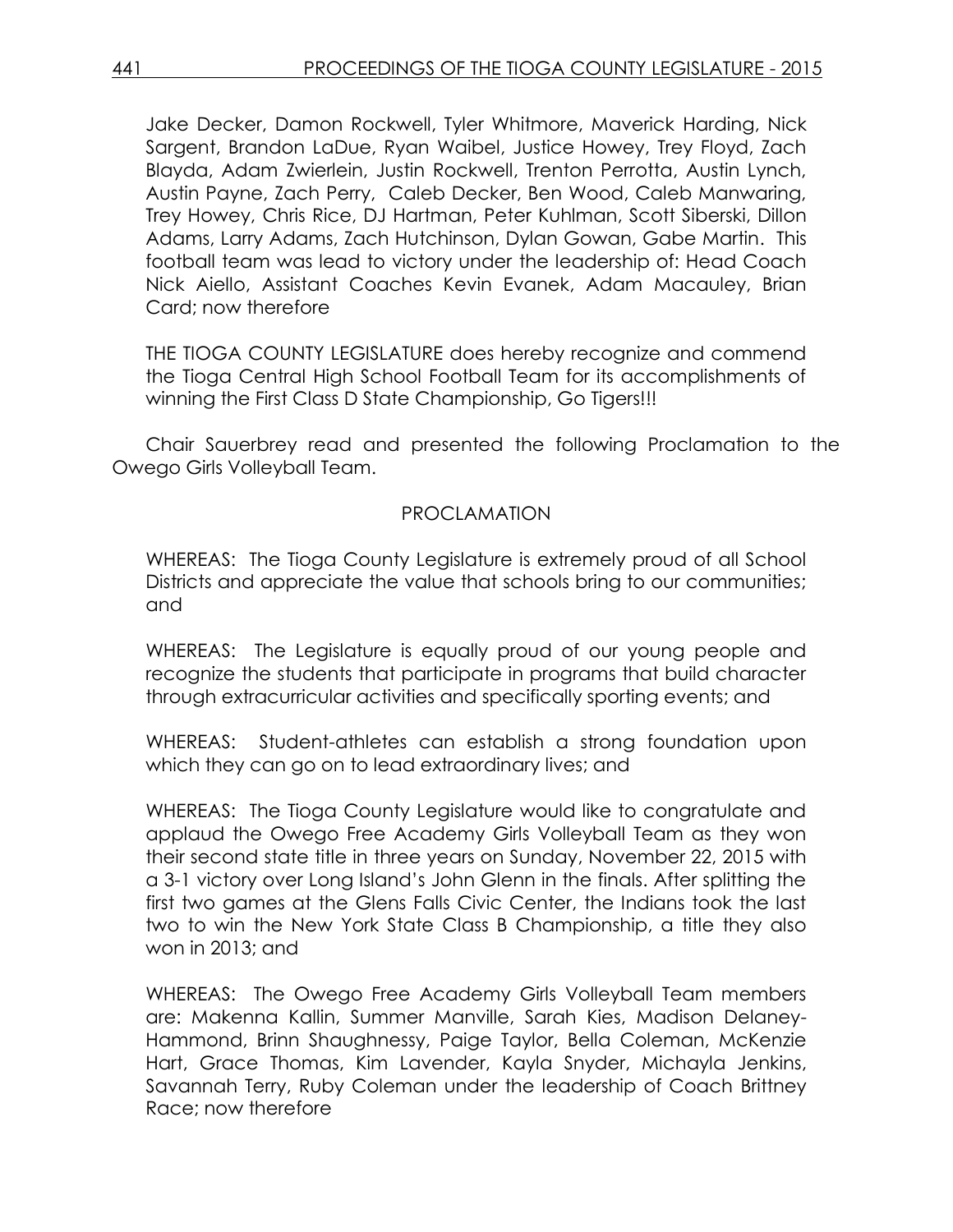Jake Decker, Damon Rockwell, Tyler Whitmore, Maverick Harding, Nick Sargent, Brandon LaDue, Ryan Waibel, Justice Howey, Trey Floyd, Zach Blayda, Adam Zwierlein, Justin Rockwell, Trenton Perrotta, Austin Lynch, Austin Payne, Zach Perry, Caleb Decker, Ben Wood, Caleb Manwaring, Trey Howey, Chris Rice, DJ Hartman, Peter Kuhlman, Scott Siberski, Dillon Adams, Larry Adams, Zach Hutchinson, Dylan Gowan, Gabe Martin. This football team was lead to victory under the leadership of: Head Coach Nick Aiello, Assistant Coaches Kevin Evanek, Adam Macauley, Brian Card; now therefore

THE TIOGA COUNTY LEGISLATURE does hereby recognize and commend the Tioga Central High School Football Team for its accomplishments of winning the First Class D State Championship, Go Tigers!!!

Chair Sauerbrey read and presented the following Proclamation to the Owego Girls Volleyball Team.

# PROCLAMATION

WHEREAS: The Tioga County Legislature is extremely proud of all School Districts and appreciate the value that schools bring to our communities; and

WHEREAS: The Legislature is equally proud of our young people and recognize the students that participate in programs that build character through extracurricular activities and specifically sporting events; and

WHEREAS: Student-athletes can establish a strong foundation upon which they can go on to lead extraordinary lives; and

WHEREAS: The Tioga County Legislature would like to congratulate and applaud the Owego Free Academy Girls Volleyball Team as they won their second state title in three years on Sunday, November 22, 2015 with a 3-1 victory over Long Island's John Glenn in the finals. After splitting the first two games at the Glens Falls Civic Center, the Indians took the last two to win the New York State Class B Championship, a title they also won in 2013; and

WHEREAS: The Owego Free Academy Girls Volleyball Team members are: Makenna Kallin, Summer Manville, Sarah Kies, Madison Delaney-Hammond, Brinn Shaughnessy, Paige Taylor, Bella Coleman, McKenzie Hart, Grace Thomas, Kim Lavender, Kayla Snyder, Michayla Jenkins, Savannah Terry, Ruby Coleman under the leadership of Coach Brittney Race; now therefore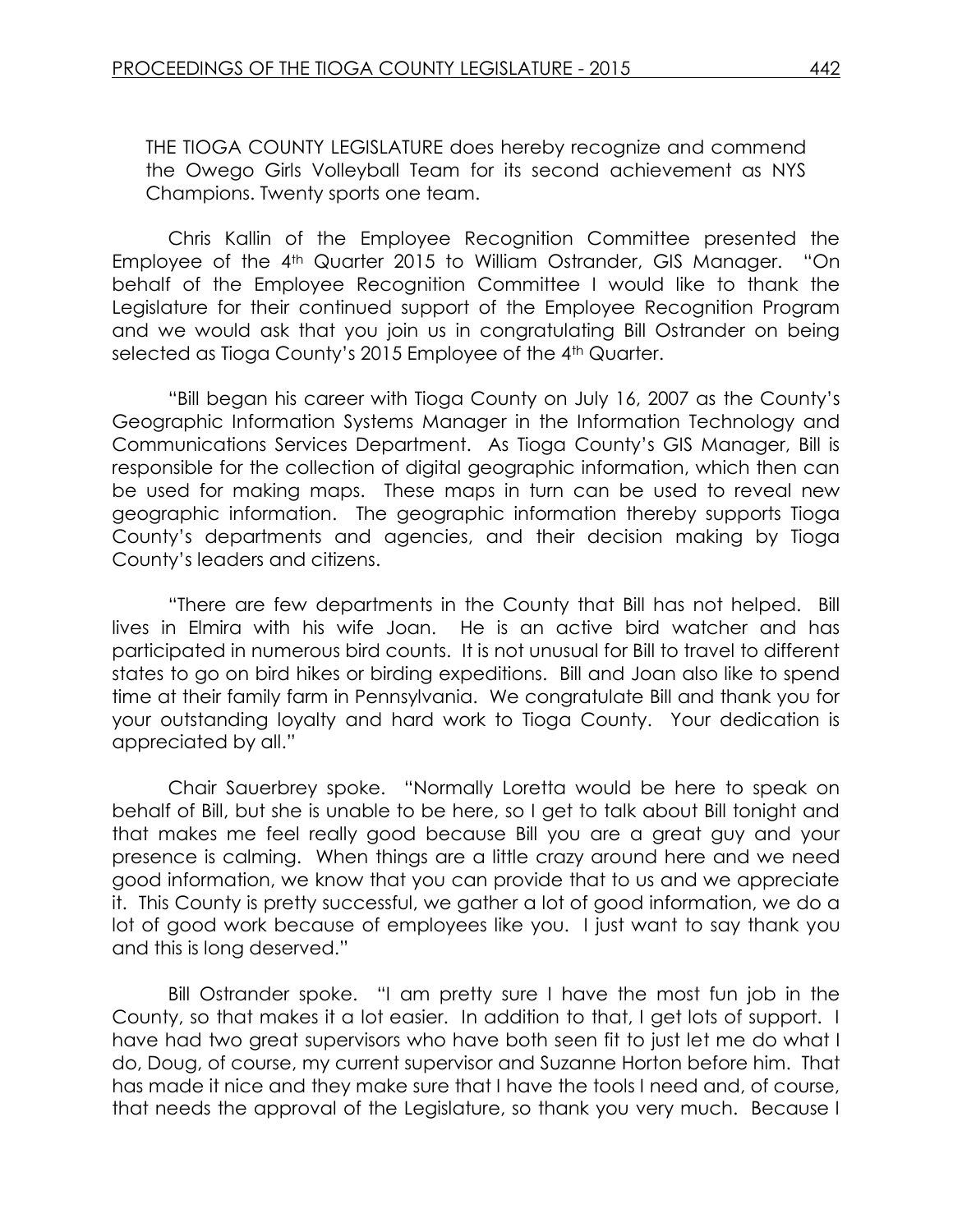THE TIOGA COUNTY LEGISLATURE does hereby recognize and commend the Owego Girls Volleyball Team for its second achievement as NYS Champions. Twenty sports one team.

Chris Kallin of the Employee Recognition Committee presented the Employee of the 4<sup>th</sup> Quarter 2015 to William Ostrander, GIS Manager. "On behalf of the Employee Recognition Committee I would like to thank the Legislature for their continued support of the Employee Recognition Program and we would ask that you join us in congratulating Bill Ostrander on being selected as Tioga County's 2015 Employee of the 4<sup>th</sup> Quarter.

"Bill began his career with Tioga County on July 16, 2007 as the County's Geographic Information Systems Manager in the Information Technology and Communications Services Department. As Tioga County's GIS Manager, Bill is responsible for the collection of digital geographic information, which then can be used for making maps. These maps in turn can be used to reveal new geographic information. The geographic information thereby supports Tioga County's departments and agencies, and their decision making by Tioga County's leaders and citizens.

"There are few departments in the County that Bill has not helped. Bill lives in Elmira with his wife Joan. He is an active bird watcher and has participated in numerous bird counts. It is not unusual for Bill to travel to different states to go on bird hikes or birding expeditions. Bill and Joan also like to spend time at their family farm in Pennsylvania. We congratulate Bill and thank you for your outstanding loyalty and hard work to Tioga County. Your dedication is appreciated by all."

Chair Sauerbrey spoke. "Normally Loretta would be here to speak on behalf of Bill, but she is unable to be here, so I get to talk about Bill tonight and that makes me feel really good because Bill you are a great guy and your presence is calming. When things are a little crazy around here and we need good information, we know that you can provide that to us and we appreciate it. This County is pretty successful, we gather a lot of good information, we do a lot of good work because of employees like you. I just want to say thank you and this is long deserved."

Bill Ostrander spoke. "I am pretty sure I have the most fun job in the County, so that makes it a lot easier. In addition to that, I get lots of support. I have had two great supervisors who have both seen fit to just let me do what I do, Doug, of course, my current supervisor and Suzanne Horton before him. That has made it nice and they make sure that I have the tools I need and, of course, that needs the approval of the Legislature, so thank you very much. Because I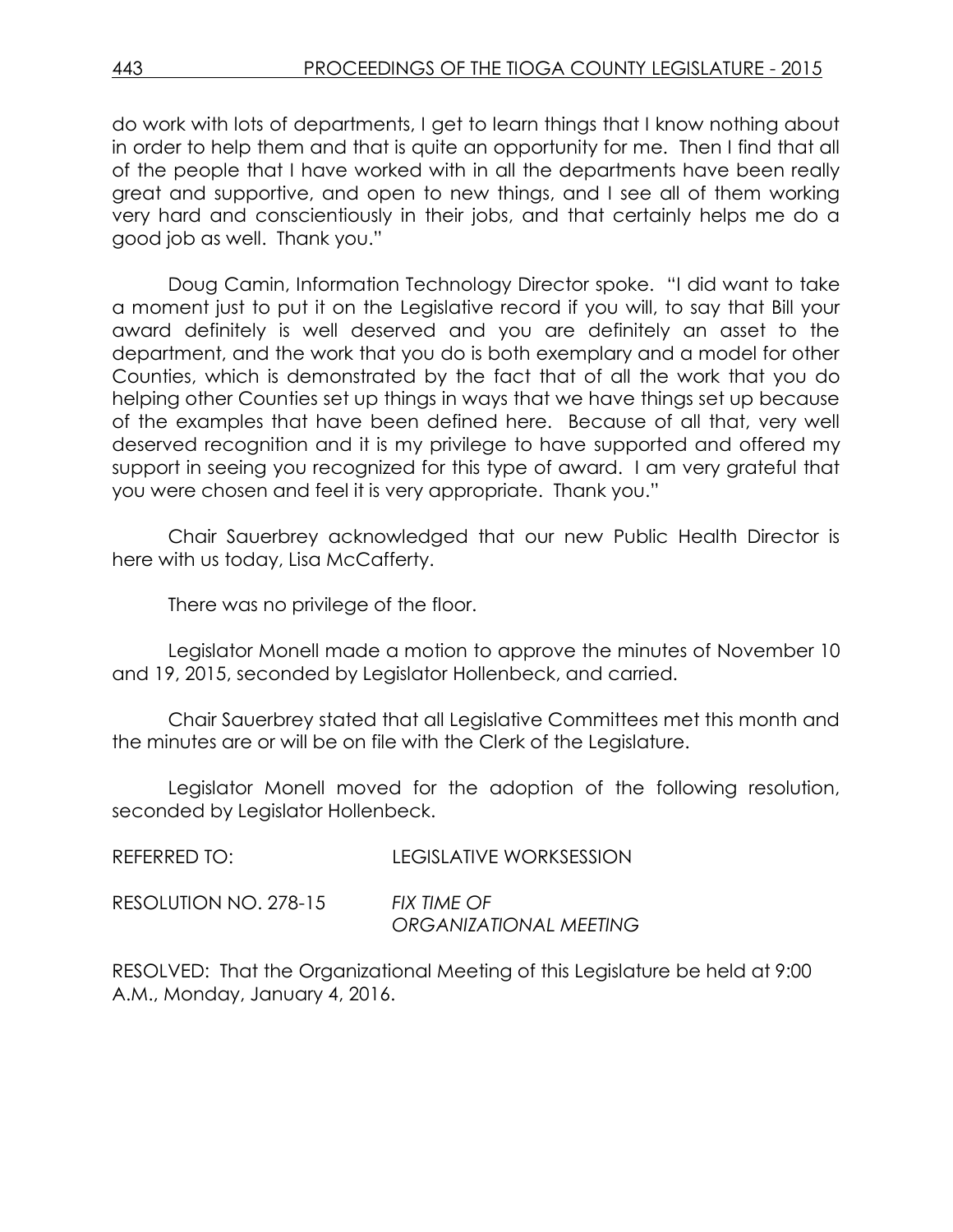do work with lots of departments, I get to learn things that I know nothing about in order to help them and that is quite an opportunity for me. Then I find that all of the people that I have worked with in all the departments have been really great and supportive, and open to new things, and I see all of them working very hard and conscientiously in their jobs, and that certainly helps me do a good job as well. Thank you."

Doug Camin, Information Technology Director spoke. "I did want to take a moment just to put it on the Legislative record if you will, to say that Bill your award definitely is well deserved and you are definitely an asset to the department, and the work that you do is both exemplary and a model for other Counties, which is demonstrated by the fact that of all the work that you do helping other Counties set up things in ways that we have things set up because of the examples that have been defined here. Because of all that, very well deserved recognition and it is my privilege to have supported and offered my support in seeing you recognized for this type of award. I am very grateful that you were chosen and feel it is very appropriate. Thank you."

Chair Sauerbrey acknowledged that our new Public Health Director is here with us today, Lisa McCafferty.

There was no privilege of the floor.

Legislator Monell made a motion to approve the minutes of November 10 and 19, 2015, seconded by Legislator Hollenbeck, and carried.

Chair Sauerbrey stated that all Legislative Committees met this month and the minutes are or will be on file with the Clerk of the Legislature.

Legislator Monell moved for the adoption of the following resolution, seconded by Legislator Hollenbeck.

| REFERRED TO:          | <b>LEGISLATIVE WORKSESSION</b>        |
|-----------------------|---------------------------------------|
| RESOLUTION NO. 278-15 | FIX TIME OF<br>ORGANIZATIONAL MEETING |

RESOLVED: That the Organizational Meeting of this Legislature be held at 9:00 A.M., Monday, January 4, 2016.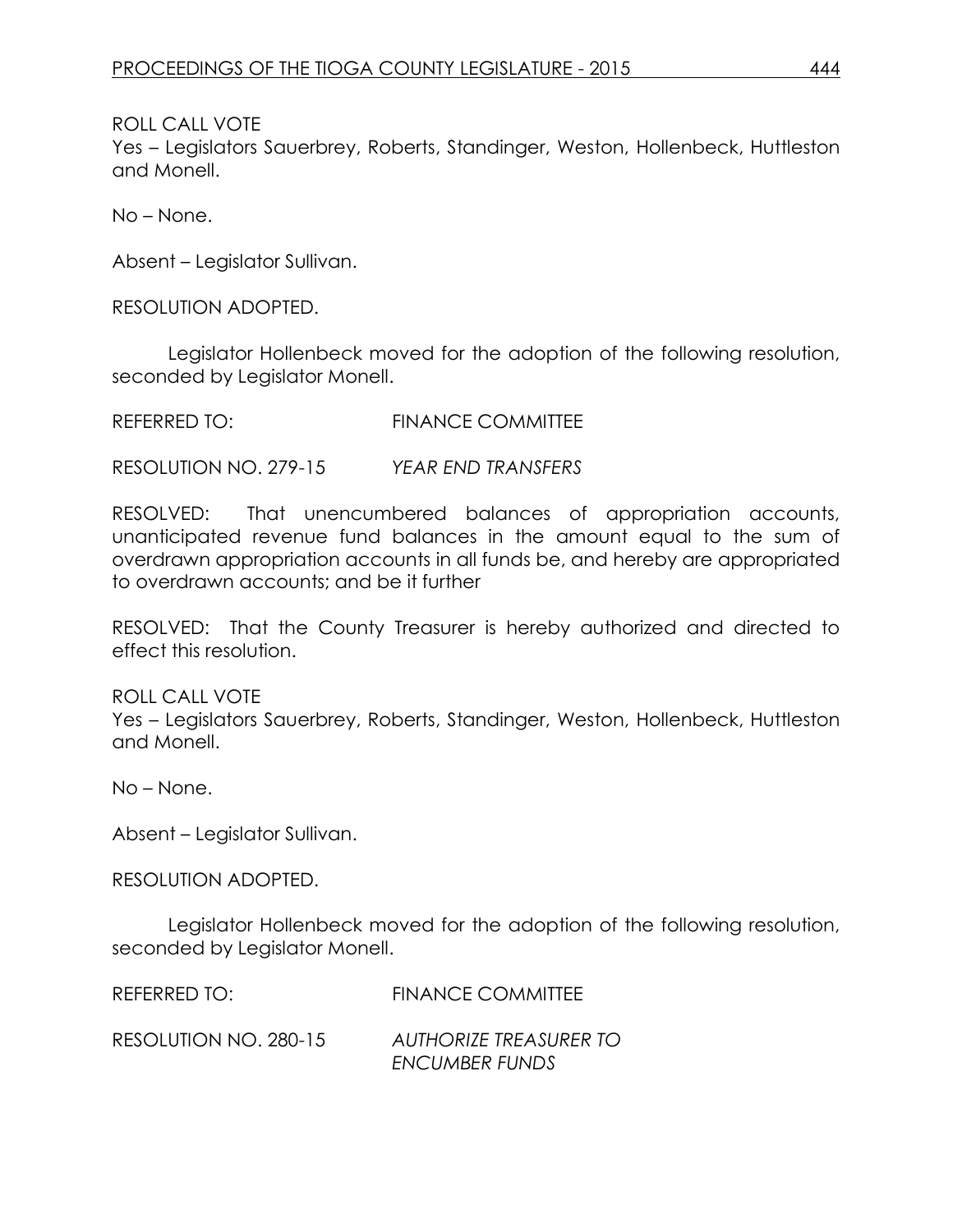Yes – Legislators Sauerbrey, Roberts, Standinger, Weston, Hollenbeck, Huttleston and Monell.

No – None.

Absent – Legislator Sullivan.

RESOLUTION ADOPTED.

Legislator Hollenbeck moved for the adoption of the following resolution, seconded by Legislator Monell.

REFERRED TO: FINANCE COMMITTEE

RESOLUTION NO. 279-15 *YEAR END TRANSFERS*

RESOLVED: That unencumbered balances of appropriation accounts, unanticipated revenue fund balances in the amount equal to the sum of overdrawn appropriation accounts in all funds be, and hereby are appropriated to overdrawn accounts; and be it further

RESOLVED: That the County Treasurer is hereby authorized and directed to effect this resolution.

ROLL CALL VOTE Yes – Legislators Sauerbrey, Roberts, Standinger, Weston, Hollenbeck, Huttleston and Monell.

No – None.

Absent – Legislator Sullivan.

RESOLUTION ADOPTED.

Legislator Hollenbeck moved for the adoption of the following resolution, seconded by Legislator Monell.

| REFERRED TO:          | <b>FINANCE COMMITTEE</b>      |
|-----------------------|-------------------------------|
| RESOLUTION NO. 280-15 | <b>AUTHORIZE TREASURER TO</b> |
|                       | <b>ENCUMBER FUNDS</b>         |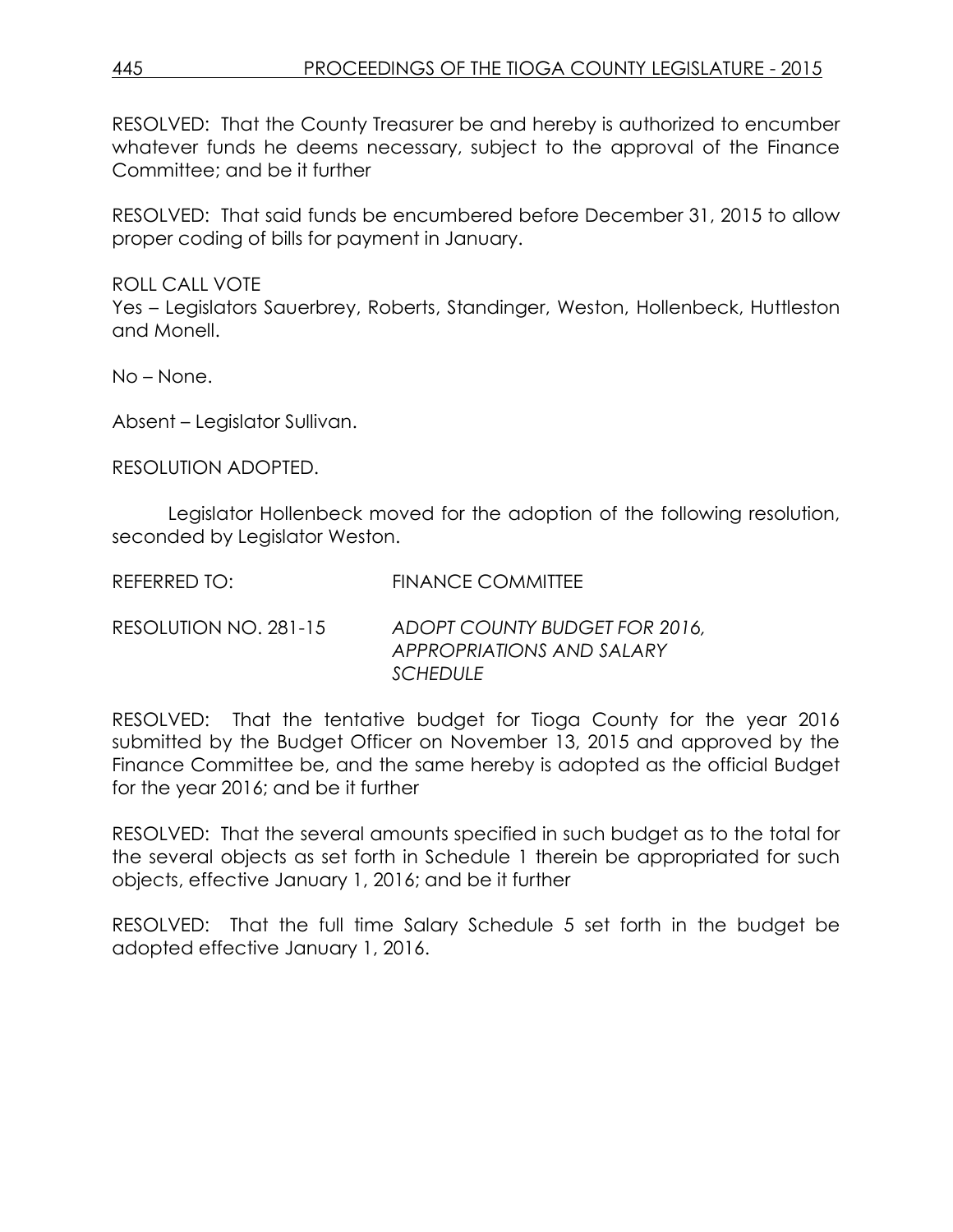RESOLVED: That the County Treasurer be and hereby is authorized to encumber whatever funds he deems necessary, subject to the approval of the Finance Committee; and be it further

RESOLVED: That said funds be encumbered before December 31, 2015 to allow proper coding of bills for payment in January.

ROLL CALL VOTE

Yes – Legislators Sauerbrey, Roberts, Standinger, Weston, Hollenbeck, Huttleston and Monell.

No – None.

Absent – Legislator Sullivan.

RESOLUTION ADOPTED.

Legislator Hollenbeck moved for the adoption of the following resolution, seconded by Legislator Weston.

REFERRED TO: FINANCE COMMITTEE

RESOLUTION NO. 281-15 *ADOPT COUNTY BUDGET FOR 2016, APPROPRIATIONS AND SALARY SCHEDULE*

RESOLVED: That the tentative budget for Tioga County for the year 2016 submitted by the Budget Officer on November 13, 2015 and approved by the Finance Committee be, and the same hereby is adopted as the official Budget for the year 2016; and be it further

RESOLVED: That the several amounts specified in such budget as to the total for the several objects as set forth in Schedule 1 therein be appropriated for such objects, effective January 1, 2016; and be it further

RESOLVED: That the full time Salary Schedule 5 set forth in the budget be adopted effective January 1, 2016.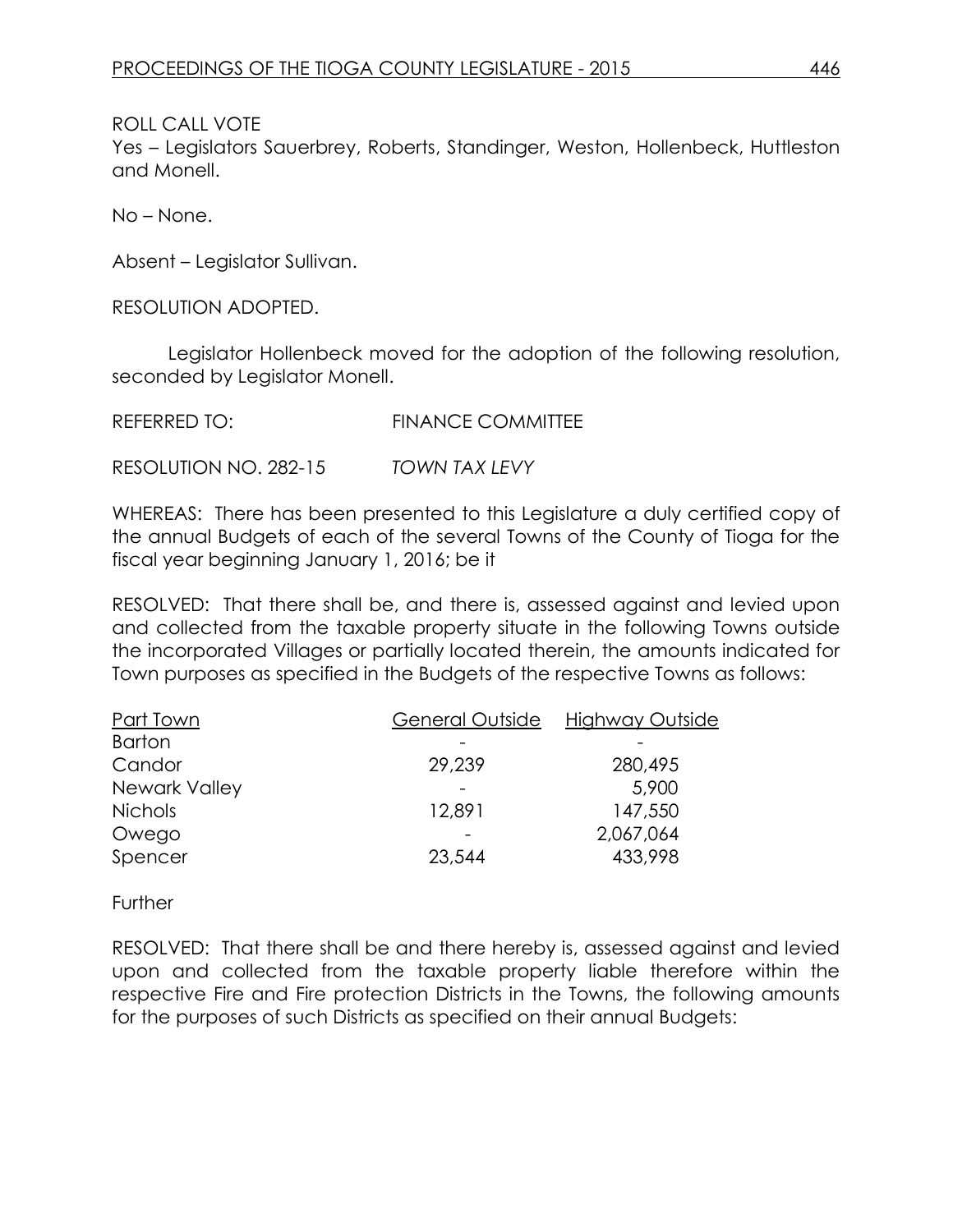Yes – Legislators Sauerbrey, Roberts, Standinger, Weston, Hollenbeck, Huttleston and Monell.

No – None.

Absent – Legislator Sullivan.

RESOLUTION ADOPTED.

Legislator Hollenbeck moved for the adoption of the following resolution, seconded by Legislator Monell.

REFERRED TO: FINANCE COMMITTEE

RESOLUTION NO. 282-15 *TOWN TAX LEVY*

WHEREAS: There has been presented to this Legislature a duly certified copy of the annual Budgets of each of the several Towns of the County of Tioga for the fiscal year beginning January 1, 2016; be it

RESOLVED: That there shall be, and there is, assessed against and levied upon and collected from the taxable property situate in the following Towns outside the incorporated Villages or partially located therein, the amounts indicated for Town purposes as specified in the Budgets of the respective Towns as follows:

| Part Town      | General Outside | Highway Outside |
|----------------|-----------------|-----------------|
| <b>Barton</b>  |                 |                 |
| Candor         | 29,239          | 280,495         |
| Newark Valley  |                 | 5,900           |
| <b>Nichols</b> | 12,891          | 147,550         |
| Owego          |                 | 2,067,064       |
| Spencer        | 23,544          | 433,998         |

**Further** 

RESOLVED: That there shall be and there hereby is, assessed against and levied upon and collected from the taxable property liable therefore within the respective Fire and Fire protection Districts in the Towns, the following amounts for the purposes of such Districts as specified on their annual Budgets: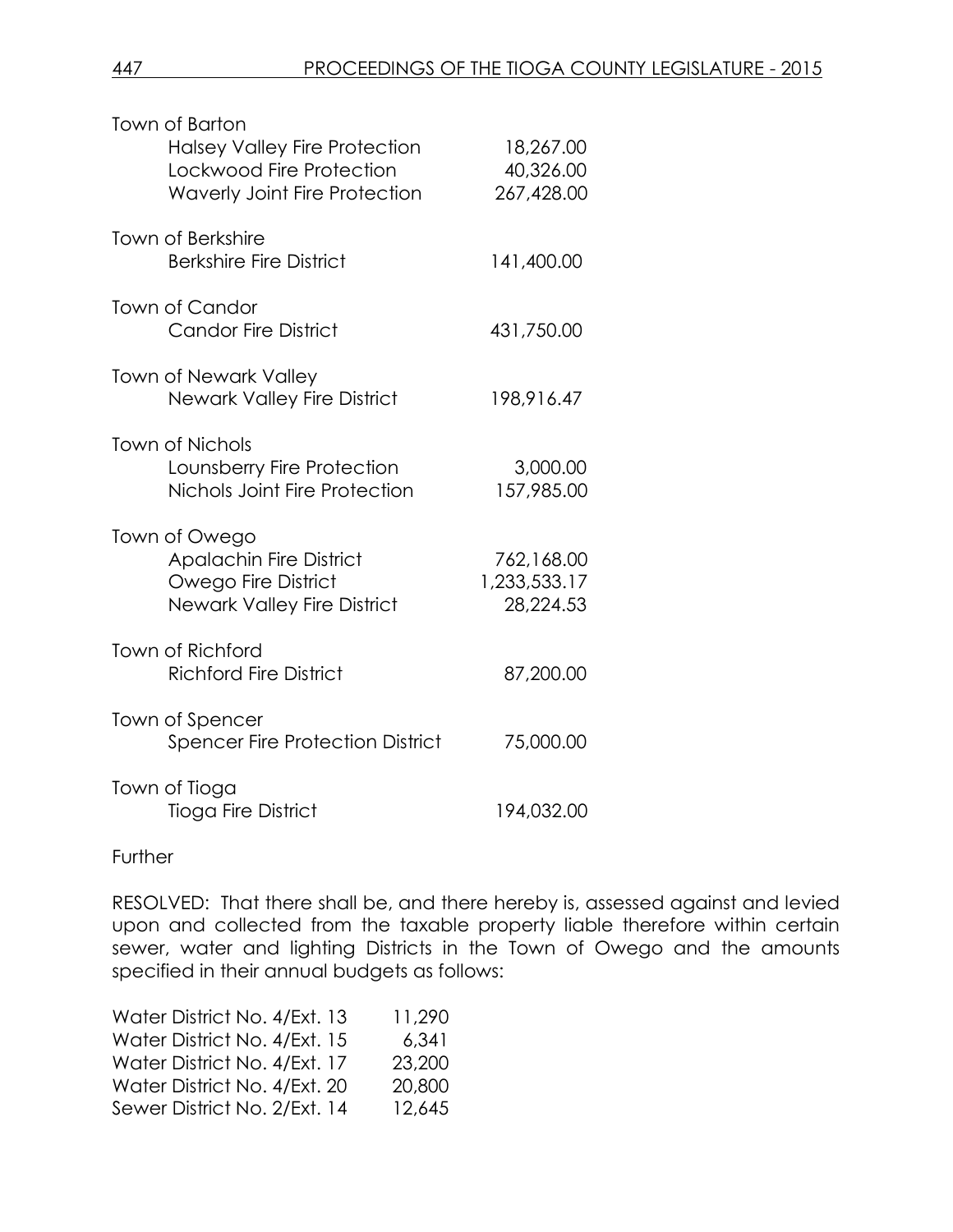| Town of Barton                                               |                            |
|--------------------------------------------------------------|----------------------------|
| <b>Halsey Valley Fire Protection</b>                         | 18,267.00                  |
| Lockwood Fire Protection                                     | 40,326.00                  |
| <b>Waverly Joint Fire Protection</b>                         | 267,428.00                 |
| <b>Town of Berkshire</b>                                     |                            |
| <b>Berkshire Fire District</b>                               | 141,400.00                 |
| Town of Candor                                               |                            |
| <b>Candor Fire District</b>                                  | 431,750.00                 |
| <b>Town of Newark Valley</b>                                 |                            |
| <b>Newark Valley Fire District</b>                           | 198,916.47                 |
| <b>Town of Nichols</b>                                       |                            |
| Lounsberry Fire Protection                                   | 3,000.00                   |
| Nichols Joint Fire Protection                                | 157,985.00                 |
| Town of Owego                                                |                            |
| <b>Apalachin Fire District</b><br><b>Owego Fire District</b> | 762,168.00<br>1,233,533.17 |
| <b>Newark Valley Fire District</b>                           | 28,224.53                  |
|                                                              |                            |
| Town of Richford                                             |                            |
| <b>Richford Fire District</b>                                | 87,200.00                  |
| Town of Spencer                                              |                            |
| <b>Spencer Fire Protection District</b>                      | 75,000.00                  |
| Town of Tioga                                                |                            |
| Tioga Fire District                                          | 194,032.00                 |

**Further** 

RESOLVED: That there shall be, and there hereby is, assessed against and levied upon and collected from the taxable property liable therefore within certain sewer, water and lighting Districts in the Town of Owego and the amounts specified in their annual budgets as follows:

| Water District No. 4/Ext. 13 | 11,290 |
|------------------------------|--------|
| Water District No. 4/Ext. 15 | 6.341  |
| Water District No. 4/Ext. 17 | 23,200 |
| Water District No. 4/Ext. 20 | 20,800 |
| Sewer District No. 2/Ext. 14 | 12,645 |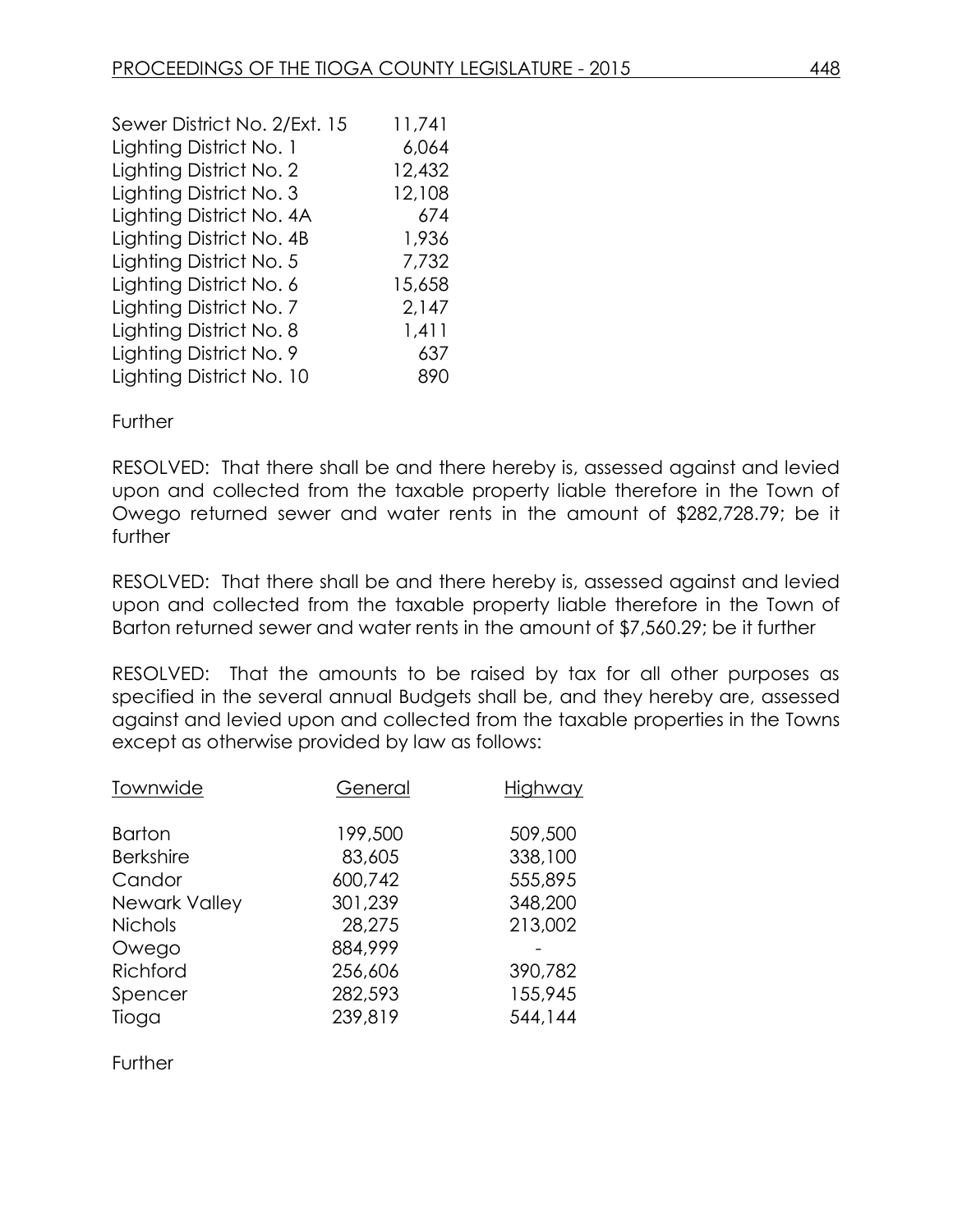| Sewer District No. 2/Ext. 15 | 11,741 |
|------------------------------|--------|
| Lighting District No. 1      | 6,064  |
| Lighting District No. 2      | 12,432 |
| Lighting District No. 3      | 12,108 |
| Lighting District No. 4A     | 674    |
| Lighting District No. 4B     | 1,936  |
| Lighting District No. 5      | 7,732  |
| Lighting District No. 6      | 15,658 |
| Lighting District No. 7      | 2,147  |
| Lighting District No. 8      | 1,411  |
| Lighting District No. 9      | 637    |
| Lighting District No. 10     | 890    |
|                              |        |

### **Further**

RESOLVED: That there shall be and there hereby is, assessed against and levied upon and collected from the taxable property liable therefore in the Town of Owego returned sewer and water rents in the amount of \$282,728.79; be it further

RESOLVED: That there shall be and there hereby is, assessed against and levied upon and collected from the taxable property liable therefore in the Town of Barton returned sewer and water rents in the amount of \$7,560.29; be it further

RESOLVED: That the amounts to be raised by tax for all other purposes as specified in the several annual Budgets shall be, and they hereby are, assessed against and levied upon and collected from the taxable properties in the Towns except as otherwise provided by law as follows:

| Townwide          | General            | Highway  |
|-------------------|--------------------|----------|
| <b>Barton</b>     | 199,500            | 509,500  |
| <b>Berkshire</b>  | 83,605             | 338,100  |
| Candor            | 600,742            | 555,895  |
| Newark Valley     | 301,239            | 348,200  |
| <b>Nichols</b>    | 28,275             | 213,002  |
| Owego<br>Richford | 884,999<br>256,606 | 390,782  |
| Spencer           | 282,593            | 155,945  |
| Tioga             | 239,819            | 544, 144 |

**Further**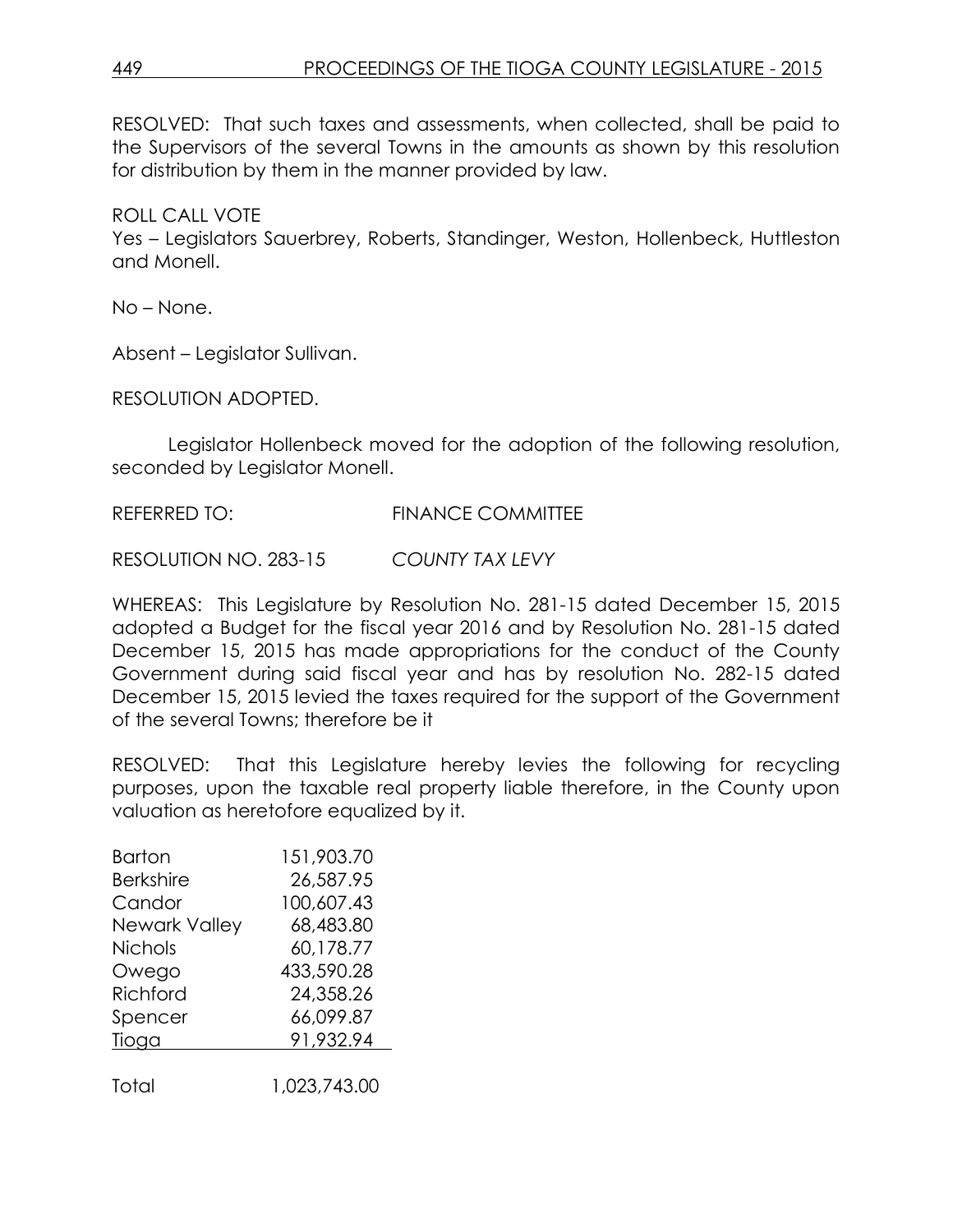RESOLVED: That such taxes and assessments, when collected, shall be paid to the Supervisors of the several Towns in the amounts as shown by this resolution for distribution by them in the manner provided by law.

ROLL CALL VOTE Yes – Legislators Sauerbrey, Roberts, Standinger, Weston, Hollenbeck, Huttleston and Monell.

No – None.

Absent – Legislator Sullivan.

RESOLUTION ADOPTED.

Legislator Hollenbeck moved for the adoption of the following resolution, seconded by Legislator Monell.

REFERRED TO: FINANCE COMMITTEE

RESOLUTION NO. 283-15 *COUNTY TAX LEVY*

WHEREAS: This Legislature by Resolution No. 281-15 dated December 15, 2015 adopted a Budget for the fiscal year 2016 and by Resolution No. 281-15 dated December 15, 2015 has made appropriations for the conduct of the County Government during said fiscal year and has by resolution No. 282-15 dated December 15, 2015 levied the taxes required for the support of the Government of the several Towns; therefore be it

RESOLVED: That this Legislature hereby levies the following for recycling purposes, upon the taxable real property liable therefore, in the County upon valuation as heretofore equalized by it.

| Barton           | 151,903.70   |
|------------------|--------------|
| <b>Berkshire</b> | 26,587.95    |
| Candor           | 100,607.43   |
| Newark Valley    | 68,483.80    |
| <b>Nichols</b>   | 60,178.77    |
| Owego            | 433,590.28   |
| Richford         | 24,358.26    |
| Spencer          | 66,099.87    |
| Tioga            | 91,932.94    |
|                  |              |
| Total            | 1,023,743.00 |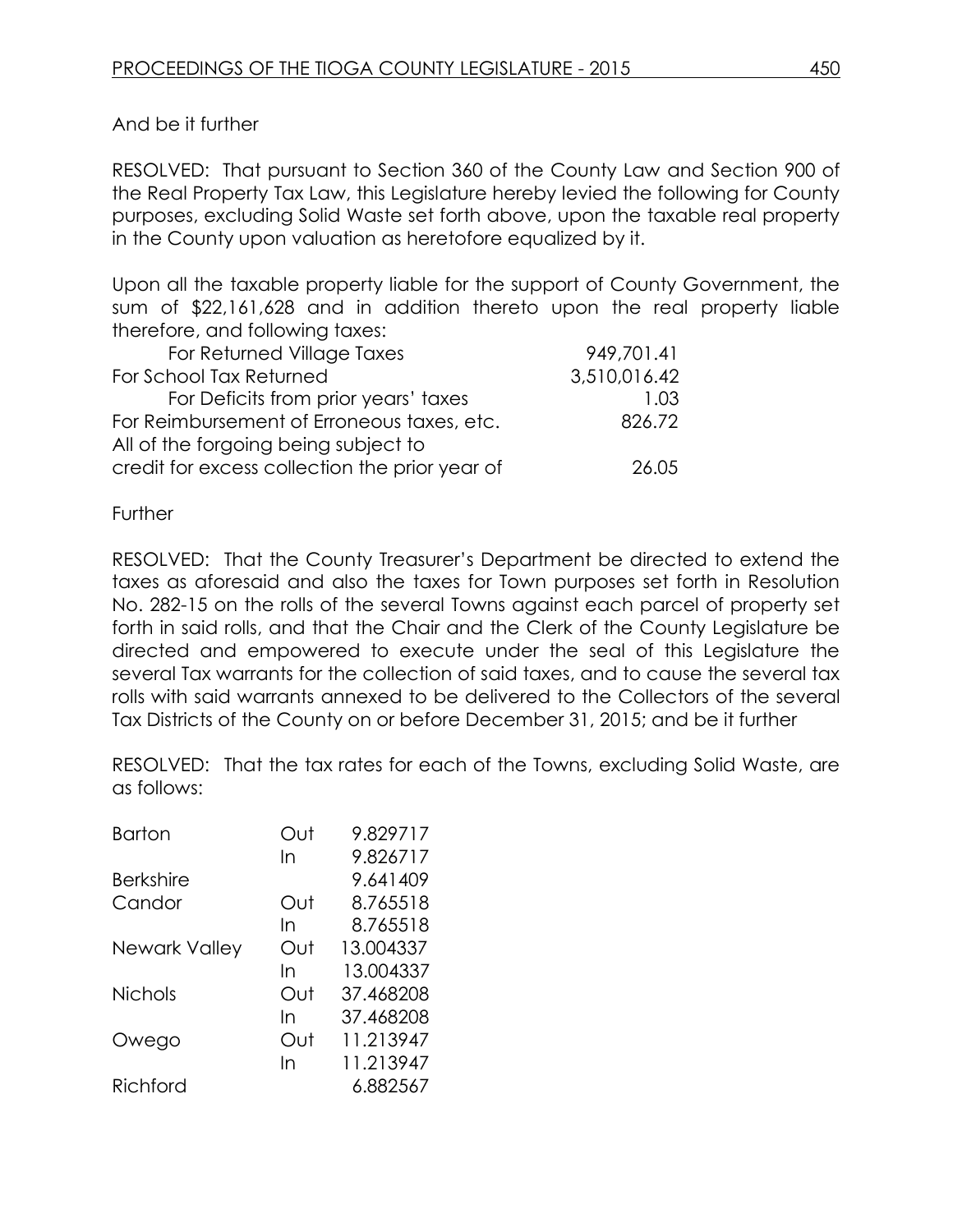# And be it further

RESOLVED: That pursuant to Section 360 of the County Law and Section 900 of the Real Property Tax Law, this Legislature hereby levied the following for County purposes, excluding Solid Waste set forth above, upon the taxable real property in the County upon valuation as heretofore equalized by it.

Upon all the taxable property liable for the support of County Government, the sum of \$22,161,628 and in addition thereto upon the real property liable therefore, and following taxes:

| For Returned Village Taxes                     | 949,701.41   |
|------------------------------------------------|--------------|
| For School Tax Returned                        | 3,510,016.42 |
| For Deficits from prior years' taxes           | 1.03         |
| For Reimbursement of Erroneous taxes, etc.     | 826.72       |
| All of the forgoing being subject to           |              |
| credit for excess collection the prior year of | 26.05        |

**Further** 

RESOLVED: That the County Treasurer's Department be directed to extend the taxes as aforesaid and also the taxes for Town purposes set forth in Resolution No. 282-15 on the rolls of the several Towns against each parcel of property set forth in said rolls, and that the Chair and the Clerk of the County Legislature be directed and empowered to execute under the seal of this Legislature the several Tax warrants for the collection of said taxes, and to cause the several tax rolls with said warrants annexed to be delivered to the Collectors of the several Tax Districts of the County on or before December 31, 2015; and be it further

RESOLVED: That the tax rates for each of the Towns, excluding Solid Waste, are as follows:

| <b>Barton</b>    | ∩ut | 9.829717  |
|------------------|-----|-----------|
|                  | In  | 9.826717  |
| <b>Berkshire</b> |     | 9.641409  |
| Candor           | Out | 8.765518  |
|                  | In  | 8.765518  |
| Newark Valley    | Out | 13.004337 |
|                  | In  | 13.004337 |
| <b>Nichols</b>   | Out | 37.468208 |
|                  | In  | 37.468208 |
| Owego            | Out | 11.213947 |
|                  | In  | 11.213947 |
| Richford         |     | 6.882567  |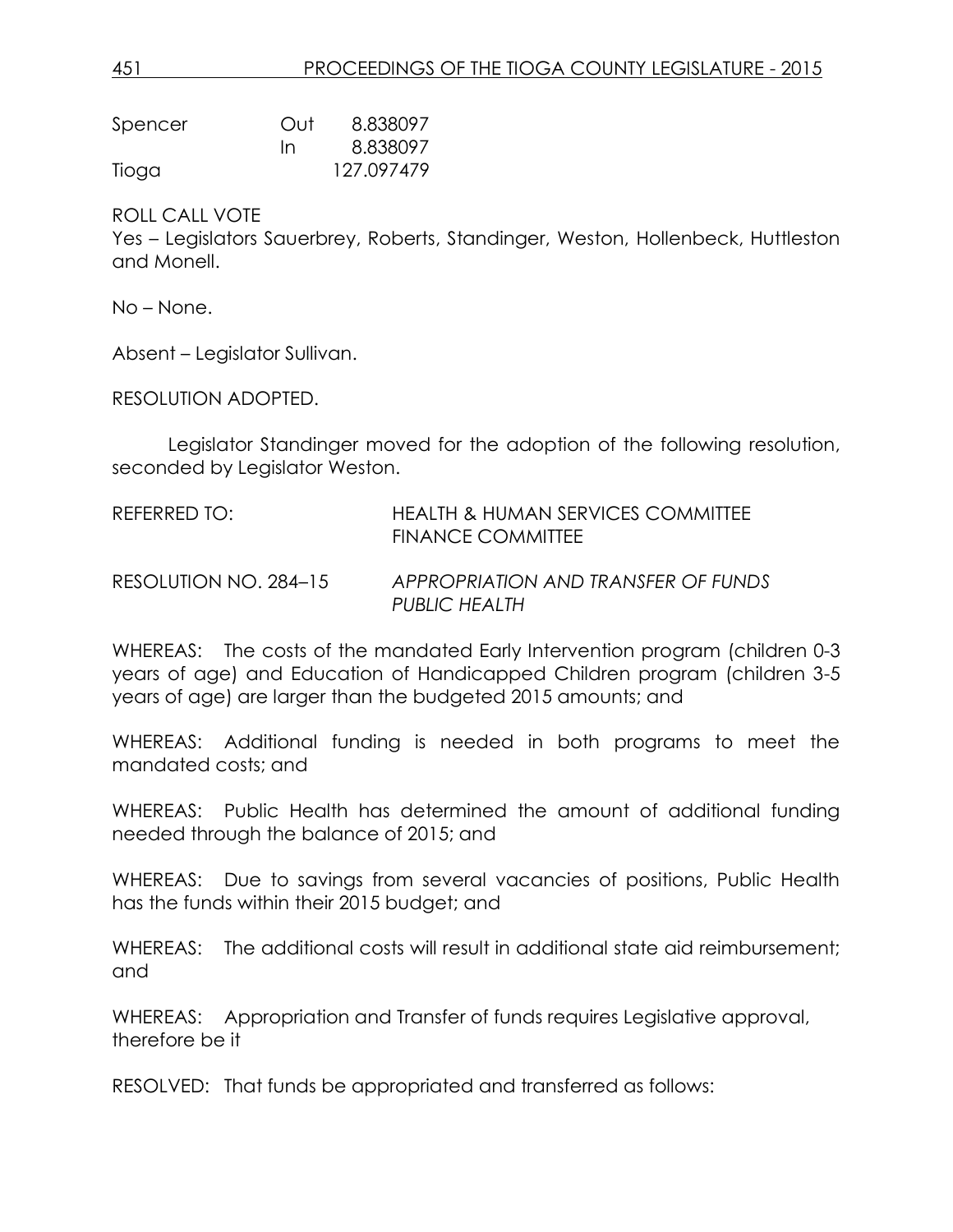| Spencer | Out | 8.838097   |
|---------|-----|------------|
|         | In  | 8.838097   |
| Tioga   |     | 127.097479 |

Yes – Legislators Sauerbrey, Roberts, Standinger, Weston, Hollenbeck, Huttleston and Monell.

No – None.

Absent – Legislator Sullivan.

RESOLUTION ADOPTED.

Legislator Standinger moved for the adoption of the following resolution, seconded by Legislator Weston.

| REFERRED TO:          | HEALTH & HUMAN SERVICES COMMITTEE<br><b>FINANCE COMMITTEE</b> |
|-----------------------|---------------------------------------------------------------|
| RESOLUTION NO. 284–15 | APPROPRIATION AND TRANSFER OF FUNDS<br><b>PUBLIC HEALTH</b>   |

WHEREAS: The costs of the mandated Early Intervention program (children 0-3) years of age) and Education of Handicapped Children program (children 3-5 years of age) are larger than the budgeted 2015 amounts; and

WHEREAS: Additional funding is needed in both programs to meet the mandated costs; and

WHEREAS: Public Health has determined the amount of additional funding needed through the balance of 2015; and

WHEREAS: Due to savings from several vacancies of positions, Public Health has the funds within their 2015 budget; and

WHEREAS: The additional costs will result in additional state aid reimbursement; and

WHEREAS: Appropriation and Transfer of funds requires Legislative approval, therefore be it

RESOLVED: That funds be appropriated and transferred as follows: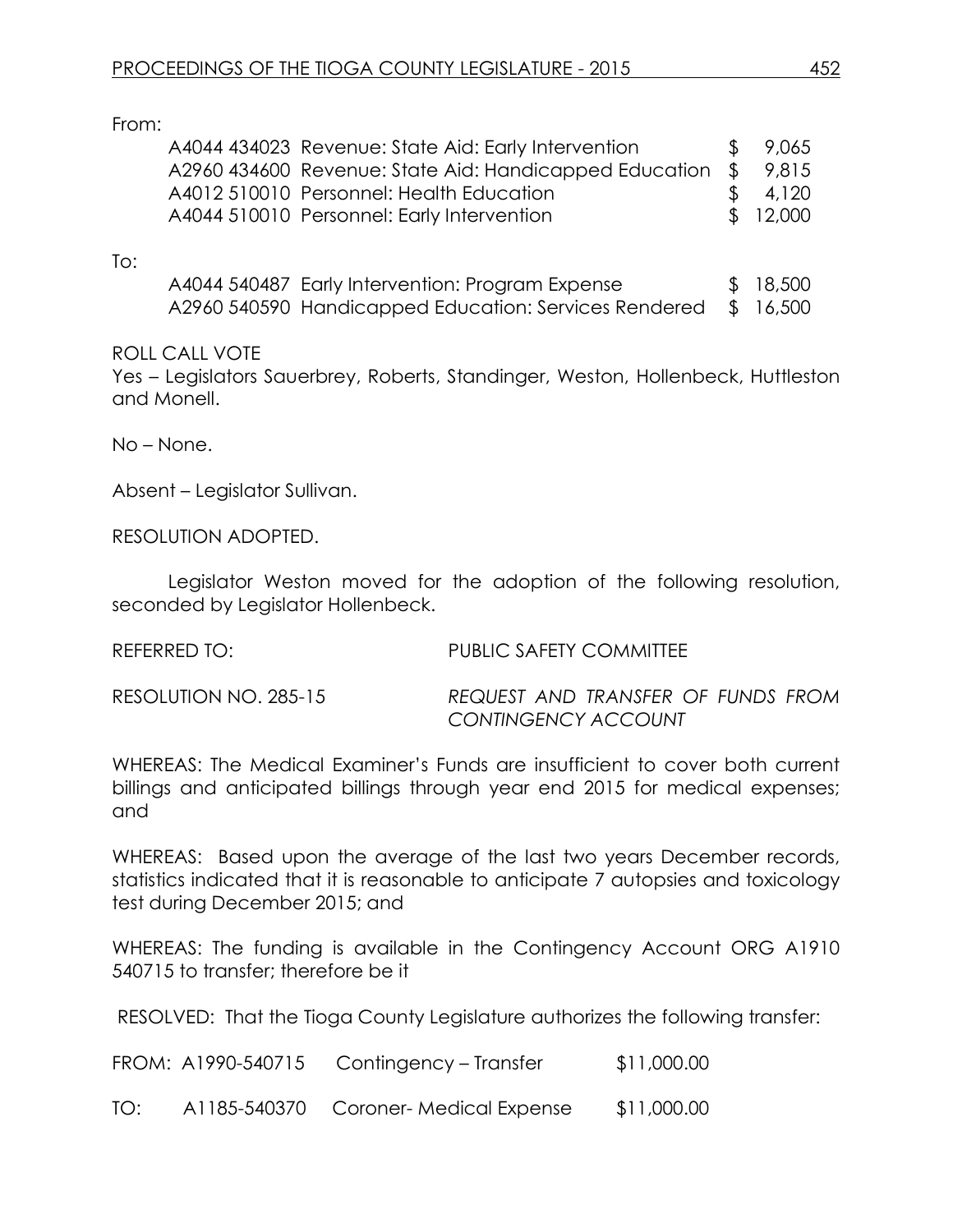From:

| A4044 434023 Revenue: State Aid: Early Intervention            | \$9.065             |
|----------------------------------------------------------------|---------------------|
| A2960 434600 Revenue: State Aid: Handicapped Education \$9,815 |                     |
| A4012 510010 Personnel: Health Education                       | $\frac{1}{2}$ 4.120 |
| A4044 510010 Personnel: Early Intervention                     | \$12,000            |
|                                                                |                     |

To:

| A4044 540487 Early Intervention: Program Expense                | \$ 18,500 |
|-----------------------------------------------------------------|-----------|
| A2960 540590 Handicapped Education: Services Rendered \$ 16,500 |           |

#### ROLL CALL VOTE

Yes – Legislators Sauerbrey, Roberts, Standinger, Weston, Hollenbeck, Huttleston and Monell.

No – None.

Absent – Legislator Sullivan.

RESOLUTION ADOPTED.

Legislator Weston moved for the adoption of the following resolution, seconded by Legislator Hollenbeck.

REFERRED TO: PUBLIC SAFETY COMMITTEE

RESOLUTION NO. 285-15 *REQUEST AND TRANSFER OF FUNDS FROM CONTINGENCY ACCOUNT* 

WHEREAS: The Medical Examiner's Funds are insufficient to cover both current billings and anticipated billings through year end 2015 for medical expenses; and

WHEREAS: Based upon the average of the last two years December records, statistics indicated that it is reasonable to anticipate 7 autopsies and toxicology test during December 2015; and

WHEREAS: The funding is available in the Contingency Account ORG A1910 540715 to transfer; therefore be it

RESOLVED: That the Tioga County Legislature authorizes the following transfer:

FROM: A1990-540715 Contingency – Transfer \$11,000.00

TO: A1185-540370 Coroner- Medical Expense \$11,000.00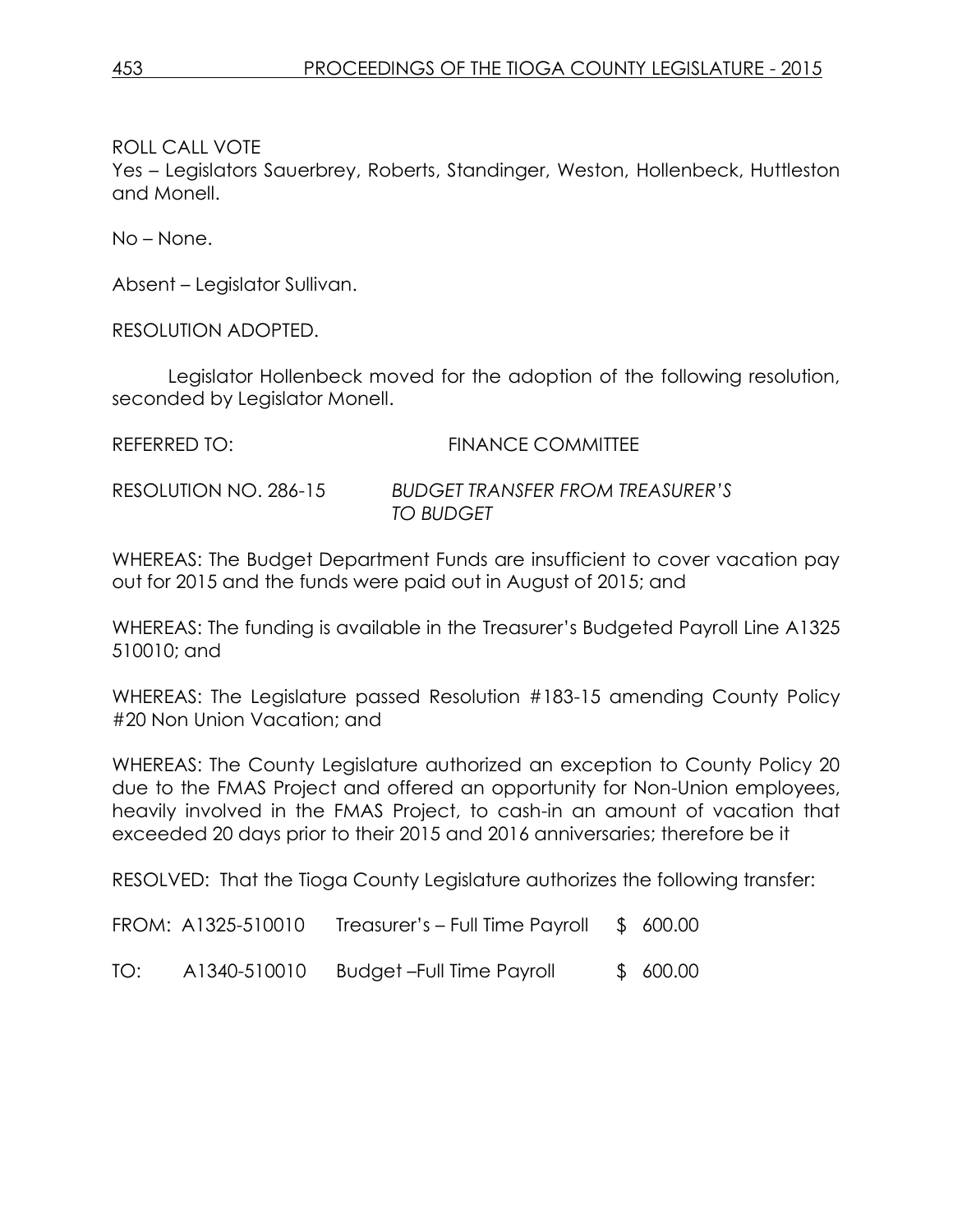Yes – Legislators Sauerbrey, Roberts, Standinger, Weston, Hollenbeck, Huttleston and Monell.

No – None.

Absent – Legislator Sullivan.

RESOLUTION ADOPTED.

Legislator Hollenbeck moved for the adoption of the following resolution, seconded by Legislator Monell.

REFERRED TO: FINANCE COMMITTEE

RESOLUTION NO. 286-15 *BUDGET TRANSFER FROM TREASURER'S TO BUDGET*

WHEREAS: The Budget Department Funds are insufficient to cover vacation pay out for 2015 and the funds were paid out in August of 2015; and

WHEREAS: The funding is available in the Treasurer's Budgeted Payroll Line A1325 510010; and

WHEREAS: The Legislature passed Resolution #183-15 amending County Policy #20 Non Union Vacation; and

WHEREAS: The County Legislature authorized an exception to County Policy 20 due to the FMAS Project and offered an opportunity for Non-Union employees, heavily involved in the FMAS Project, to cash-in an amount of vacation that exceeded 20 days prior to their 2015 and 2016 anniversaries; therefore be it

RESOLVED: That the Tioga County Legislature authorizes the following transfer:

FROM: A1325-510010 Treasurer's – Full Time Payroll \$ 600.00

TO: A1340-510010 Budget –Full Time Payroll \$ 600.00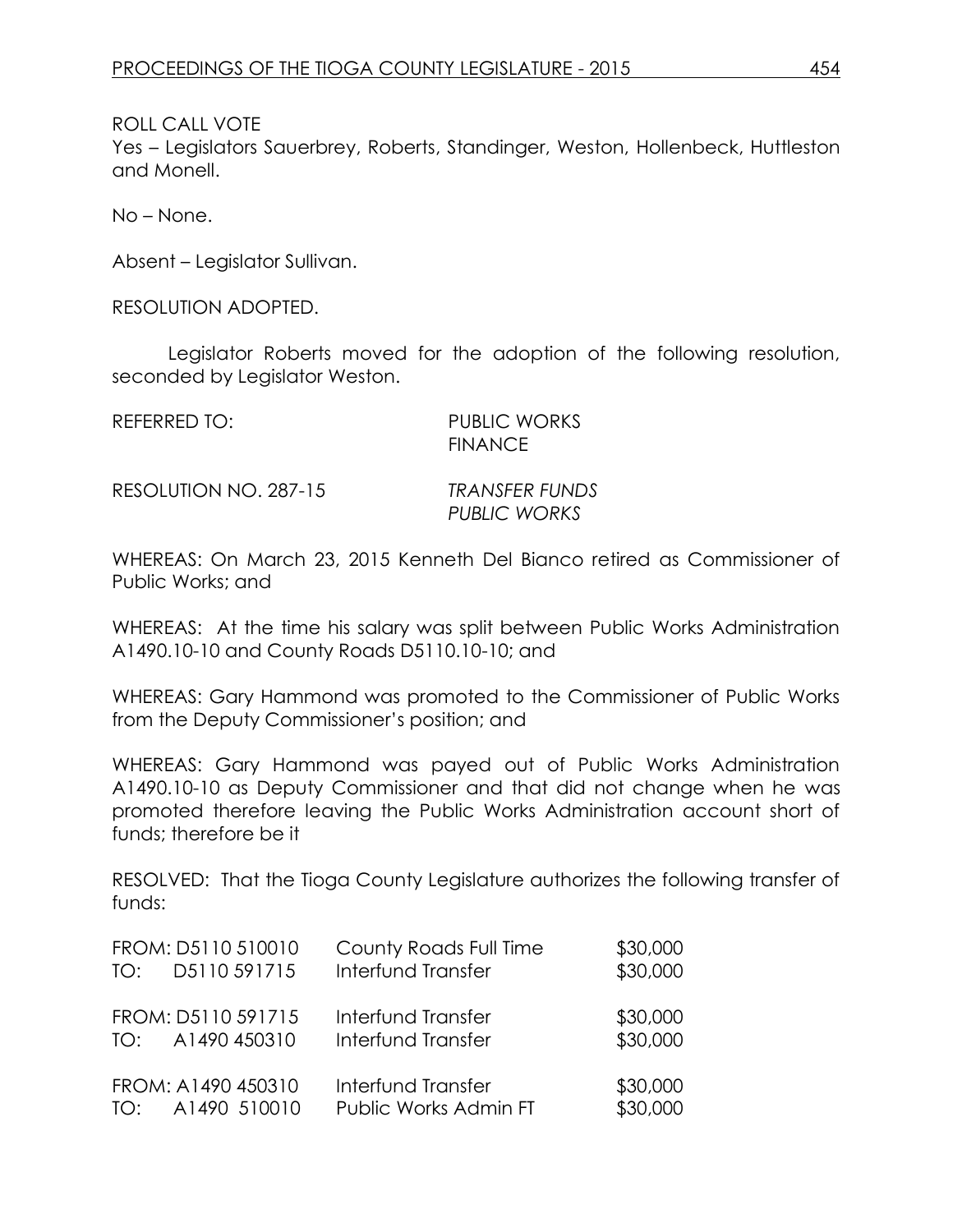Yes – Legislators Sauerbrey, Roberts, Standinger, Weston, Hollenbeck, Huttleston and Monell.

No – None.

Absent – Legislator Sullivan.

RESOLUTION ADOPTED.

Legislator Roberts moved for the adoption of the following resolution, seconded by Legislator Weston.

REFERRED TO: PUBLIC WORKS **FINANCE** 

RESOLUTION NO. 287-15 *TRANSFER FUNDS*

*PUBLIC WORKS*

WHEREAS: On March 23, 2015 Kenneth Del Bianco retired as Commissioner of Public Works; and

WHEREAS: At the time his salary was split between Public Works Administration A1490.10-10 and County Roads D5110.10-10; and

WHEREAS: Gary Hammond was promoted to the Commissioner of Public Works from the Deputy Commissioner's position; and

WHEREAS: Gary Hammond was payed out of Public Works Administration A1490.10-10 as Deputy Commissioner and that did not change when he was promoted therefore leaving the Public Works Administration account short of funds; therefore be it

RESOLVED: That the Tioga County Legislature authorizes the following transfer of funds:

|     | FROM: D5110 510010 | County Roads Full Time | \$30,000 |
|-----|--------------------|------------------------|----------|
| TO: | D5110 591715       | Interfund Transfer     | \$30,000 |
| TO: | FROM: D5110 591715 | Interfund Transfer     | \$30,000 |
|     | A1490 450310       | Interfund Transfer     | \$30,000 |
| TO: | FROM: A1490 450310 | Interfund Transfer     | \$30,000 |
|     | A1490 510010       | Public Works Admin FT  | \$30,000 |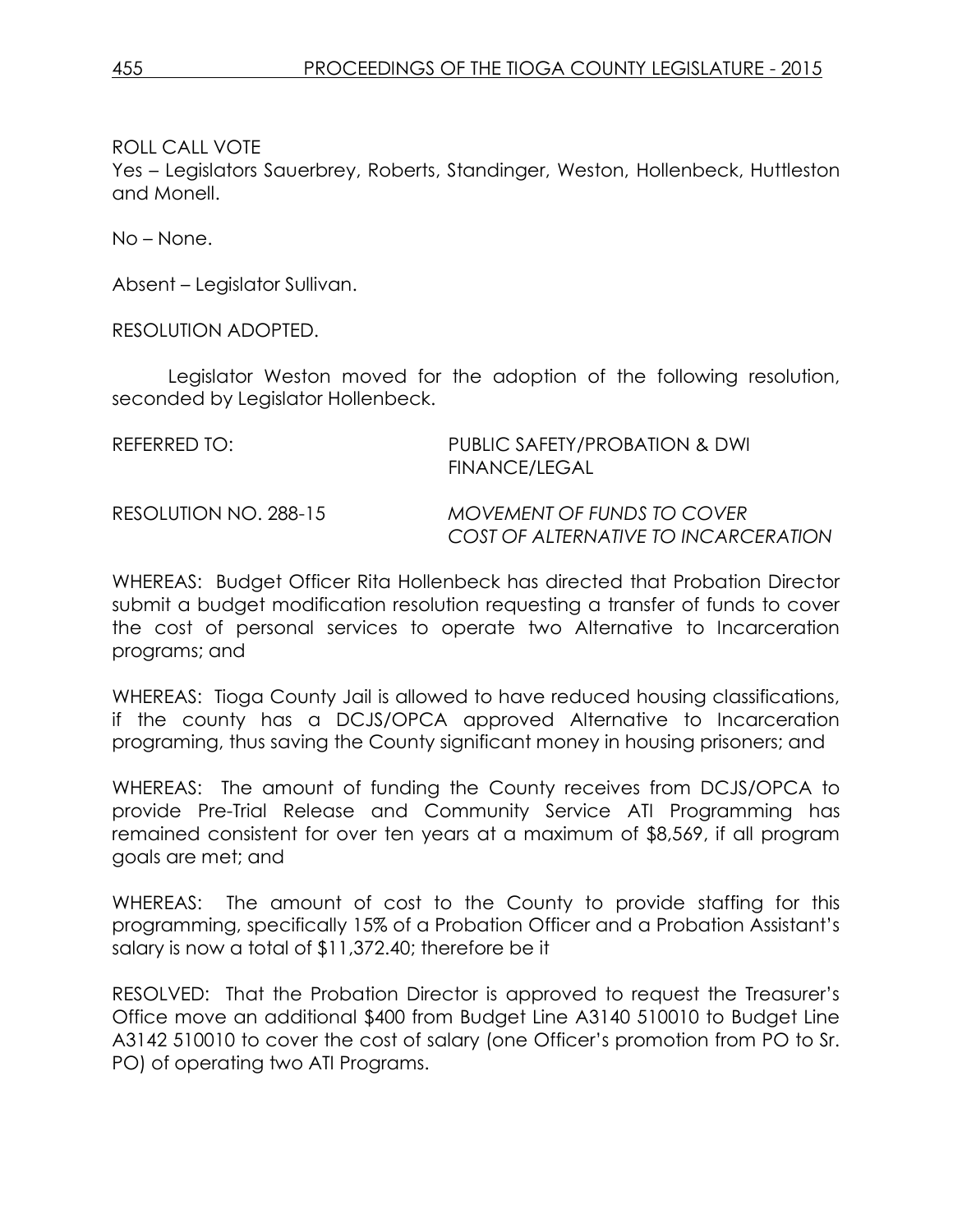Yes – Legislators Sauerbrey, Roberts, Standinger, Weston, Hollenbeck, Huttleston and Monell.

No – None.

Absent – Legislator Sullivan.

RESOLUTION ADOPTED.

Legislator Weston moved for the adoption of the following resolution, seconded by Legislator Hollenbeck.

| REFERRED TO:          | PUBLIC SAFETY/PROBATION & DWI<br>FINANCE/LEGAL                            |  |  |
|-----------------------|---------------------------------------------------------------------------|--|--|
| RESOLUTION NO. 288-15 | <b>MOVEMENT OF FUNDS TO COVER</b><br>COST OF ALTERNATIVE TO INCARCERATION |  |  |

WHEREAS: Budget Officer Rita Hollenbeck has directed that Probation Director submit a budget modification resolution requesting a transfer of funds to cover the cost of personal services to operate two Alternative to Incarceration programs; and

WHEREAS: Tioga County Jail is allowed to have reduced housing classifications, if the county has a DCJS/OPCA approved Alternative to Incarceration programing, thus saving the County significant money in housing prisoners; and

WHEREAS: The amount of funding the County receives from DCJS/OPCA to provide Pre-Trial Release and Community Service ATI Programming has remained consistent for over ten years at a maximum of \$8,569, if all program goals are met; and

WHEREAS: The amount of cost to the County to provide staffing for this programming, specifically 15% of a Probation Officer and a Probation Assistant's salary is now a total of \$11,372.40; therefore be it

RESOLVED: That the Probation Director is approved to request the Treasurer's Office move an additional \$400 from Budget Line A3140 510010 to Budget Line A3142 510010 to cover the cost of salary (one Officer's promotion from PO to Sr. PO) of operating two ATI Programs.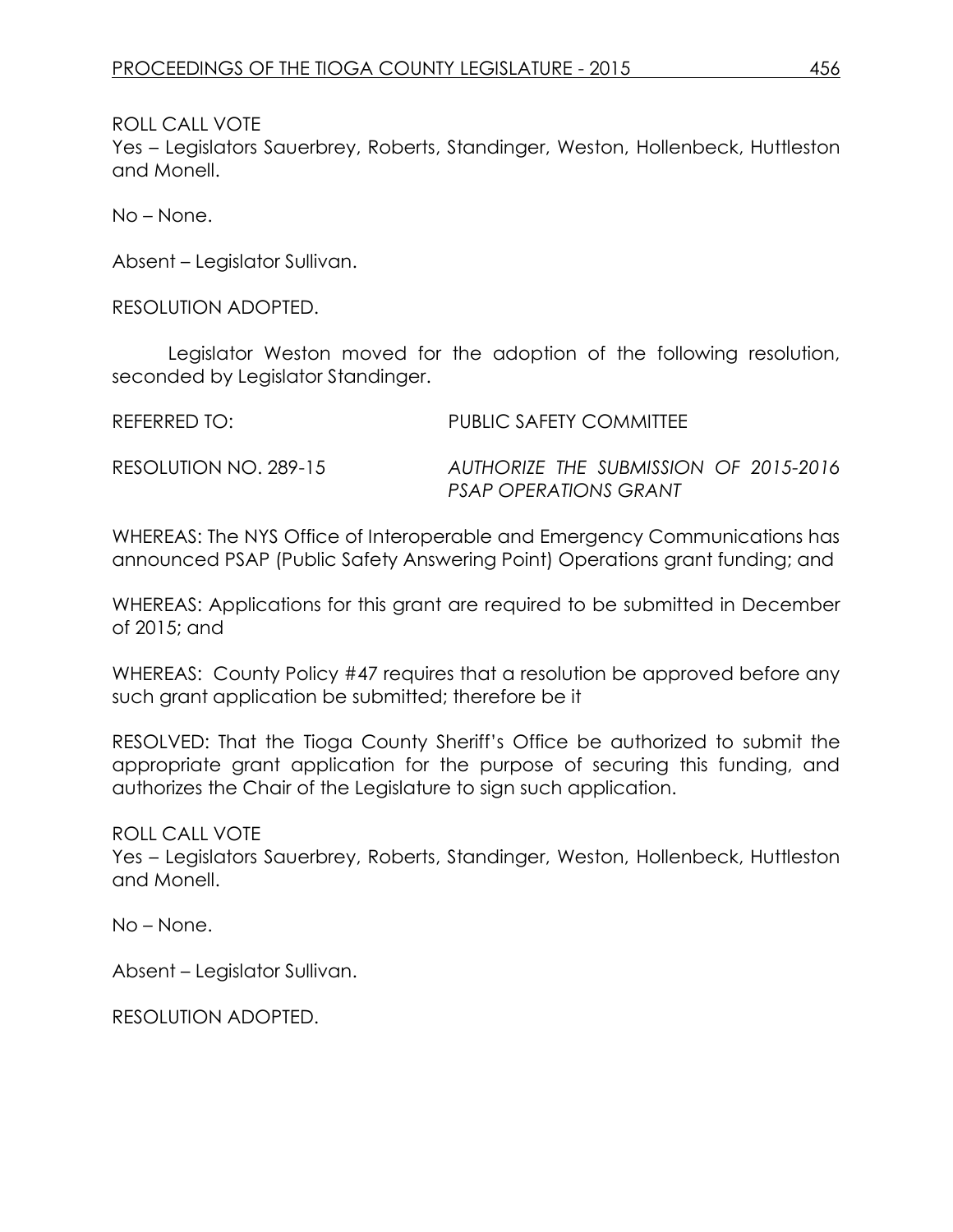Yes – Legislators Sauerbrey, Roberts, Standinger, Weston, Hollenbeck, Huttleston and Monell.

No – None.

Absent – Legislator Sullivan.

RESOLUTION ADOPTED.

Legislator Weston moved for the adoption of the following resolution, seconded by Legislator Standinger.

REFERRED TO: PUBLIC SAFETY COMMITTEE

RESOLUTION NO. 289-15 *AUTHORIZE THE SUBMISSION OF 2015-2016 PSAP OPERATIONS GRANT*

WHEREAS: The NYS Office of Interoperable and Emergency Communications has announced PSAP (Public Safety Answering Point) Operations grant funding; and

WHEREAS: Applications for this grant are required to be submitted in December of 2015; and

WHEREAS: County Policy #47 requires that a resolution be approved before any such grant application be submitted; therefore be it

RESOLVED: That the Tioga County Sheriff's Office be authorized to submit the appropriate grant application for the purpose of securing this funding, and authorizes the Chair of the Legislature to sign such application.

ROLL CALL VOTE

Yes – Legislators Sauerbrey, Roberts, Standinger, Weston, Hollenbeck, Huttleston and Monell.

No – None.

Absent – Legislator Sullivan.

RESOLUTION ADOPTED.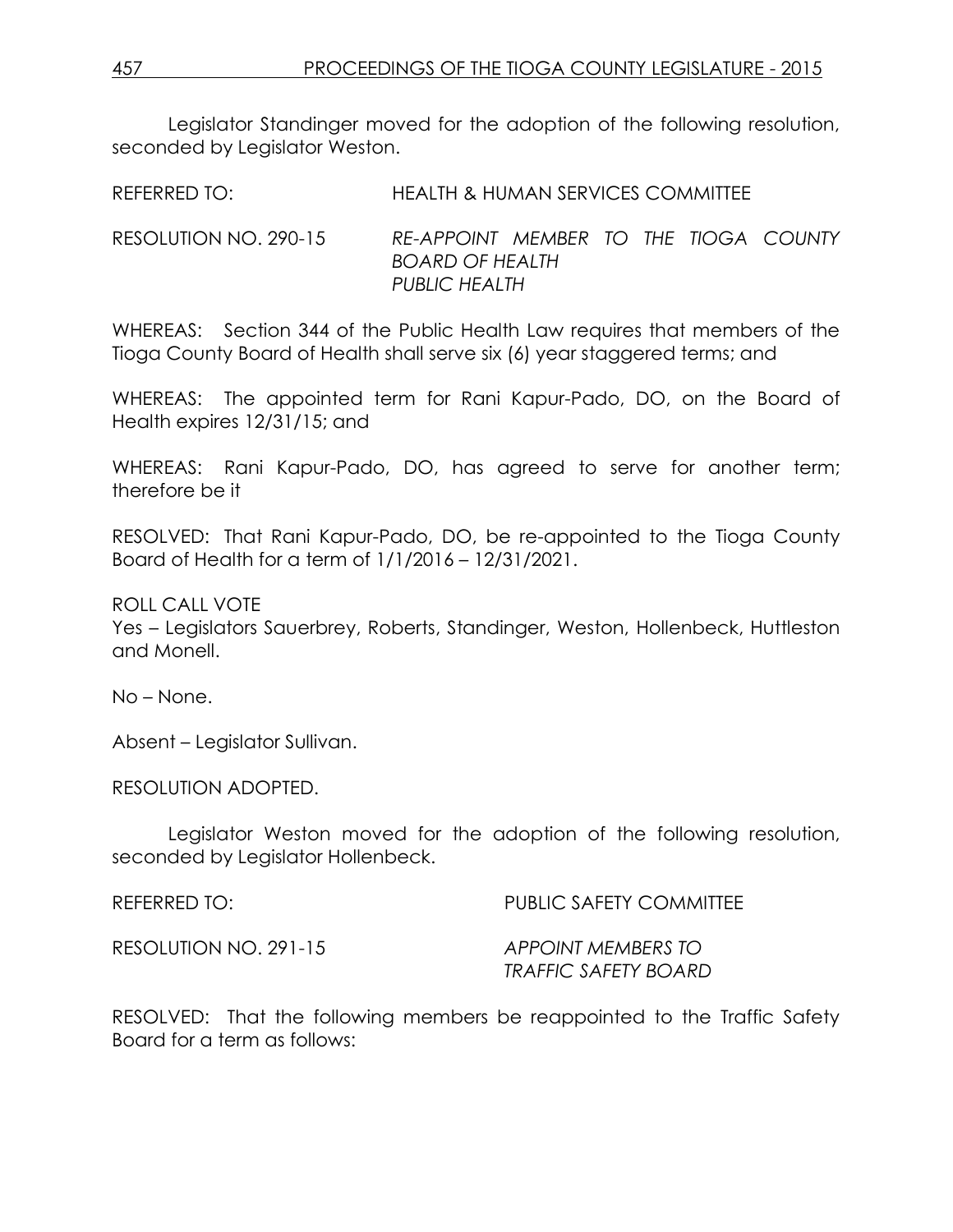Legislator Standinger moved for the adoption of the following resolution, seconded by Legislator Weston.

REFERRED TO: HEALTH & HUMAN SERVICES COMMITTEE

RESOLUTION NO. 290-15 *RE-APPOINT MEMBER TO THE TIOGA COUNTY BOARD OF HEALTH PUBLIC HEALTH*

WHEREAS: Section 344 of the Public Health Law requires that members of the Tioga County Board of Health shall serve six (6) year staggered terms; and

WHEREAS: The appointed term for Rani Kapur-Pado, DO, on the Board of Health expires 12/31/15; and

WHEREAS: Rani Kapur-Pado, DO, has agreed to serve for another term; therefore be it

RESOLVED: That Rani Kapur-Pado, DO, be re-appointed to the Tioga County Board of Health for a term of 1/1/2016 – 12/31/2021.

ROLL CALL VOTE

Yes – Legislators Sauerbrey, Roberts, Standinger, Weston, Hollenbeck, Huttleston and Monell.

No – None.

Absent – Legislator Sullivan.

RESOLUTION ADOPTED.

Legislator Weston moved for the adoption of the following resolution, seconded by Legislator Hollenbeck.

REFERRED TO: THE PUBLIC SAFETY COMMITTEE RESOLUTION NO. 291-15 *APPOINT MEMBERS TO TRAFFIC SAFETY BOARD*

RESOLVED: That the following members be reappointed to the Traffic Safety Board for a term as follows: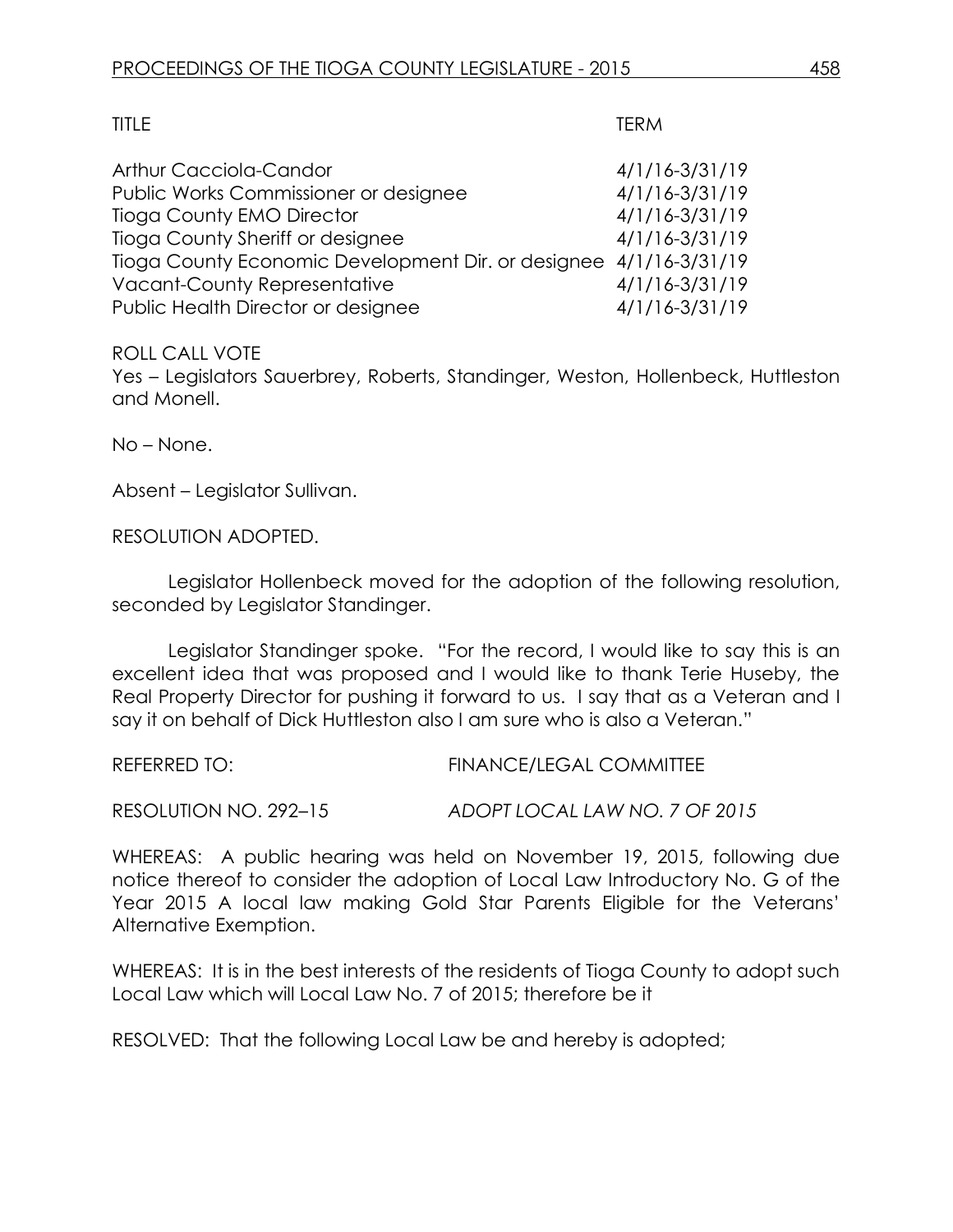| <b>TITLE</b>                                                      | TERM               |
|-------------------------------------------------------------------|--------------------|
| Arthur Cacciola-Candor                                            | 4/1/16-3/31/19     |
| Public Works Commissioner or designee                             | 4/1/16-3/31/19     |
| <b>Tioga County EMO Director</b>                                  | 4/1/16-3/31/19     |
| Tioga County Sheriff or designee                                  | $4/1/16 - 3/31/19$ |
| Tioga County Economic Development Dir. or designee 4/1/16-3/31/19 |                    |
| <b>Vacant-County Representative</b>                               | 4/1/16-3/31/19     |
| Public Health Director or designee                                | $4/1/16 - 3/31/19$ |

Yes – Legislators Sauerbrey, Roberts, Standinger, Weston, Hollenbeck, Huttleston and Monell.

No – None.

Absent – Legislator Sullivan.

RESOLUTION ADOPTED.

Legislator Hollenbeck moved for the adoption of the following resolution, seconded by Legislator Standinger.

Legislator Standinger spoke. "For the record, I would like to say this is an excellent idea that was proposed and I would like to thank Terie Huseby, the Real Property Director for pushing it forward to us. I say that as a Veteran and I say it on behalf of Dick Huttleston also I am sure who is also a Veteran."

REFERRED TO: FINANCE/LEGAL COMMITTEE

RESOLUTION NO. 292–15 *ADOPT LOCAL LAW NO. 7 OF 2015*

WHEREAS: A public hearing was held on November 19, 2015, following due notice thereof to consider the adoption of Local Law Introductory No. G of the Year 2015 A local law making Gold Star Parents Eligible for the Veterans' Alternative Exemption.

WHEREAS: It is in the best interests of the residents of Tioga County to adopt such Local Law which will Local Law No. 7 of 2015; therefore be it

RESOLVED: That the following Local Law be and hereby is adopted;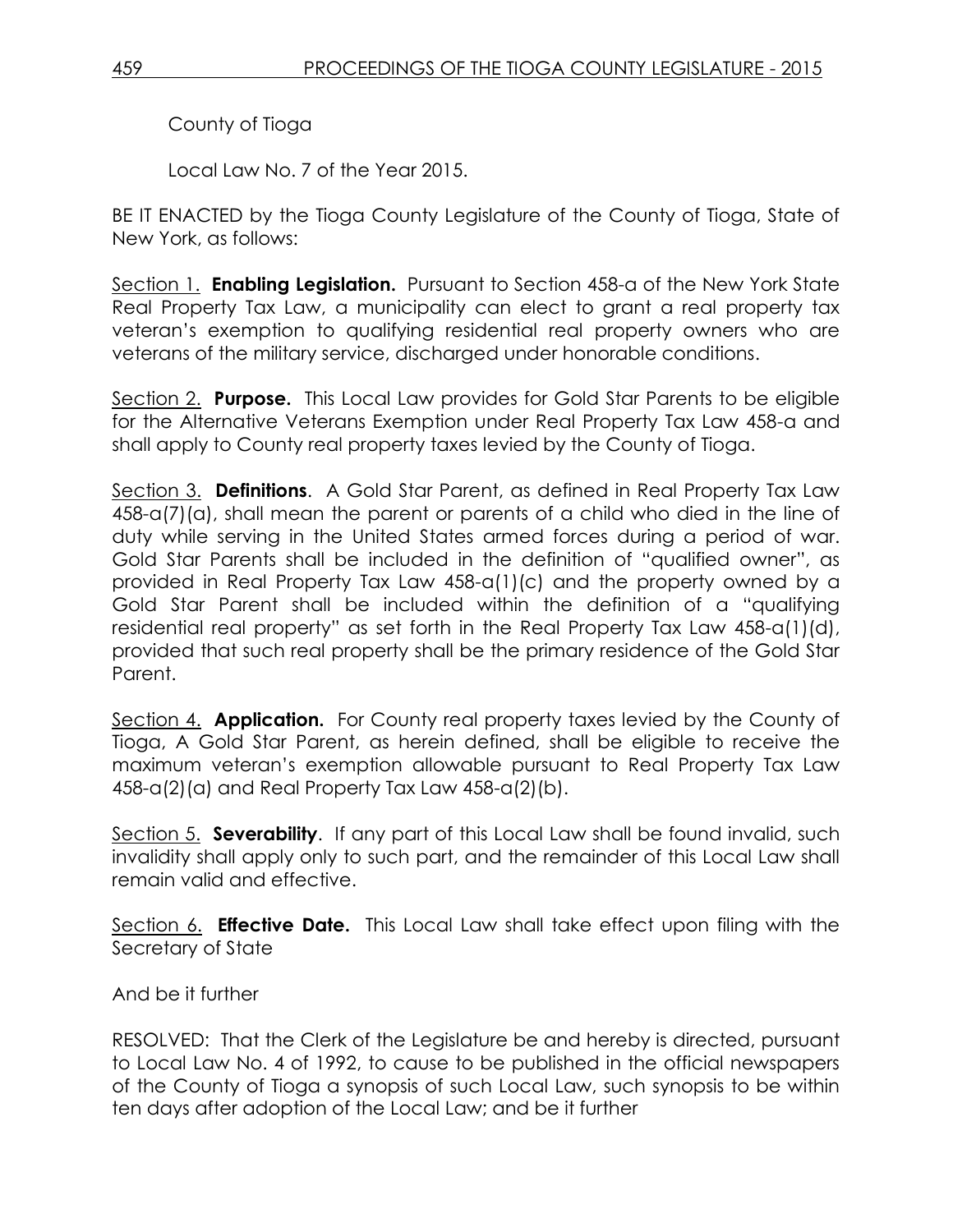County of Tioga

Local Law No. 7 of the Year 2015.

BE IT ENACTED by the Tioga County Legislature of the County of Tioga, State of New York, as follows:

Section 1. **Enabling Legislation.** Pursuant to Section 458-a of the New York State Real Property Tax Law, a municipality can elect to grant a real property tax veteran's exemption to qualifying residential real property owners who are veterans of the military service, discharged under honorable conditions.

Section 2. **Purpose.** This Local Law provides for Gold Star Parents to be eligible for the Alternative Veterans Exemption under Real Property Tax Law 458-a and shall apply to County real property taxes levied by the County of Tioga.

Section 3. **Definitions**. A Gold Star Parent, as defined in Real Property Tax Law 458-a(7)(a), shall mean the parent or parents of a child who died in the line of duty while serving in the United States armed forces during a period of war. Gold Star Parents shall be included in the definition of "qualified owner", as provided in Real Property Tax Law 458-a(1)(c) and the property owned by a Gold Star Parent shall be included within the definition of a "qualifying residential real property" as set forth in the Real Property Tax Law 458-a(1)(d), provided that such real property shall be the primary residence of the Gold Star Parent.

Section 4. **Application.** For County real property taxes levied by the County of Tioga, A Gold Star Parent, as herein defined, shall be eligible to receive the maximum veteran's exemption allowable pursuant to Real Property Tax Law 458-a(2)(a) and Real Property Tax Law 458-a(2)(b).

Section 5. **Severability**. If any part of this Local Law shall be found invalid, such invalidity shall apply only to such part, and the remainder of this Local Law shall remain valid and effective.

Section 6. **Effective Date.** This Local Law shall take effect upon filing with the Secretary of State

And be it further

RESOLVED: That the Clerk of the Legislature be and hereby is directed, pursuant to Local Law No. 4 of 1992, to cause to be published in the official newspapers of the County of Tioga a synopsis of such Local Law, such synopsis to be within ten days after adoption of the Local Law; and be it further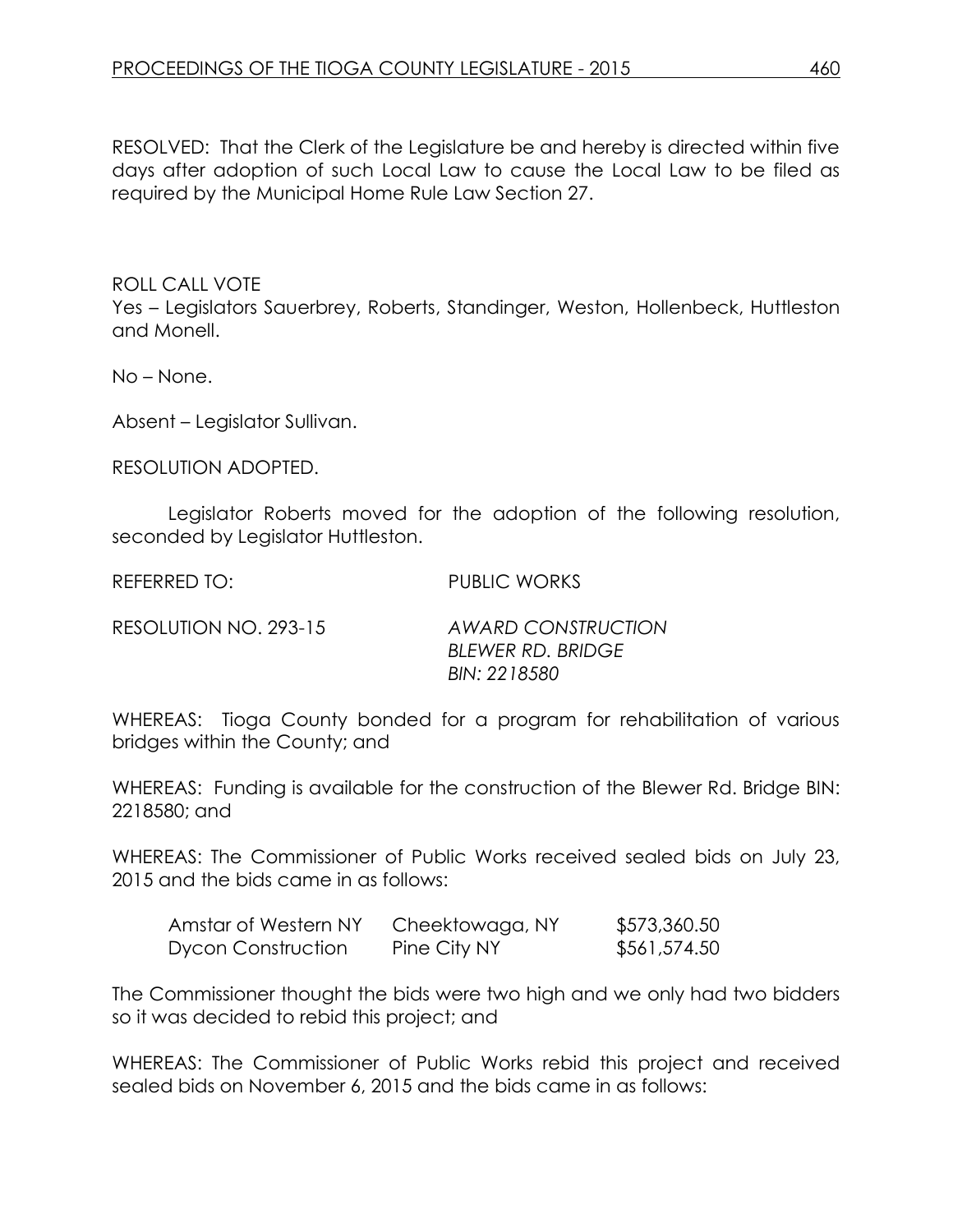RESOLVED: That the Clerk of the Legislature be and hereby is directed within five days after adoption of such Local Law to cause the Local Law to be filed as required by the Municipal Home Rule Law Section 27.

ROLL CALL VOTE

Yes – Legislators Sauerbrey, Roberts, Standinger, Weston, Hollenbeck, Huttleston and Monell.

No – None.

Absent – Legislator Sullivan.

RESOLUTION ADOPTED.

Legislator Roberts moved for the adoption of the following resolution, seconded by Legislator Huttleston.

REFERRED TO: PUBLIC WORKS

RESOLUTION NO. 293-15 *AWARD CONSTRUCTION* 

*BLEWER RD. BRIDGE BIN: 2218580*

WHEREAS: Tioga County bonded for a program for rehabilitation of various bridges within the County; and

WHEREAS: Funding is available for the construction of the Blewer Rd. Bridge BIN: 2218580; and

WHEREAS: The Commissioner of Public Works received sealed bids on July 23, 2015 and the bids came in as follows:

| Amstar of Western NY      | Cheektowaga, NY | \$573,360.50 |
|---------------------------|-----------------|--------------|
| <b>Dycon Construction</b> | Pine City NY    | \$561,574.50 |

The Commissioner thought the bids were two high and we only had two bidders so it was decided to rebid this project; and

WHEREAS: The Commissioner of Public Works rebid this project and received sealed bids on November 6, 2015 and the bids came in as follows: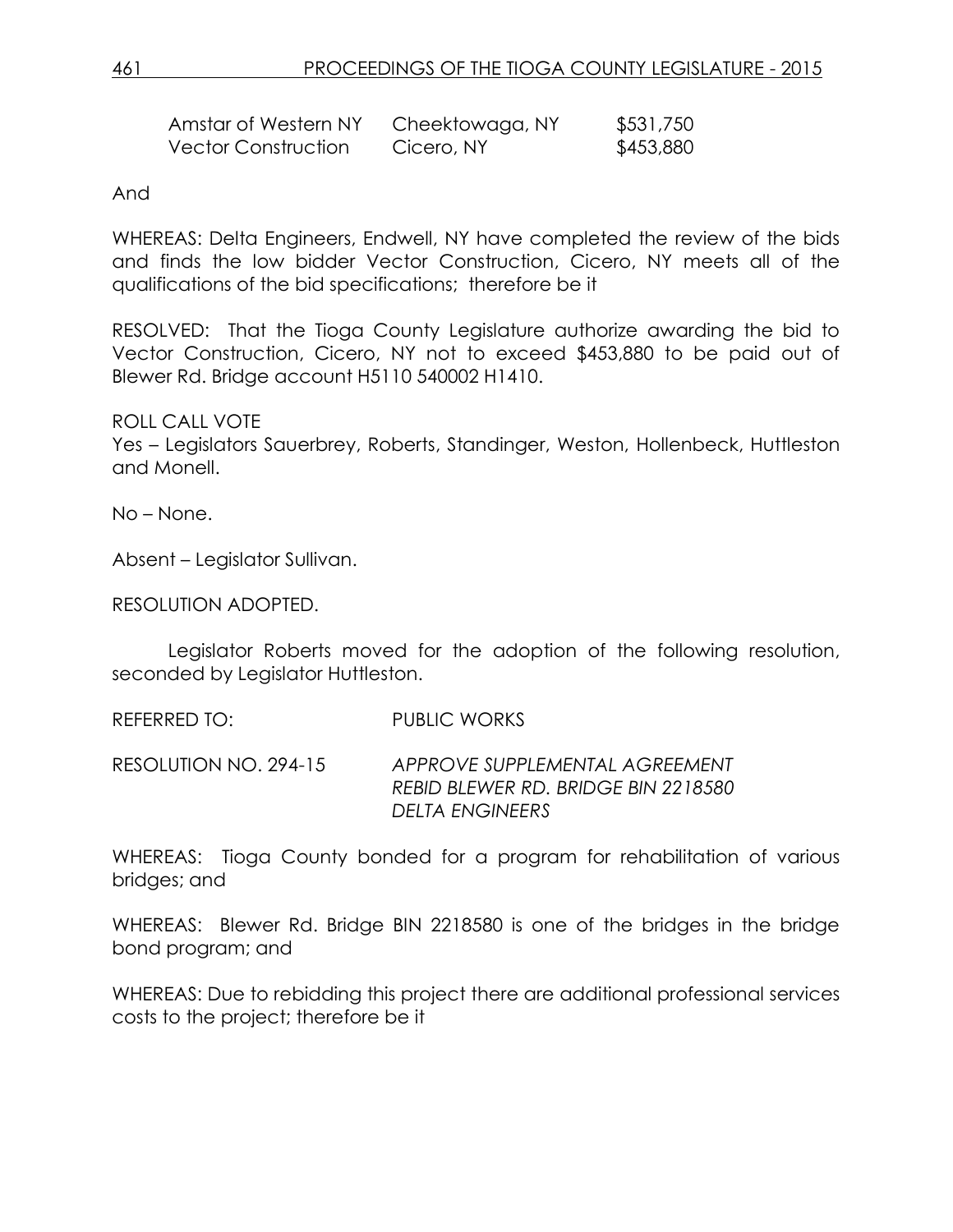| Amstar of Western NY       | Cheektowaga, NY | \$531,750 |
|----------------------------|-----------------|-----------|
| <b>Vector Construction</b> | Cicero, NY      | \$453,880 |

And

WHEREAS: Delta Engineers, Endwell, NY have completed the review of the bids and finds the low bidder Vector Construction, Cicero, NY meets all of the qualifications of the bid specifications; therefore be it

RESOLVED: That the Tioga County Legislature authorize awarding the bid to Vector Construction, Cicero, NY not to exceed \$453,880 to be paid out of Blewer Rd. Bridge account H5110 540002 H1410.

ROLL CALL VOTE

Yes – Legislators Sauerbrey, Roberts, Standinger, Weston, Hollenbeck, Huttleston and Monell.

No – None.

Absent – Legislator Sullivan.

RESOLUTION ADOPTED.

Legislator Roberts moved for the adoption of the following resolution, seconded by Legislator Huttleston.

REFERRED TO: PUBLIC WORKS

RESOLUTION NO. 294-15 *APPROVE SUPPLEMENTAL AGREEMENT REBID BLEWER RD. BRIDGE BIN 2218580 DELTA ENGINEERS*

WHEREAS: Tioga County bonded for a program for rehabilitation of various bridges; and

WHEREAS: Blewer Rd. Bridge BIN 2218580 is one of the bridges in the bridge bond program; and

WHEREAS: Due to rebidding this project there are additional professional services costs to the project; therefore be it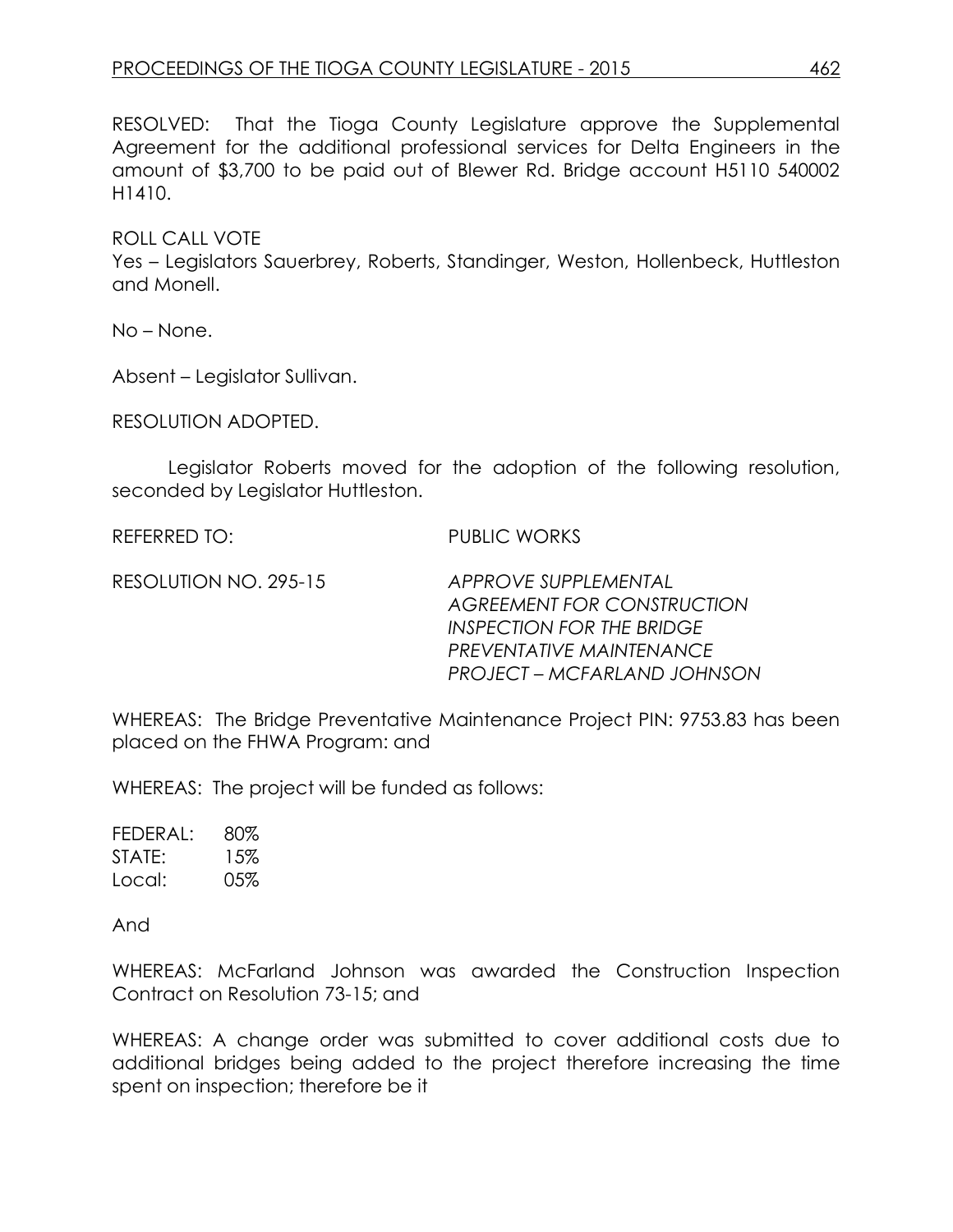RESOLVED: That the Tioga County Legislature approve the Supplemental Agreement for the additional professional services for Delta Engineers in the amount of \$3,700 to be paid out of Blewer Rd. Bridge account H5110 540002 H1410.

ROLL CALL VOTE Yes – Legislators Sauerbrey, Roberts, Standinger, Weston, Hollenbeck, Huttleston and Monell.

No – None.

Absent – Legislator Sullivan.

RESOLUTION ADOPTED.

Legislator Roberts moved for the adoption of the following resolution, seconded by Legislator Huttleston.

REFERRED TO: PUBLIC WORKS

RESOLUTION NO. 295-15 *APPROVE SUPPLEMENTAL AGREEMENT FOR CONSTRUCTION INSPECTION FOR THE BRIDGE PREVENTATIVE MAINTENANCE PROJECT – MCFARLAND JOHNSON*

WHEREAS: The Bridge Preventative Maintenance Project PIN: 9753.83 has been placed on the FHWA Program: and

WHEREAS: The project will be funded as follows:

FEDERAL: 80% STATE: 15% Local: 05%

And

WHEREAS: McFarland Johnson was awarded the Construction Inspection Contract on Resolution 73-15; and

WHEREAS: A change order was submitted to cover additional costs due to additional bridges being added to the project therefore increasing the time spent on inspection; therefore be it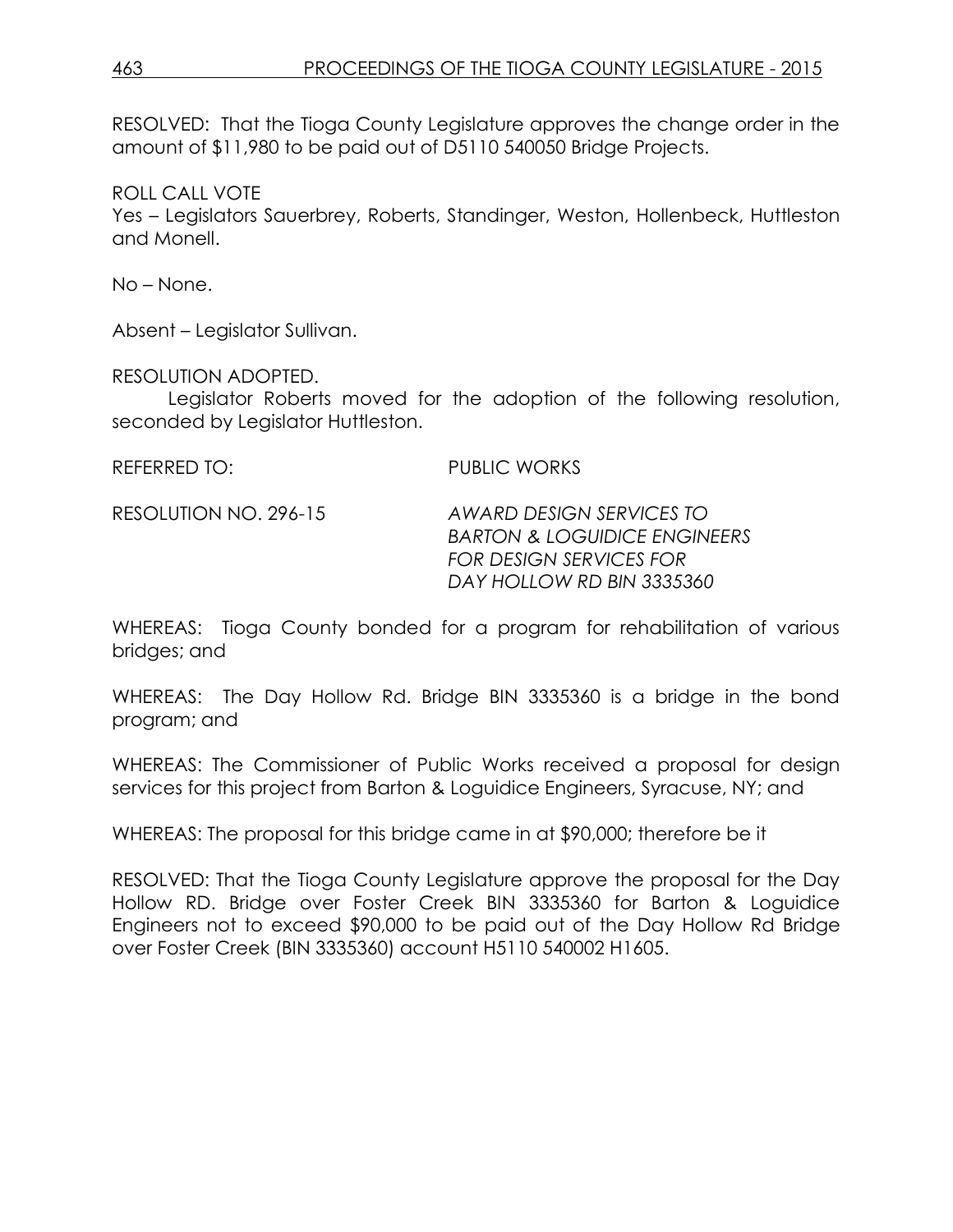RESOLVED: That the Tioga County Legislature approves the change order in the amount of \$11,980 to be paid out of D5110 540050 Bridge Projects.

ROLL CALL VOTE

Yes – Legislators Sauerbrey, Roberts, Standinger, Weston, Hollenbeck, Huttleston and Monell.

No – None.

Absent – Legislator Sullivan.

# RESOLUTION ADOPTED.

Legislator Roberts moved for the adoption of the following resolution, seconded by Legislator Huttleston.

REFERRED TO: PUBLIC WORKS

RESOLUTION NO. 296-15 *AWARD DESIGN SERVICES TO BARTON & LOGUIDICE ENGINEERS FOR DESIGN SERVICES FOR DAY HOLLOW RD BIN 3335360*

WHEREAS: Tioga County bonded for a program for rehabilitation of various bridges; and

WHEREAS: The Day Hollow Rd. Bridge BIN 3335360 is a bridge in the bond program; and

WHEREAS: The Commissioner of Public Works received a proposal for design services for this project from Barton & Loguidice Engineers, Syracuse, NY; and

WHEREAS: The proposal for this bridge came in at \$90,000; therefore be it

RESOLVED: That the Tioga County Legislature approve the proposal for the Day Hollow RD. Bridge over Foster Creek BIN 3335360 for Barton & Loguidice Engineers not to exceed \$90,000 to be paid out of the Day Hollow Rd Bridge over Foster Creek (BIN 3335360) account H5110 540002 H1605.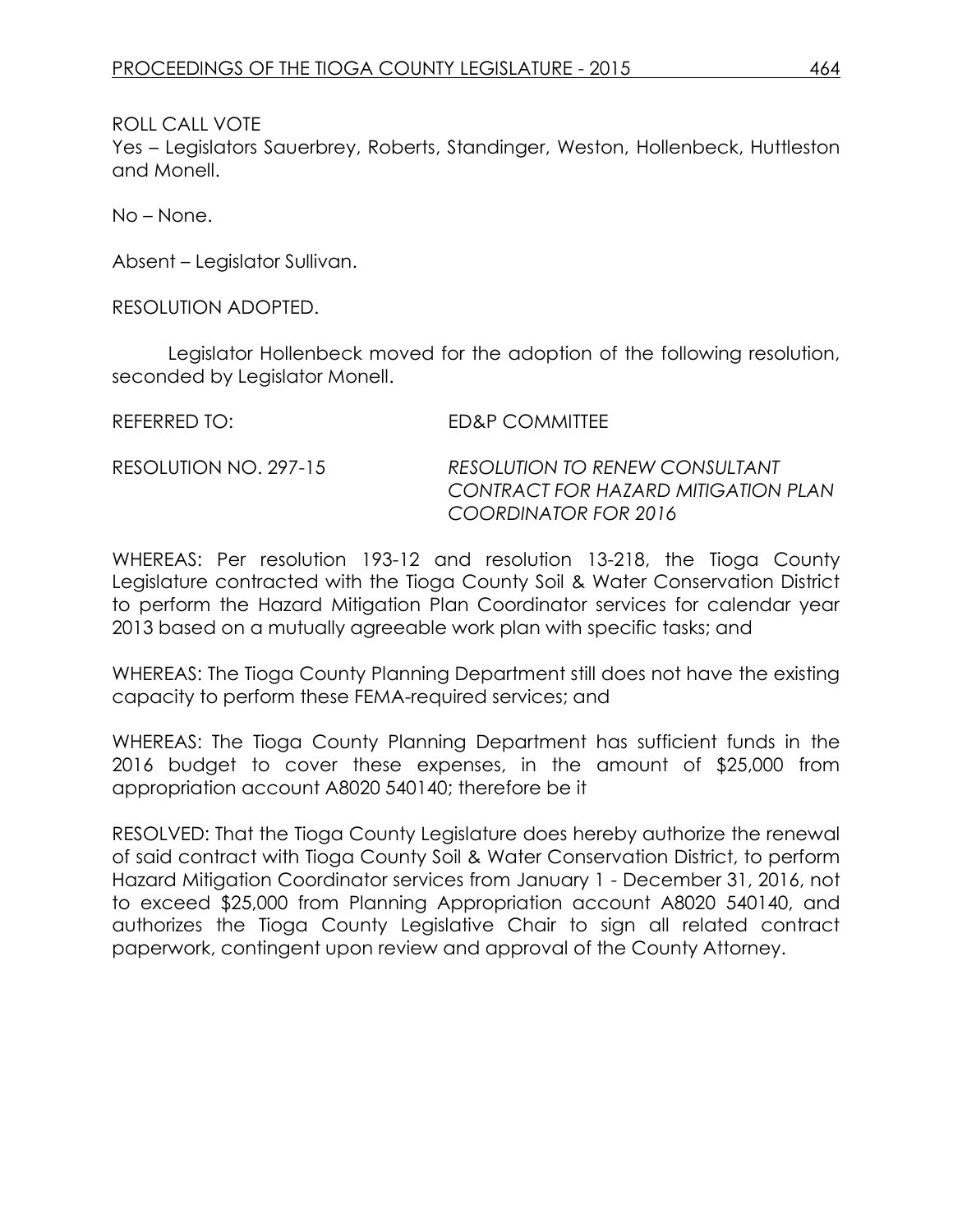Yes – Legislators Sauerbrey, Roberts, Standinger, Weston, Hollenbeck, Huttleston and Monell.

No – None.

Absent – Legislator Sullivan.

RESOLUTION ADOPTED.

Legislator Hollenbeck moved for the adoption of the following resolution, seconded by Legislator Monell.

REFERRED TO: ED&P COMMITTEE RESOLUTION NO. 297-15 *RESOLUTION TO RENEW CONSULTANT CONTRACT FOR HAZARD MITIGATION PLAN COORDINATOR FOR 2016*

WHEREAS: Per resolution 193-12 and resolution 13-218, the Tioga County Legislature contracted with the Tioga County Soil & Water Conservation District to perform the Hazard Mitigation Plan Coordinator services for calendar year 2013 based on a mutually agreeable work plan with specific tasks; and

WHEREAS: The Tioga County Planning Department still does not have the existing capacity to perform these FEMA-required services; and

WHEREAS: The Tioga County Planning Department has sufficient funds in the 2016 budget to cover these expenses, in the amount of \$25,000 from appropriation account A8020 540140; therefore be it

RESOLVED: That the Tioga County Legislature does hereby authorize the renewal of said contract with Tioga County Soil & Water Conservation District, to perform Hazard Mitigation Coordinator services from January 1 - December 31, 2016, not to exceed \$25,000 from Planning Appropriation account A8020 540140, and authorizes the Tioga County Legislative Chair to sign all related contract paperwork, contingent upon review and approval of the County Attorney.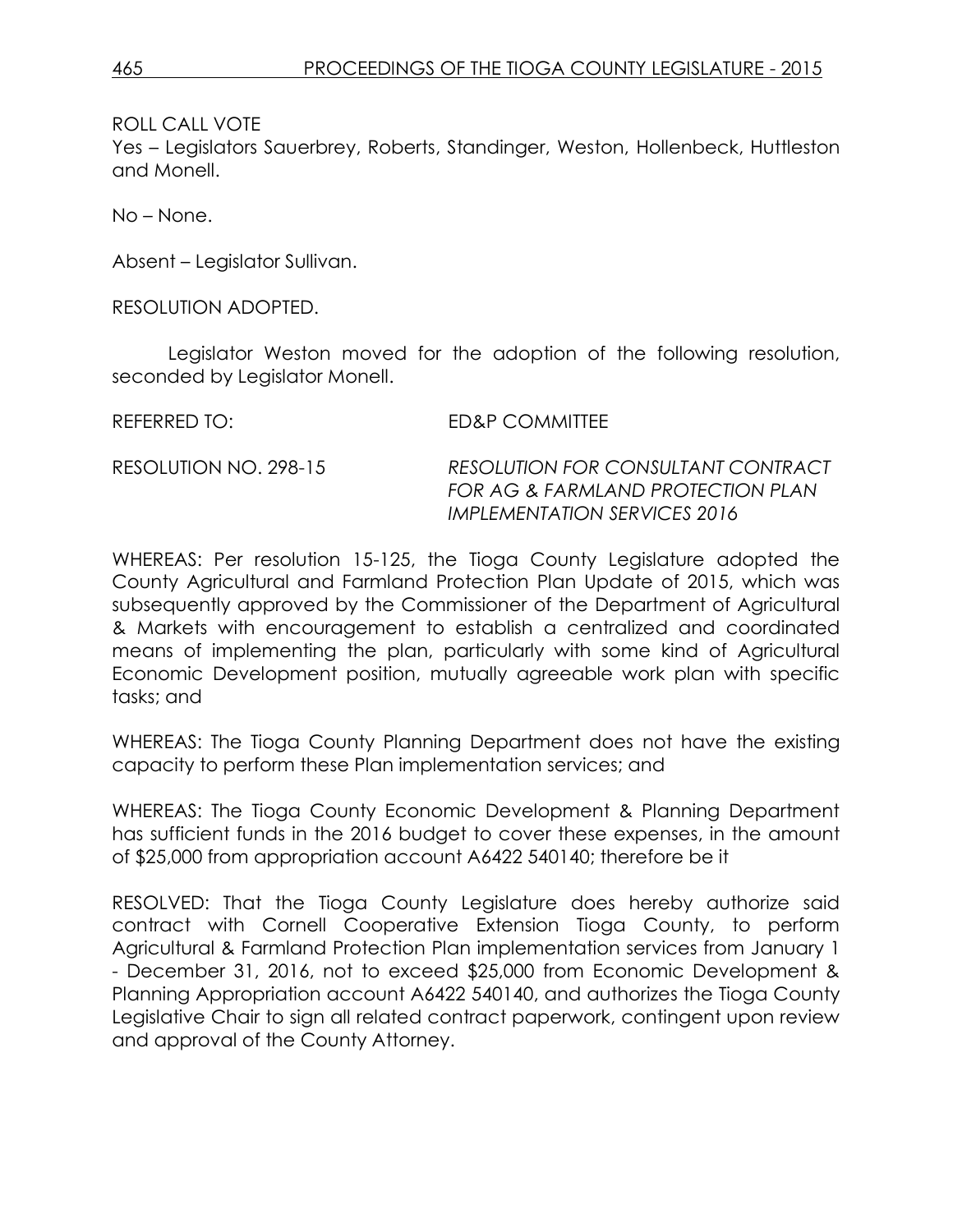Yes – Legislators Sauerbrey, Roberts, Standinger, Weston, Hollenbeck, Huttleston and Monell.

No – None.

Absent – Legislator Sullivan.

RESOLUTION ADOPTED.

Legislator Weston moved for the adoption of the following resolution, seconded by Legislator Monell.

REFERRED TO: ED&P COMMITTEE RESOLUTION NO. 298-15 *RESOLUTION FOR CONSULTANT CONTRACT FOR AG & FARMLAND PROTECTION PLAN IMPLEMENTATION SERVICES 2016*

WHEREAS: Per resolution 15-125, the Tioga County Legislature adopted the County Agricultural and Farmland Protection Plan Update of 2015, which was subsequently approved by the Commissioner of the Department of Agricultural & Markets with encouragement to establish a centralized and coordinated means of implementing the plan, particularly with some kind of Agricultural Economic Development position, mutually agreeable work plan with specific tasks; and

WHEREAS: The Tioga County Planning Department does not have the existing capacity to perform these Plan implementation services; and

WHEREAS: The Tioga County Economic Development & Planning Department has sufficient funds in the 2016 budget to cover these expenses, in the amount of \$25,000 from appropriation account A6422 540140; therefore be it

RESOLVED: That the Tioga County Legislature does hereby authorize said contract with Cornell Cooperative Extension Tioga County, to perform Agricultural & Farmland Protection Plan implementation services from January 1 - December 31, 2016, not to exceed \$25,000 from Economic Development & Planning Appropriation account A6422 540140, and authorizes the Tioga County Legislative Chair to sign all related contract paperwork, contingent upon review and approval of the County Attorney.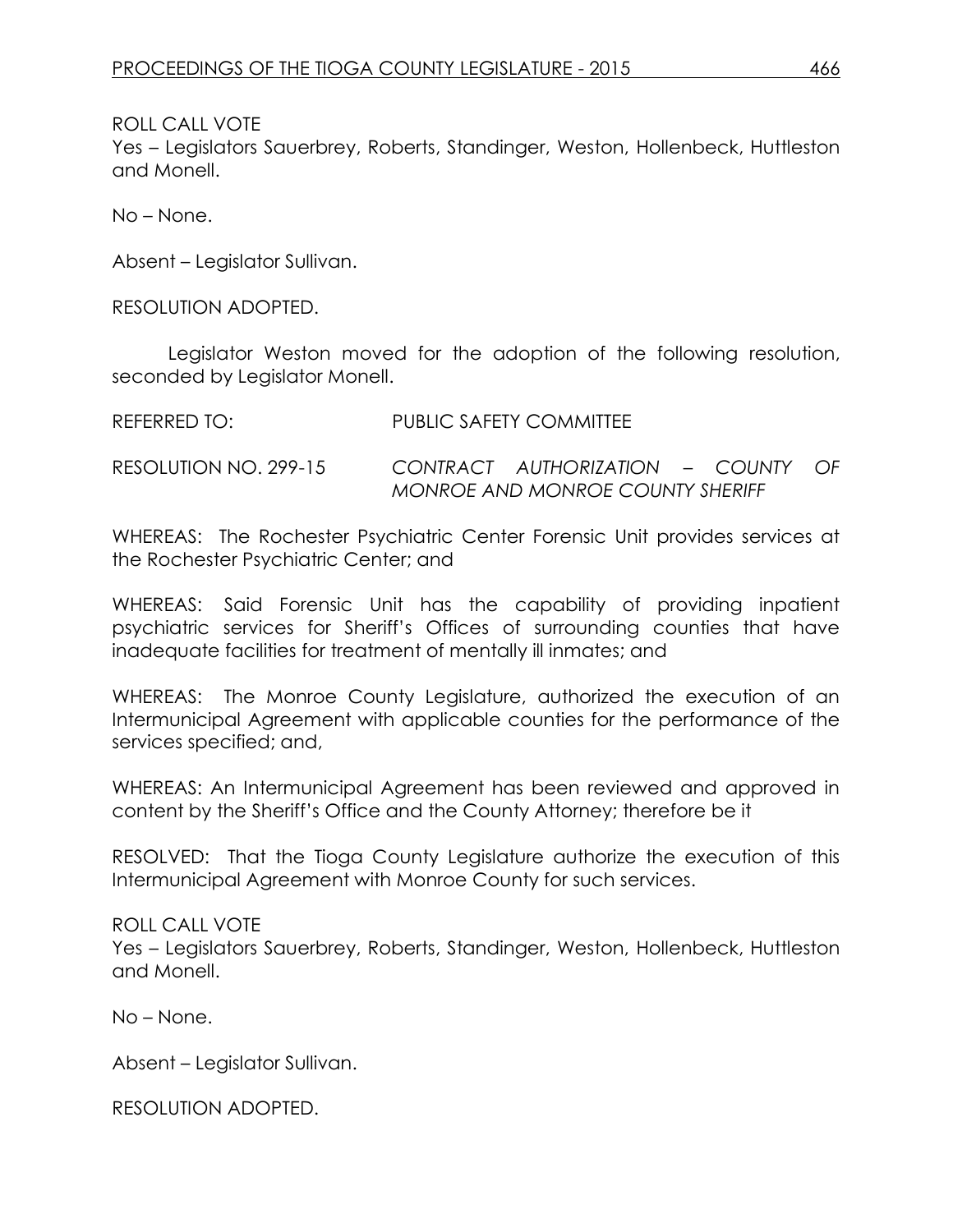Yes – Legislators Sauerbrey, Roberts, Standinger, Weston, Hollenbeck, Huttleston and Monell.

No – None.

Absent – Legislator Sullivan.

RESOLUTION ADOPTED.

Legislator Weston moved for the adoption of the following resolution, seconded by Legislator Monell.

| REFERRED TO:          | PUBLIC SAFETY COMMITTEE                                                |  |  |  |  |
|-----------------------|------------------------------------------------------------------------|--|--|--|--|
| RESOLUTION NO. 299-15 | CONTRACT AUTHORIZATION - COUNTY OF<br>MONROE AND MONROE COUNTY SHERIFF |  |  |  |  |

WHEREAS: The Rochester Psychiatric Center Forensic Unit provides services at the Rochester Psychiatric Center; and

WHEREAS: Said Forensic Unit has the capability of providing inpatient psychiatric services for Sheriff's Offices of surrounding counties that have inadequate facilities for treatment of mentally ill inmates; and

WHEREAS: The Monroe County Legislature, authorized the execution of an Intermunicipal Agreement with applicable counties for the performance of the services specified; and,

WHEREAS: An Intermunicipal Agreement has been reviewed and approved in content by the Sheriff's Office and the County Attorney; therefore be it

RESOLVED: That the Tioga County Legislature authorize the execution of this Intermunicipal Agreement with Monroe County for such services.

ROLL CALL VOTE Yes – Legislators Sauerbrey, Roberts, Standinger, Weston, Hollenbeck, Huttleston and Monell.

No – None.

Absent – Legislator Sullivan.

RESOLUTION ADOPTED.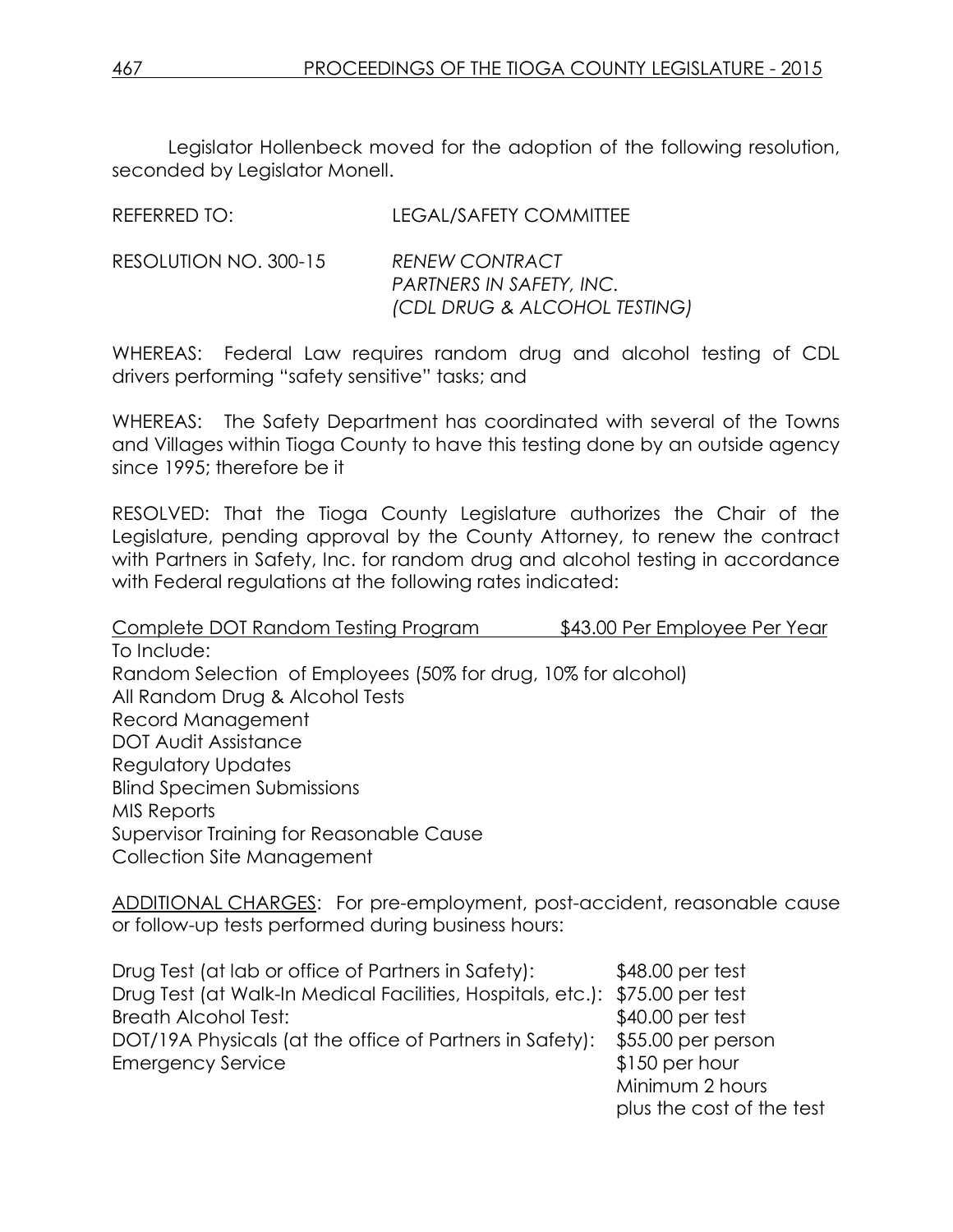Legislator Hollenbeck moved for the adoption of the following resolution, seconded by Legislator Monell.

| KEFEKKED IV.          | LEUALIJAFEH UUIVIIVIHEE                                                                  |
|-----------------------|------------------------------------------------------------------------------------------|
| RESOLUTION NO. 300-15 | <b>RENEW CONTRACT</b><br><b>PARTNERS IN SAFETY, INC.</b><br>(CDL DRUG & ALCOHOL TESTING) |

REFERRED TO: LEGAL/SAFETY COMMITTEE

WHEREAS: Federal Law requires random drug and alcohol testing of CDL drivers performing "safety sensitive" tasks; and

WHEREAS: The Safety Department has coordinated with several of the Towns and Villages within Tioga County to have this testing done by an outside agency since 1995; therefore be it

RESOLVED: That the Tioga County Legislature authorizes the Chair of the Legislature, pending approval by the County Attorney, to renew the contract with Partners in Safety, Inc. for random drug and alcohol testing in accordance with Federal regulations at the following rates indicated:

Complete DOT Random Testing Program \$43.00 Per Employee Per Year To Include: Random Selection of Employees (50% for drug, 10% for alcohol) All Random Drug & Alcohol Tests Record Management DOT Audit Assistance Regulatory Updates Blind Specimen Submissions MIS Reports Supervisor Training for Reasonable Cause Collection Site Management

ADDITIONAL CHARGES: For pre-employment, post-accident, reasonable cause or follow-up tests performed during business hours:

| Drug Test (at lab or office of Partners in Safety):                          | \$48.00 per test          |
|------------------------------------------------------------------------------|---------------------------|
| Drug Test (at Walk-In Medical Facilities, Hospitals, etc.): \$75.00 per test |                           |
| <b>Breath Alcohol Test:</b>                                                  | \$40.00 per test          |
| DOT/19A Physicals (at the office of Partners in Safety): \$55.00 per person  |                           |
| <b>Emergency Service</b>                                                     | $$150$ per hour           |
|                                                                              | Minimum 2 hours           |
|                                                                              | plus the cost of the test |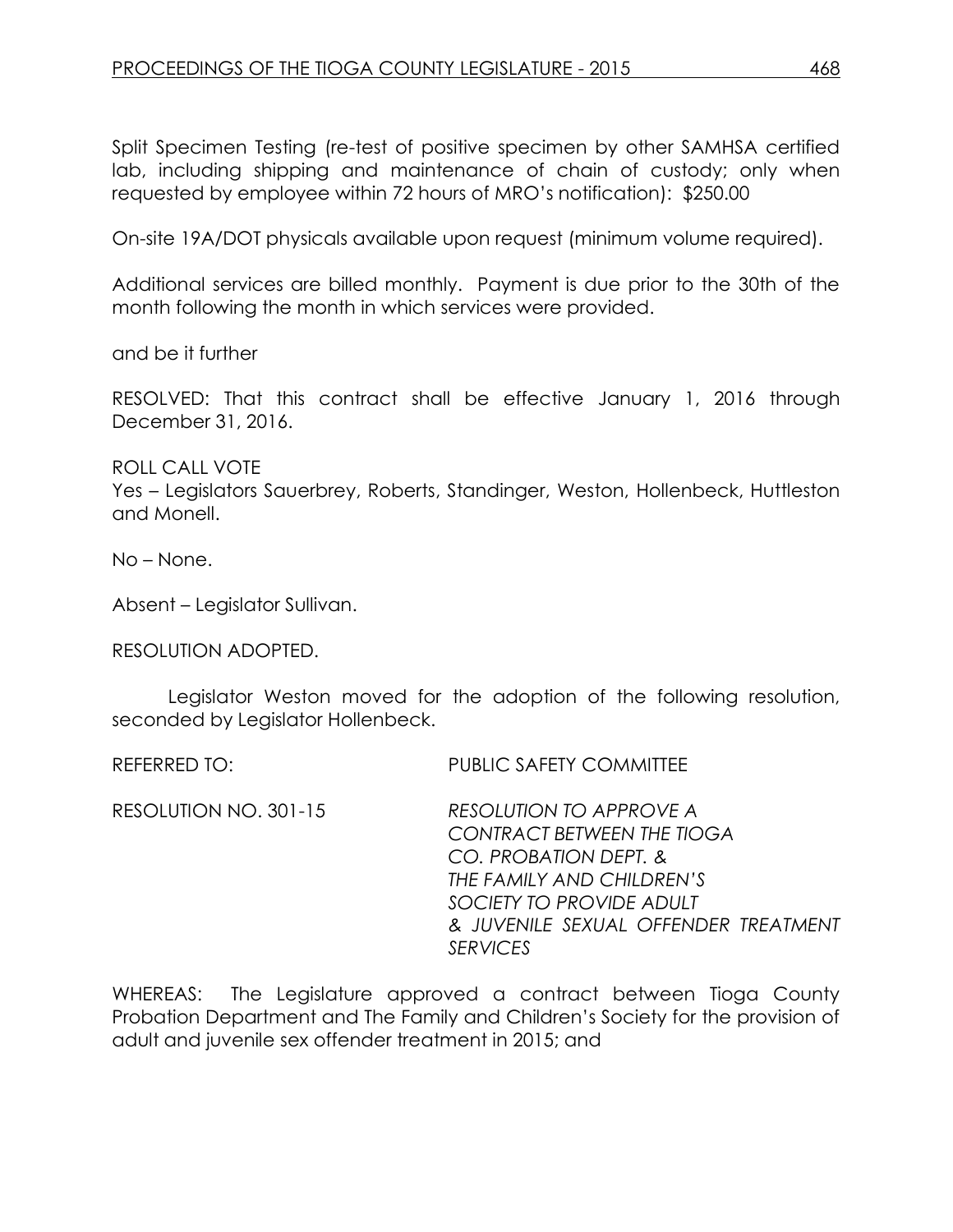Split Specimen Testing (re-test of positive specimen by other SAMHSA certified lab, including shipping and maintenance of chain of custody; only when requested by employee within 72 hours of MRO's notification): \$250.00

On-site 19A/DOT physicals available upon request (minimum volume required).

Additional services are billed monthly. Payment is due prior to the 30th of the month following the month in which services were provided.

and be it further

RESOLVED: That this contract shall be effective January 1, 2016 through December 31, 2016.

ROLL CALL VOTE Yes – Legislators Sauerbrey, Roberts, Standinger, Weston, Hollenbeck, Huttleston and Monell.

No – None.

Absent – Legislator Sullivan.

RESOLUTION ADOPTED.

Legislator Weston moved for the adoption of the following resolution, seconded by Legislator Hollenbeck.

REFERRED TO: PUBLIC SAFETY COMMITTEE

RESOLUTION NO. 301-15 *RESOLUTION TO APPROVE A CONTRACT BETWEEN THE TIOGA CO. PROBATION DEPT. & THE FAMILY AND CHILDREN'S SOCIETY TO PROVIDE ADULT & JUVENILE SEXUAL OFFENDER TREATMENT SERVICES*

WHEREAS: The Legislature approved a contract between Tioga County Probation Department and The Family and Children's Society for the provision of adult and juvenile sex offender treatment in 2015; and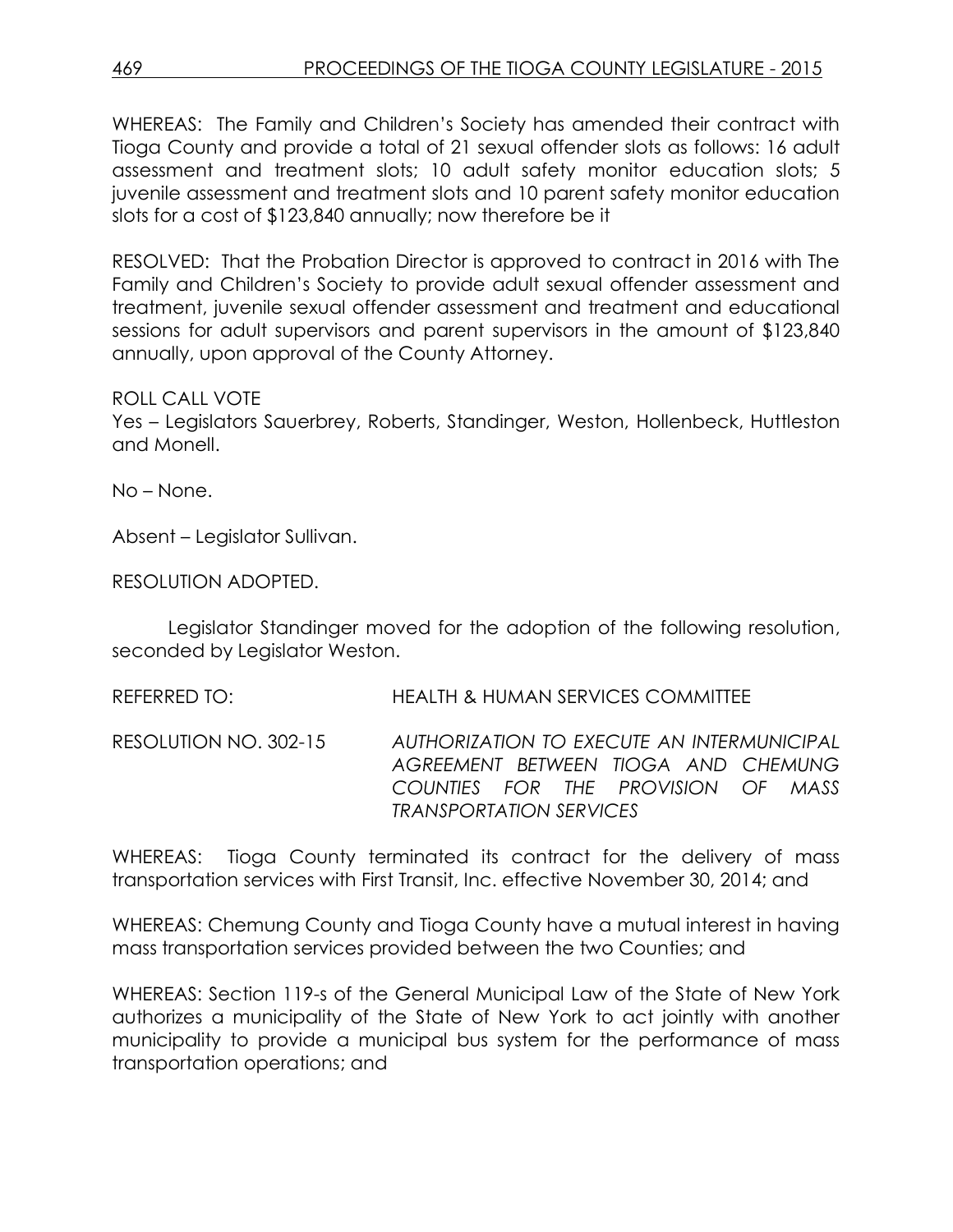WHEREAS: The Family and Children's Society has amended their contract with Tioga County and provide a total of 21 sexual offender slots as follows: 16 adult assessment and treatment slots; 10 adult safety monitor education slots; 5 juvenile assessment and treatment slots and 10 parent safety monitor education slots for a cost of \$123,840 annually; now therefore be it

RESOLVED: That the Probation Director is approved to contract in 2016 with The Family and Children's Society to provide adult sexual offender assessment and treatment, juvenile sexual offender assessment and treatment and educational sessions for adult supervisors and parent supervisors in the amount of \$123,840 annually, upon approval of the County Attorney.

# ROLL CALL VOTE

Yes – Legislators Sauerbrey, Roberts, Standinger, Weston, Hollenbeck, Huttleston and Monell.

No – None.

Absent – Legislator Sullivan.

RESOLUTION ADOPTED.

Legislator Standinger moved for the adoption of the following resolution, seconded by Legislator Weston.

REFERRED TO: HEALTH & HUMAN SERVICES COMMITTEE

RESOLUTION NO. 302-15 *AUTHORIZATION TO EXECUTE AN INTERMUNICIPAL AGREEMENT BETWEEN TIOGA AND CHEMUNG COUNTIES FOR THE PROVISION OF MASS TRANSPORTATION SERVICES*

WHEREAS: Tioga County terminated its contract for the delivery of mass transportation services with First Transit, Inc. effective November 30, 2014; and

WHEREAS: Chemung County and Tioga County have a mutual interest in having mass transportation services provided between the two Counties; and

WHEREAS: Section 119-s of the General Municipal Law of the State of New York authorizes a municipality of the State of New York to act jointly with another municipality to provide a municipal bus system for the performance of mass transportation operations; and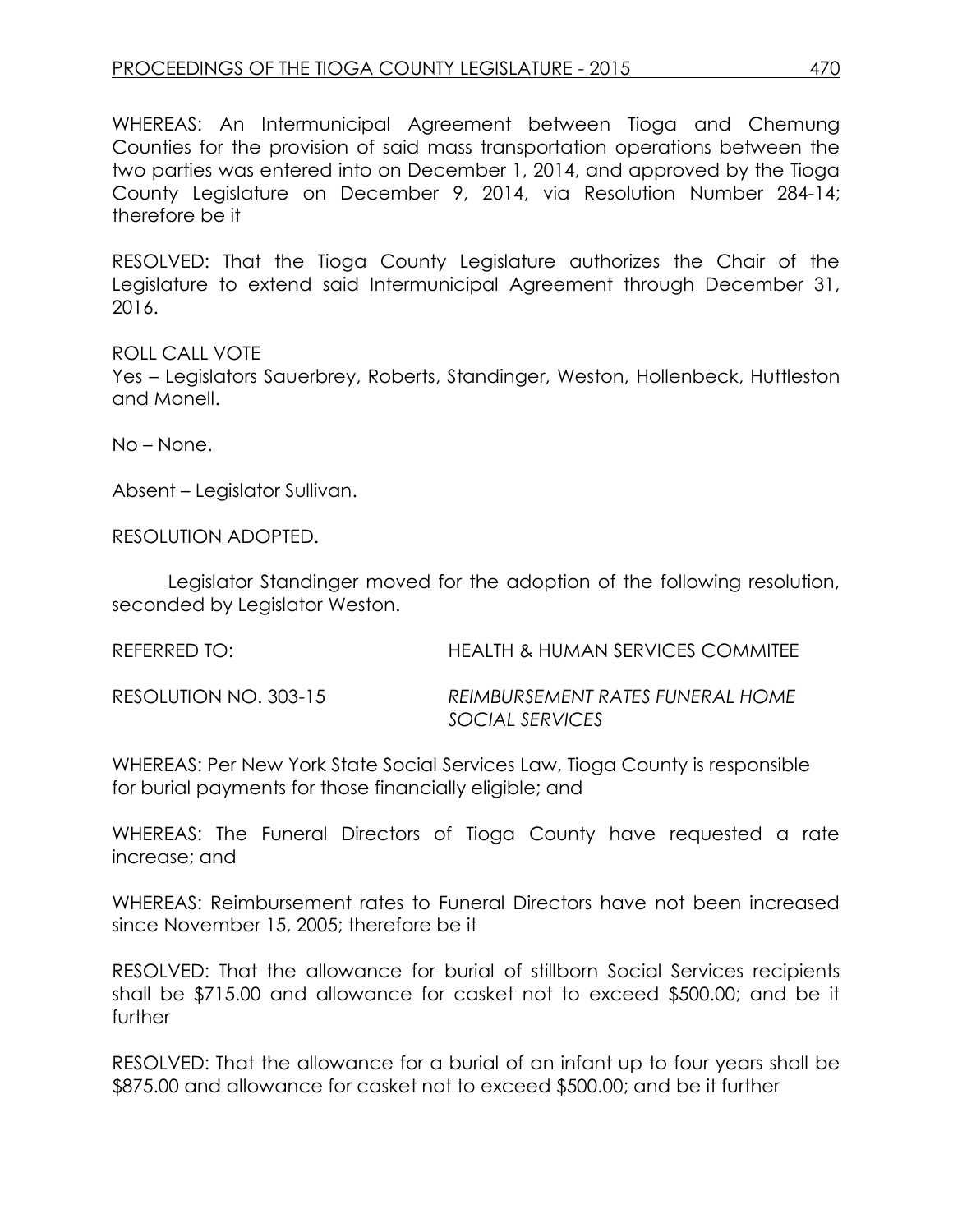WHEREAS: An Intermunicipal Agreement between Tioga and Chemung Counties for the provision of said mass transportation operations between the two parties was entered into on December 1, 2014, and approved by the Tioga County Legislature on December 9, 2014, via Resolution Number 284-14; therefore be it

RESOLVED: That the Tioga County Legislature authorizes the Chair of the Legislature to extend said Intermunicipal Agreement through December 31, 2016.

ROLL CALL VOTE Yes – Legislators Sauerbrey, Roberts, Standinger, Weston, Hollenbeck, Huttleston and Monell.

No – None.

Absent – Legislator Sullivan.

RESOLUTION ADOPTED.

Legislator Standinger moved for the adoption of the following resolution, seconded by Legislator Weston.

REFERRED TO: HEALTH & HUMAN SERVICES COMMITEE

RESOLUTION NO. 303-15 *REIMBURSEMENT RATES FUNERAL HOME SOCIAL SERVICES*

WHEREAS: Per New York State Social Services Law, Tioga County is responsible for burial payments for those financially eligible; and

WHEREAS: The Funeral Directors of Tioga County have requested a rate increase; and

WHEREAS: Reimbursement rates to Funeral Directors have not been increased since November 15, 2005; therefore be it

RESOLVED: That the allowance for burial of stillborn Social Services recipients shall be \$715.00 and allowance for casket not to exceed \$500.00; and be it further

RESOLVED: That the allowance for a burial of an infant up to four years shall be \$875.00 and allowance for casket not to exceed \$500.00; and be it further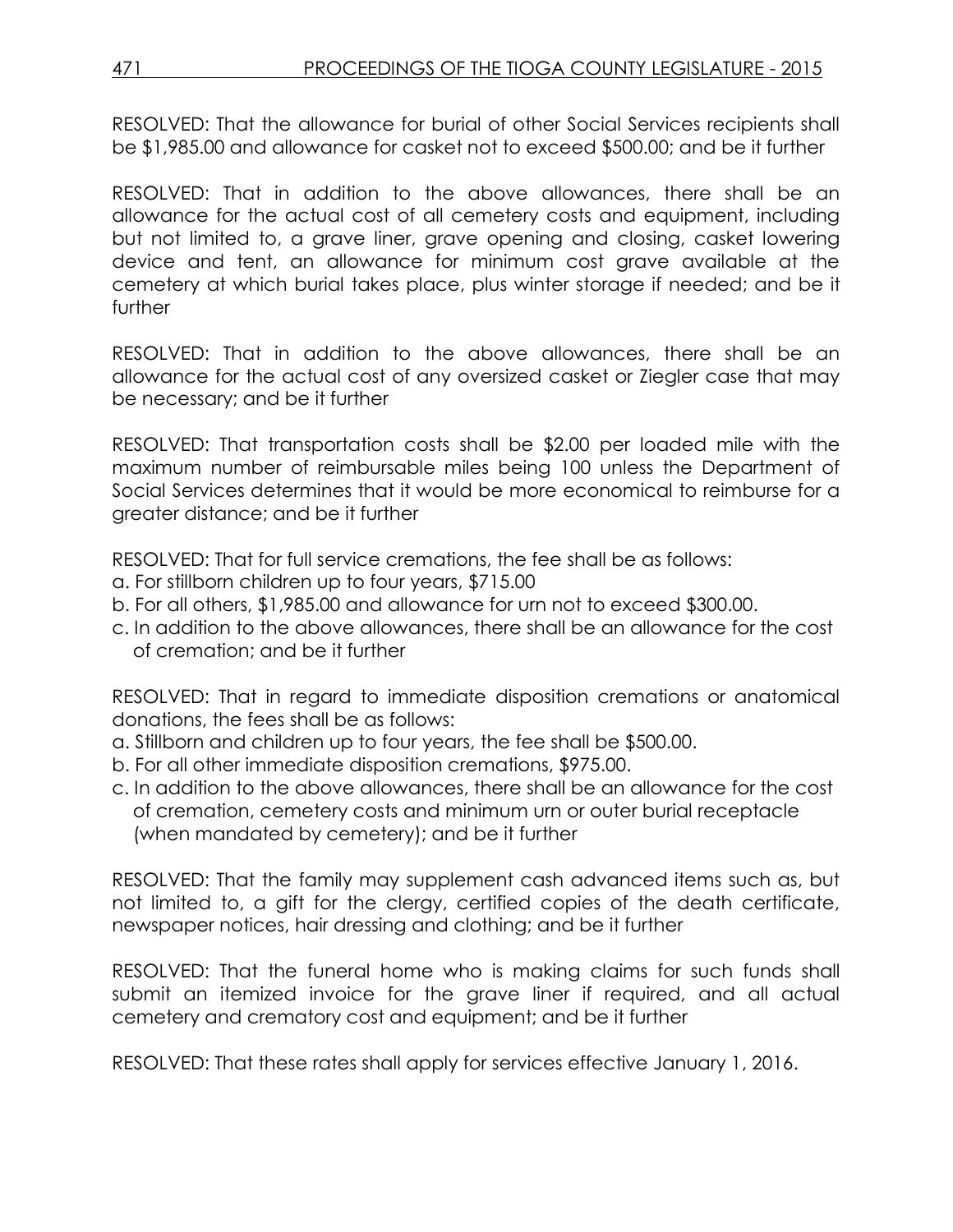RESOLVED: That the allowance for burial of other Social Services recipients shall be \$1,985.00 and allowance for casket not to exceed \$500.00; and be it further

RESOLVED: That in addition to the above allowances, there shall be an allowance for the actual cost of all cemetery costs and equipment, including but not limited to, a grave liner, grave opening and closing, casket lowering device and tent, an allowance for minimum cost grave available at the cemetery at which burial takes place, plus winter storage if needed; and be it further

RESOLVED: That in addition to the above allowances, there shall be an allowance for the actual cost of any oversized casket or Ziegler case that may be necessary; and be it further

RESOLVED: That transportation costs shall be \$2.00 per loaded mile with the maximum number of reimbursable miles being 100 unless the Department of Social Services determines that it would be more economical to reimburse for a greater distance; and be it further

RESOLVED: That for full service cremations, the fee shall be as follows:

- a. For stillborn children up to four years, \$715.00
- b. For all others, \$1,985.00 and allowance for urn not to exceed \$300.00.
- c. In addition to the above allowances, there shall be an allowance for the cost of cremation; and be it further

RESOLVED: That in regard to immediate disposition cremations or anatomical donations, the fees shall be as follows:

- a. Stillborn and children up to four years, the fee shall be \$500.00.
- b. For all other immediate disposition cremations, \$975.00.
- c. In addition to the above allowances, there shall be an allowance for the cost of cremation, cemetery costs and minimum urn or outer burial receptacle (when mandated by cemetery); and be it further

RESOLVED: That the family may supplement cash advanced items such as, but not limited to, a gift for the clergy, certified copies of the death certificate, newspaper notices, hair dressing and clothing; and be it further

RESOLVED: That the funeral home who is making claims for such funds shall submit an itemized invoice for the grave liner if required, and all actual cemetery and crematory cost and equipment; and be it further

RESOLVED: That these rates shall apply for services effective January 1, 2016.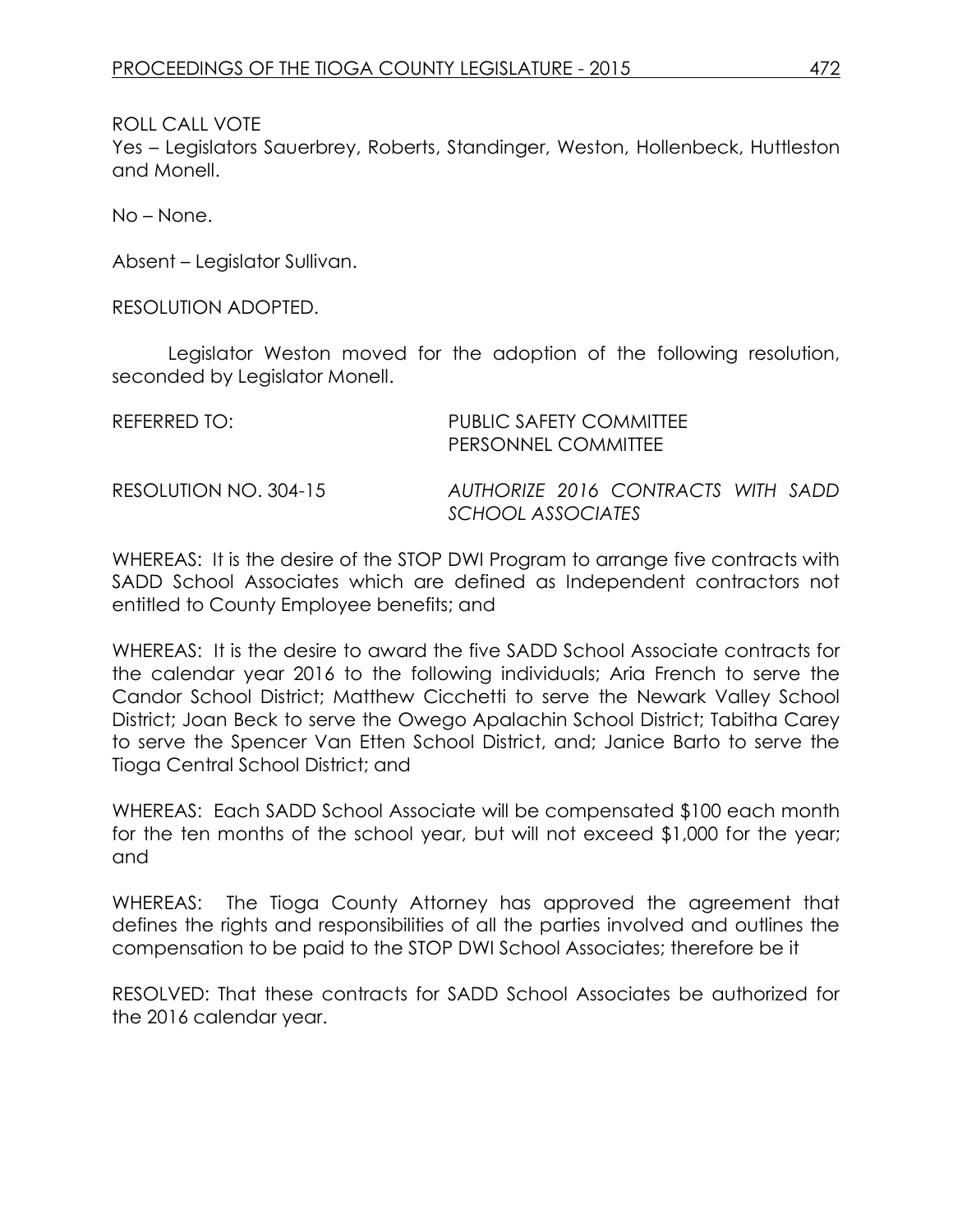Yes – Legislators Sauerbrey, Roberts, Standinger, Weston, Hollenbeck, Huttleston and Monell.

No – None.

Absent – Legislator Sullivan.

RESOLUTION ADOPTED.

Legislator Weston moved for the adoption of the following resolution, seconded by Legislator Monell.

| REFERRED TO:          | PUBLIC SAFETY COMMITTEE<br>PERSONNEL COMMITTEE          |  |  |  |  |
|-----------------------|---------------------------------------------------------|--|--|--|--|
| RESOLUTION NO. 304-15 | AUTHORIZE 2016 CONTRACTS WITH SADD<br>SCHOOL ASSOCIATES |  |  |  |  |

WHEREAS: It is the desire of the STOP DWI Program to arrange five contracts with SADD School Associates which are defined as Independent contractors not entitled to County Employee benefits; and

WHEREAS: It is the desire to award the five SADD School Associate contracts for the calendar year 2016 to the following individuals; Aria French to serve the Candor School District; Matthew Cicchetti to serve the Newark Valley School District; Joan Beck to serve the Owego Apalachin School District; Tabitha Carey to serve the Spencer Van Etten School District, and; Janice Barto to serve the Tioga Central School District; and

WHEREAS: Each SADD School Associate will be compensated \$100 each month for the ten months of the school year, but will not exceed \$1,000 for the year; and

WHEREAS: The Tioga County Attorney has approved the agreement that defines the rights and responsibilities of all the parties involved and outlines the compensation to be paid to the STOP DWI School Associates; therefore be it

RESOLVED: That these contracts for SADD School Associates be authorized for the 2016 calendar year.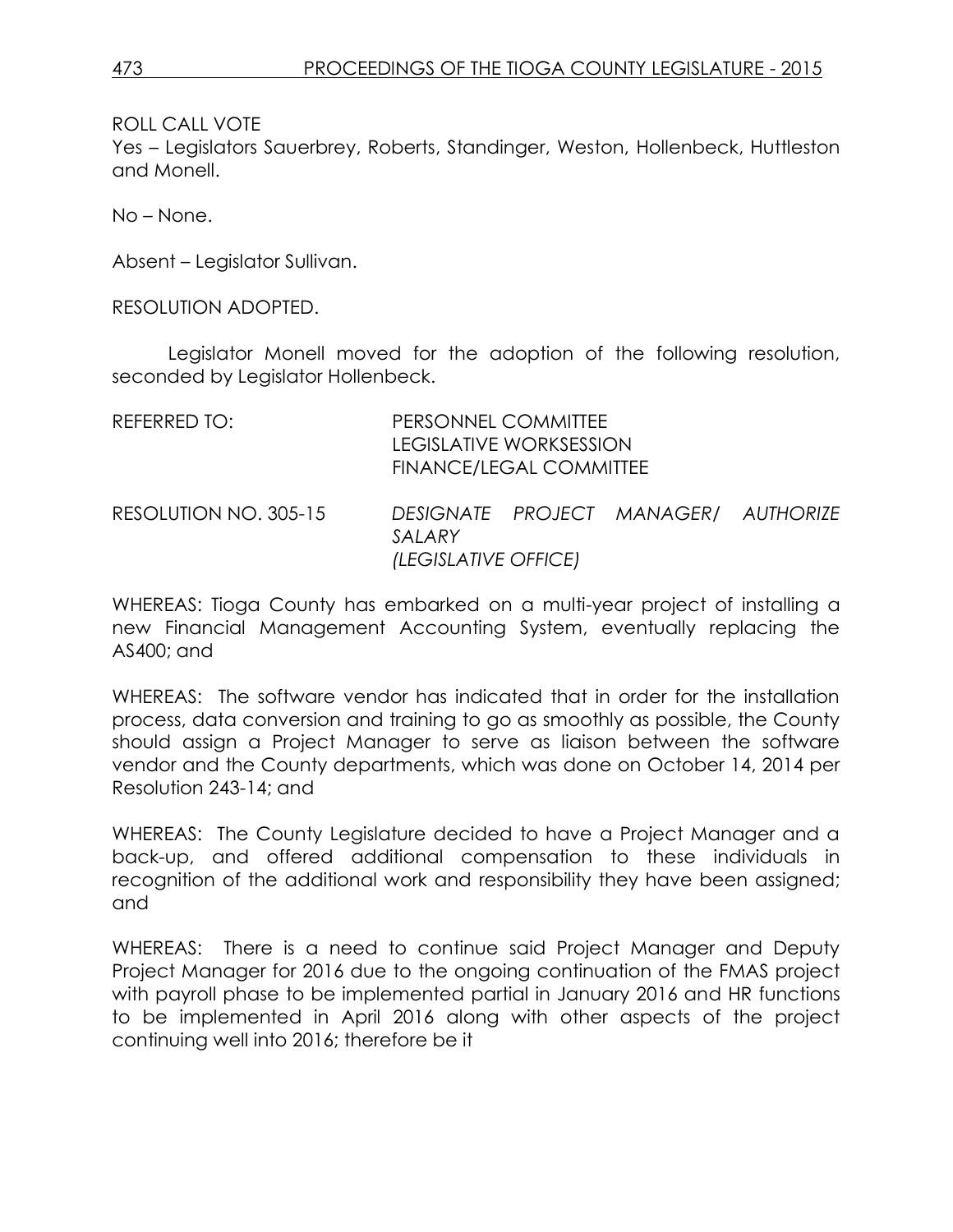Yes – Legislators Sauerbrey, Roberts, Standinger, Weston, Hollenbeck, Huttleston and Monell.

No – None.

Absent – Legislator Sullivan.

RESOLUTION ADOPTED.

Legislator Monell moved for the adoption of the following resolution, seconded by Legislator Hollenbeck.

| REFERRED TO:          | PERSONNEL COMMITTEE<br><b>LEGISLATIVE WORKSESSION</b><br><b>FINANCE/LEGAL COMMITTEE</b> |  |                                      |  |
|-----------------------|-----------------------------------------------------------------------------------------|--|--------------------------------------|--|
| RESOLUTION NO. 305-15 | SALARY<br>(LEGISLATIVE OFFICE)                                                          |  | DESIGNATE PROJECT MANAGER/ AUTHORIZE |  |

WHEREAS: Tioga County has embarked on a multi-year project of installing a new Financial Management Accounting System, eventually replacing the AS400; and

WHEREAS: The software vendor has indicated that in order for the installation process, data conversion and training to go as smoothly as possible, the County should assign a Project Manager to serve as liaison between the software vendor and the County departments, which was done on October 14, 2014 per Resolution 243-14; and

WHEREAS: The County Legislature decided to have a Project Manager and a back-up, and offered additional compensation to these individuals in recognition of the additional work and responsibility they have been assigned; and

WHEREAS: There is a need to continue said Project Manager and Deputy Project Manager for 2016 due to the ongoing continuation of the FMAS project with payroll phase to be implemented partial in January 2016 and HR functions to be implemented in April 2016 along with other aspects of the project continuing well into 2016; therefore be it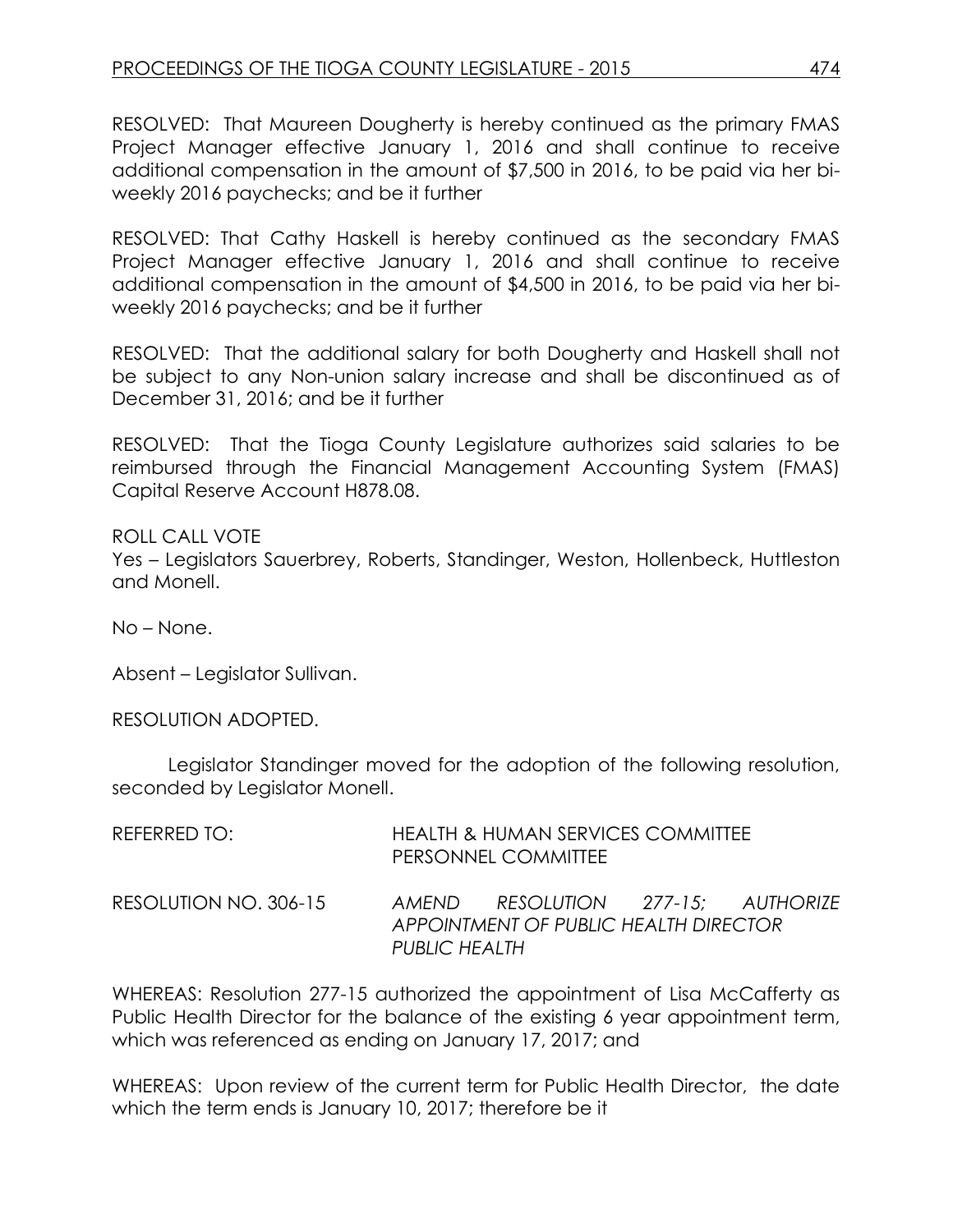RESOLVED: That Maureen Dougherty is hereby continued as the primary FMAS Project Manager effective January 1, 2016 and shall continue to receive additional compensation in the amount of \$7,500 in 2016, to be paid via her biweekly 2016 paychecks; and be it further

RESOLVED: That Cathy Haskell is hereby continued as the secondary FMAS Project Manager effective January 1, 2016 and shall continue to receive additional compensation in the amount of \$4,500 in 2016, to be paid via her biweekly 2016 paychecks; and be it further

RESOLVED: That the additional salary for both Dougherty and Haskell shall not be subject to any Non-union salary increase and shall be discontinued as of December 31, 2016; and be it further

RESOLVED: That the Tioga County Legislature authorizes said salaries to be reimbursed through the Financial Management Accounting System (FMAS) Capital Reserve Account H878.08.

ROLL CALL VOTE Yes – Legislators Sauerbrey, Roberts, Standinger, Weston, Hollenbeck, Huttleston and Monell.

No – None.

Absent – Legislator Sullivan.

RESOLUTION ADOPTED.

Legislator Standinger moved for the adoption of the following resolution, seconded by Legislator Monell.

| REFERRED TO:          | <b>HEALTH &amp; HUMAN SERVICES COMMITTEE</b><br>PERSONNEL COMMITTEE |                                                                             |  |  |
|-----------------------|---------------------------------------------------------------------|-----------------------------------------------------------------------------|--|--|
| RESOLUTION NO. 306-15 | <b>PUBLIC HEALTH</b>                                                | AMEND RESOLUTION 277-15; AUTHORIZE<br>APPOINTMENT OF PUBLIC HEALTH DIRECTOR |  |  |

WHEREAS: Resolution 277-15 authorized the appointment of Lisa McCafferty as Public Health Director for the balance of the existing 6 year appointment term, which was referenced as ending on January 17, 2017; and

WHEREAS: Upon review of the current term for Public Health Director, the date which the term ends is January 10, 2017; therefore be it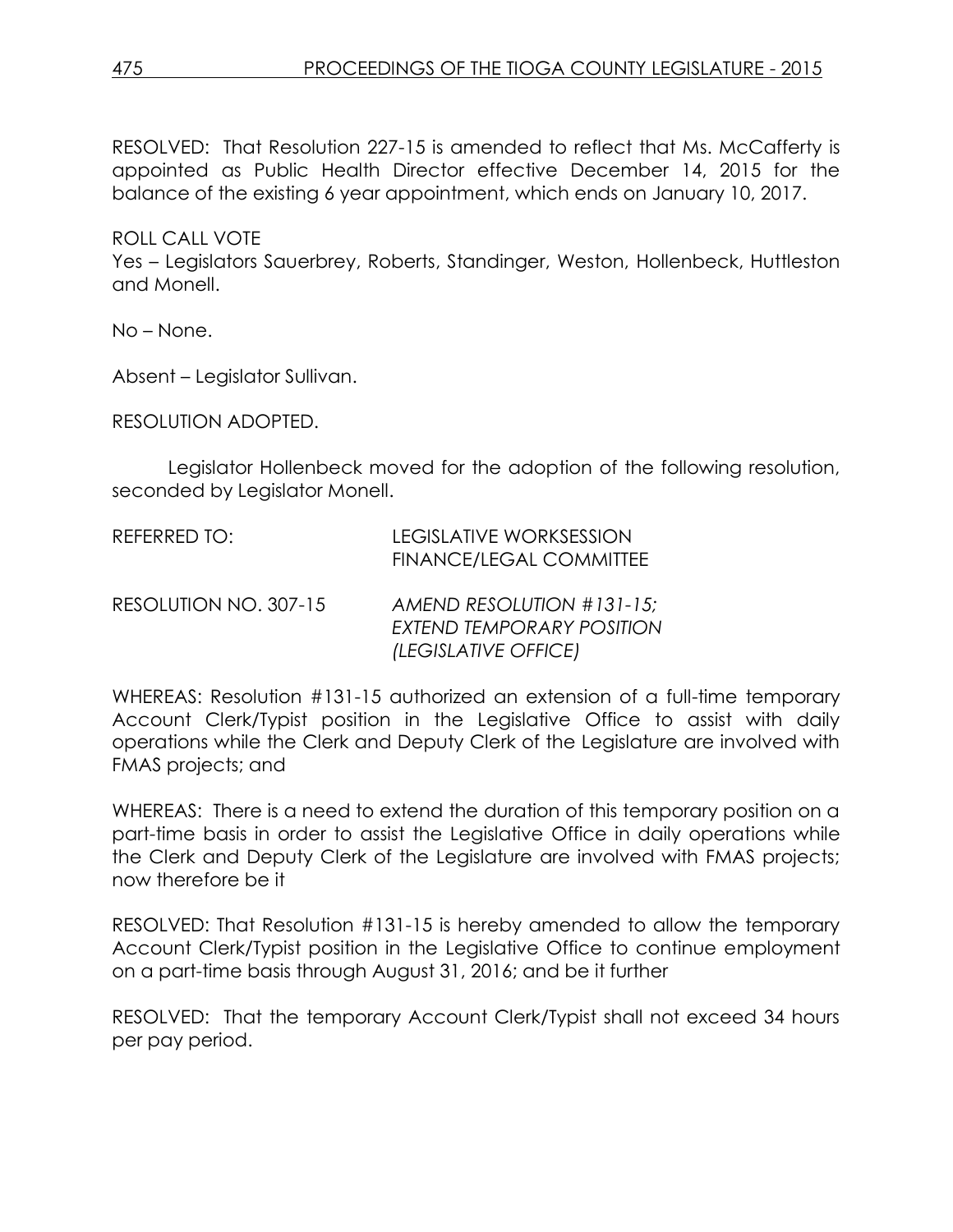RESOLVED: That Resolution 227-15 is amended to reflect that Ms. McCafferty is appointed as Public Health Director effective December 14, 2015 for the balance of the existing 6 year appointment, which ends on January 10, 2017.

ROLL CALL VOTE Yes – Legislators Sauerbrey, Roberts, Standinger, Weston, Hollenbeck, Huttleston and Monell.

No – None.

Absent – Legislator Sullivan.

RESOLUTION ADOPTED.

Legislator Hollenbeck moved for the adoption of the following resolution, seconded by Legislator Monell.

| REFERRED TO:          | <b>LEGISLATIVE WORKSESSION</b><br><b>FINANCE/LEGAL COMMITTEE</b>                     |
|-----------------------|--------------------------------------------------------------------------------------|
| RESOLUTION NO. 307-15 | $AMEND$ RESOLUTION $\#131-15$ ;<br>EXTEND TEMPORARY POSITION<br>(LEGISLATIVE OFFICE) |

WHEREAS: Resolution #131-15 authorized an extension of a full-time temporary Account Clerk/Typist position in the Legislative Office to assist with daily operations while the Clerk and Deputy Clerk of the Legislature are involved with FMAS projects; and

WHEREAS: There is a need to extend the duration of this temporary position on a part-time basis in order to assist the Legislative Office in daily operations while the Clerk and Deputy Clerk of the Legislature are involved with FMAS projects; now therefore be it

RESOLVED: That Resolution #131-15 is hereby amended to allow the temporary Account Clerk/Typist position in the Legislative Office to continue employment on a part-time basis through August 31, 2016; and be it further

RESOLVED: That the temporary Account Clerk/Typist shall not exceed 34 hours per pay period.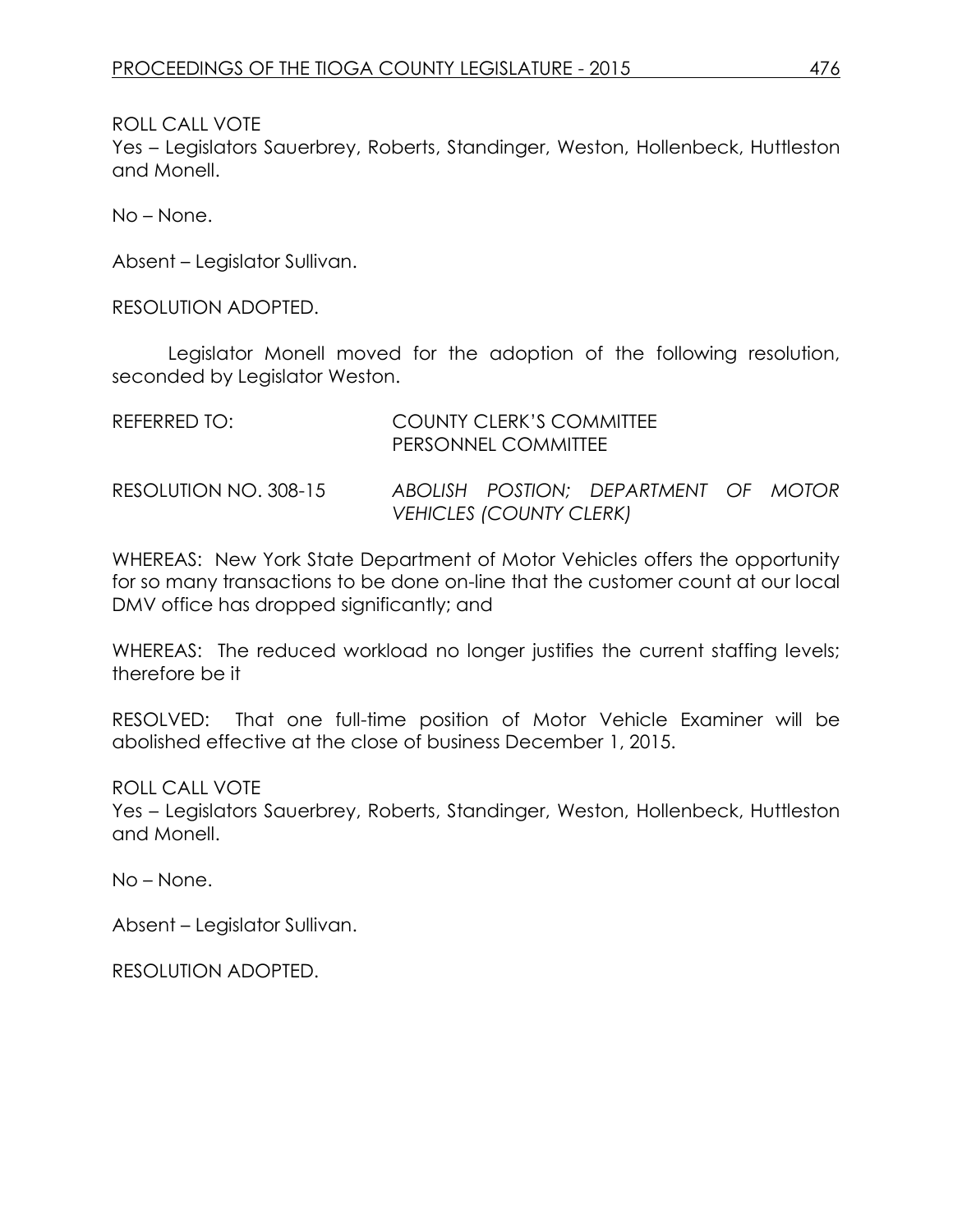Yes – Legislators Sauerbrey, Roberts, Standinger, Weston, Hollenbeck, Huttleston and Monell.

No – None.

Absent – Legislator Sullivan.

RESOLUTION ADOPTED.

Legislator Monell moved for the adoption of the following resolution, seconded by Legislator Weston.

| REFERRED TO:          | COUNTY CLERK'S COMMITTEE<br>PERSONNEL COMMITTEE |                                |                                      |  |  |
|-----------------------|-------------------------------------------------|--------------------------------|--------------------------------------|--|--|
| RESOLUTION NO. 308-15 |                                                 | <b>VEHICLES (COUNTY CLERK)</b> | ABOLISH POSTION; DEPARTMENT OF MOTOR |  |  |

WHEREAS: New York State Department of Motor Vehicles offers the opportunity for so many transactions to be done on-line that the customer count at our local DMV office has dropped significantly; and

WHEREAS: The reduced workload no longer justifies the current staffing levels; therefore be it

RESOLVED: That one full-time position of Motor Vehicle Examiner will be abolished effective at the close of business December 1, 2015.

ROLL CALL VOTE

Yes – Legislators Sauerbrey, Roberts, Standinger, Weston, Hollenbeck, Huttleston and Monell.

No – None.

Absent – Legislator Sullivan.

RESOLUTION ADOPTED.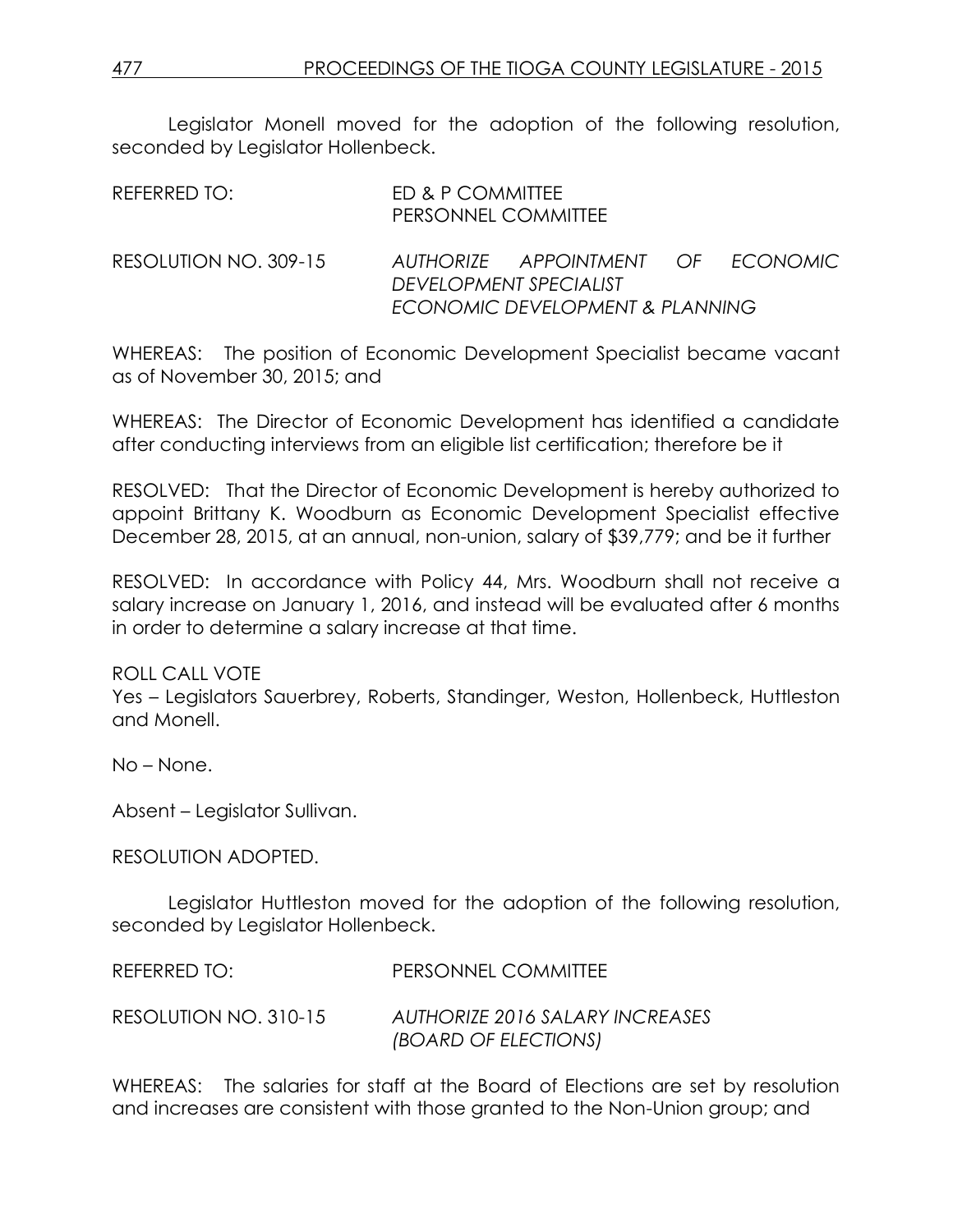Legislator Monell moved for the adoption of the following resolution, seconded by Legislator Hollenbeck.

| REFERRED TO:          | ED & P COMMITTEE<br>PERSONNEL COMMITTEE |                                                             |  |
|-----------------------|-----------------------------------------|-------------------------------------------------------------|--|
| RESOLUTION NO. 309-15 |                                         | AUTHORIZE APPOINTMENT OF ECONOMIC<br>DEVELOPMENT SPECIALIST |  |
|                       |                                         | ECONOMIC DEVELOPMENT & PLANNING                             |  |

WHEREAS: The position of Economic Development Specialist became vacant as of November 30, 2015; and

WHEREAS: The Director of Economic Development has identified a candidate after conducting interviews from an eligible list certification; therefore be it

RESOLVED: That the Director of Economic Development is hereby authorized to appoint Brittany K. Woodburn as Economic Development Specialist effective December 28, 2015, at an annual, non-union, salary of \$39,779; and be it further

RESOLVED: In accordance with Policy 44, Mrs. Woodburn shall not receive a salary increase on January 1, 2016, and instead will be evaluated after 6 months in order to determine a salary increase at that time.

### ROLL CALL VOTE

Yes – Legislators Sauerbrey, Roberts, Standinger, Weston, Hollenbeck, Huttleston and Monell.

No – None.

Absent – Legislator Sullivan.

### RESOLUTION ADOPTED.

Legislator Huttleston moved for the adoption of the following resolution, seconded by Legislator Hollenbeck.

REFERRED TO: PERSONNEL COMMITTEE RESOLUTION NO. 310-15 *AUTHORIZE 2016 SALARY INCREASES (BOARD OF ELECTIONS)*

WHEREAS: The salaries for staff at the Board of Elections are set by resolution and increases are consistent with those granted to the Non-Union group; and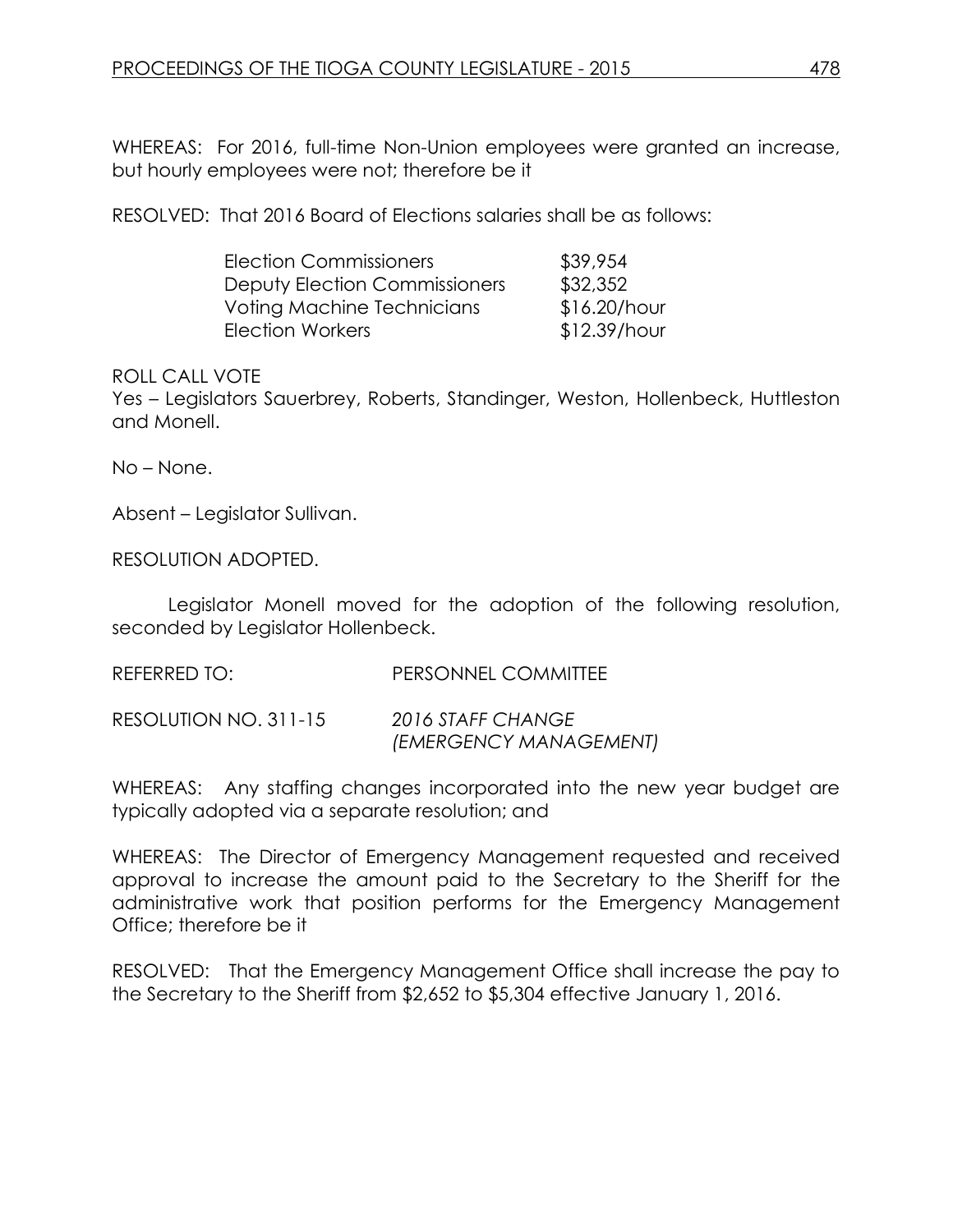WHEREAS: For 2016, full-time Non-Union employees were granted an increase, but hourly employees were not; therefore be it

RESOLVED: That 2016 Board of Elections salaries shall be as follows:

| <b>Election Commissioners</b>        | \$39,954       |
|--------------------------------------|----------------|
| <b>Deputy Election Commissioners</b> | \$32,352       |
| <b>Voting Machine Technicians</b>    | $$16.20/h$ our |
| Election Workers                     | \$12.39/hour   |

### ROLL CALL VOTE

Yes – Legislators Sauerbrey, Roberts, Standinger, Weston, Hollenbeck, Huttleston and Monell.

No – None.

Absent – Legislator Sullivan.

RESOLUTION ADOPTED.

Legislator Monell moved for the adoption of the following resolution, seconded by Legislator Hollenbeck.

REFERRED TO: PERSONNEL COMMITTEE

RESOLUTION NO. 311-15 *2016 STAFF CHANGE (EMERGENCY MANAGEMENT)*

WHEREAS: Any staffing changes incorporated into the new year budget are typically adopted via a separate resolution; and

WHEREAS: The Director of Emergency Management requested and received approval to increase the amount paid to the Secretary to the Sheriff for the administrative work that position performs for the Emergency Management Office; therefore be it

RESOLVED: That the Emergency Management Office shall increase the pay to the Secretary to the Sheriff from \$2,652 to \$5,304 effective January 1, 2016.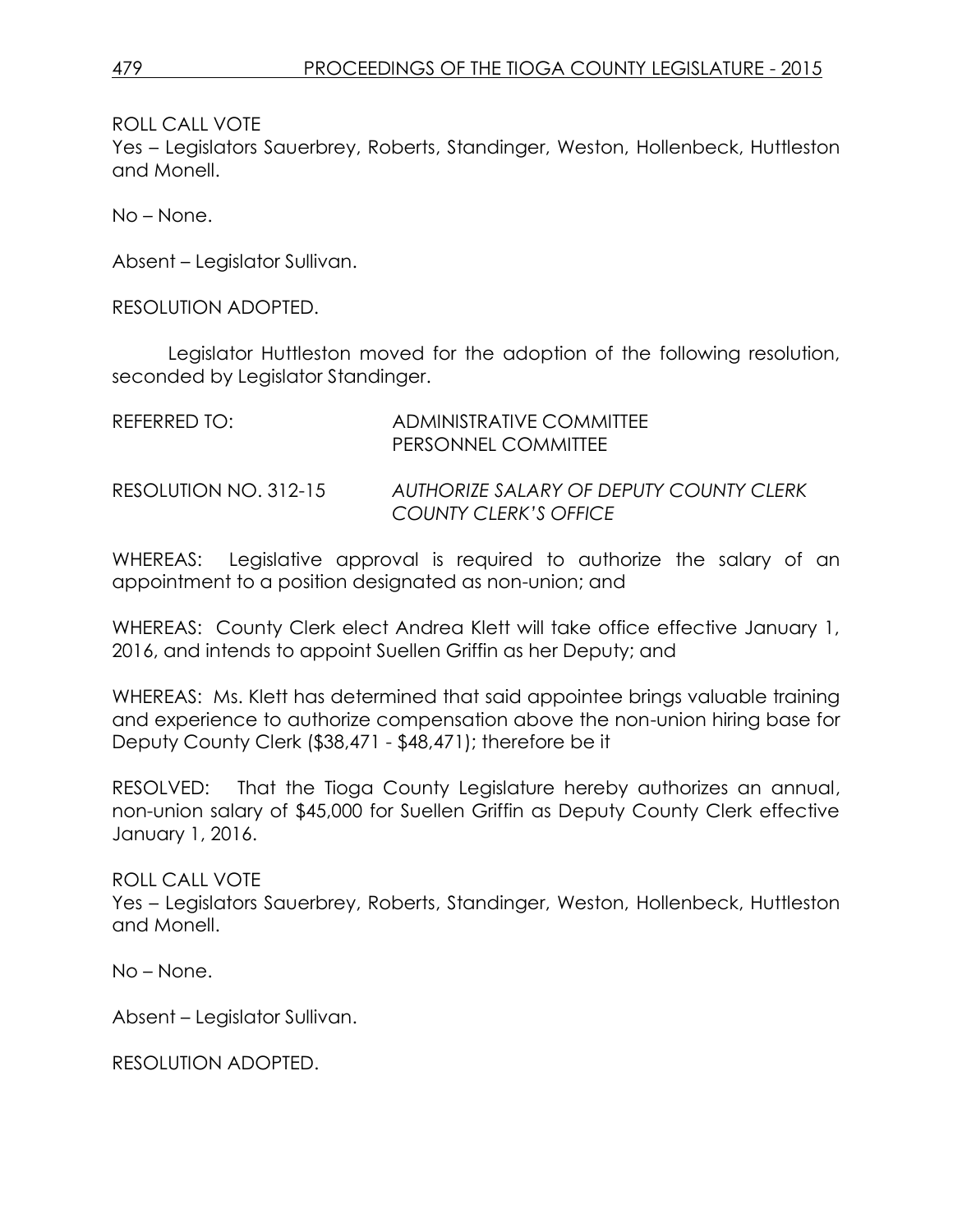Yes – Legislators Sauerbrey, Roberts, Standinger, Weston, Hollenbeck, Huttleston and Monell.

No – None.

Absent – Legislator Sullivan.

RESOLUTION ADOPTED.

Legislator Huttleston moved for the adoption of the following resolution, seconded by Legislator Standinger.

| REFERRED TO:          | ADMINISTRATIVE COMMITTEE<br><b>PERSONNEL COMMITTEE</b>           |
|-----------------------|------------------------------------------------------------------|
| RESOLUTION NO. 312-15 | AUTHORIZE SALARY OF DEPUTY COUNTY CLERK<br>COUNTY CLERK'S OFFICE |

WHEREAS: Legislative approval is required to authorize the salary of an appointment to a position designated as non-union; and

WHEREAS: County Clerk elect Andrea Klett will take office effective January 1, 2016, and intends to appoint Suellen Griffin as her Deputy; and

WHEREAS: Ms. Klett has determined that said appointee brings valuable training and experience to authorize compensation above the non-union hiring base for Deputy County Clerk (\$38,471 - \$48,471); therefore be it

RESOLVED: That the Tioga County Legislature hereby authorizes an annual, non-union salary of \$45,000 for Suellen Griffin as Deputy County Clerk effective January 1, 2016.

ROLL CALL VOTE Yes – Legislators Sauerbrey, Roberts, Standinger, Weston, Hollenbeck, Huttleston and Monell.

No – None.

Absent – Legislator Sullivan.

RESOLUTION ADOPTED.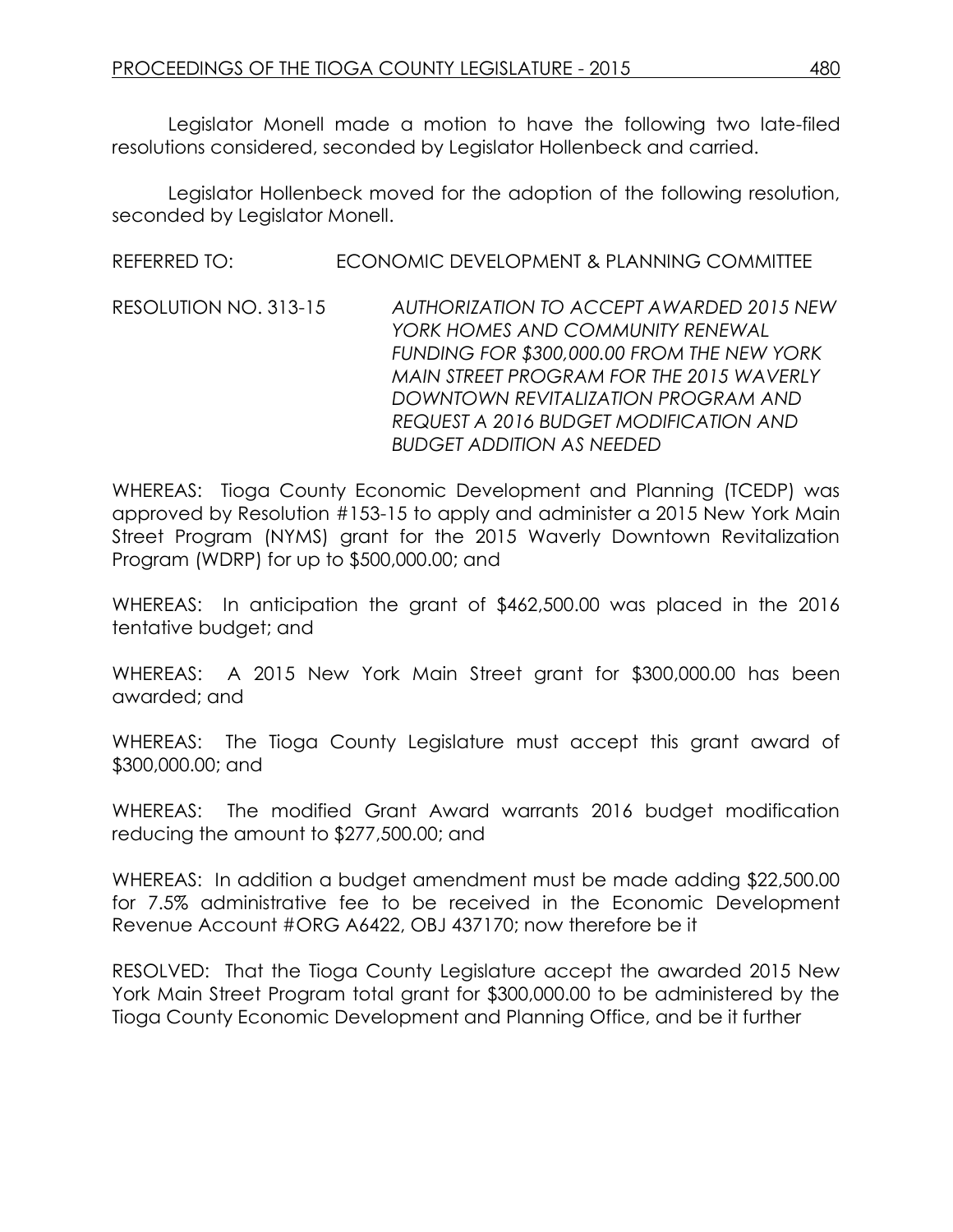Legislator Monell made a motion to have the following two late-filed resolutions considered, seconded by Legislator Hollenbeck and carried.

Legislator Hollenbeck moved for the adoption of the following resolution, seconded by Legislator Monell.

REFERRED TO: ECONOMIC DEVELOPMENT & PLANNING COMMITTEE

RESOLUTION NO. 313-15 *AUTHORIZATION TO ACCEPT AWARDED 2015 NEW YORK HOMES AND COMMUNITY RENEWAL FUNDING FOR \$300,000.00 FROM THE NEW YORK MAIN STREET PROGRAM FOR THE 2015 WAVERLY DOWNTOWN REVITALIZATION PROGRAM AND REQUEST A 2016 BUDGET MODIFICATION AND BUDGET ADDITION AS NEEDED*

WHEREAS: Tioga County Economic Development and Planning (TCEDP) was approved by Resolution #153-15 to apply and administer a 2015 New York Main Street Program (NYMS) grant for the 2015 Waverly Downtown Revitalization Program (WDRP) for up to \$500,000.00; and

WHEREAS: In anticipation the grant of \$462,500.00 was placed in the 2016 tentative budget; and

WHEREAS: A 2015 New York Main Street grant for \$300,000.00 has been awarded; and

WHEREAS: The Tioga County Legislature must accept this grant award of \$300,000.00; and

WHEREAS: The modified Grant Award warrants 2016 budget modification reducing the amount to \$277,500.00; and

WHEREAS: In addition a budget amendment must be made adding \$22,500.00 for 7.5% administrative fee to be received in the Economic Development Revenue Account #ORG A6422, OBJ 437170; now therefore be it

RESOLVED: That the Tioga County Legislature accept the awarded 2015 New York Main Street Program total grant for \$300,000.00 to be administered by the Tioga County Economic Development and Planning Office, and be it further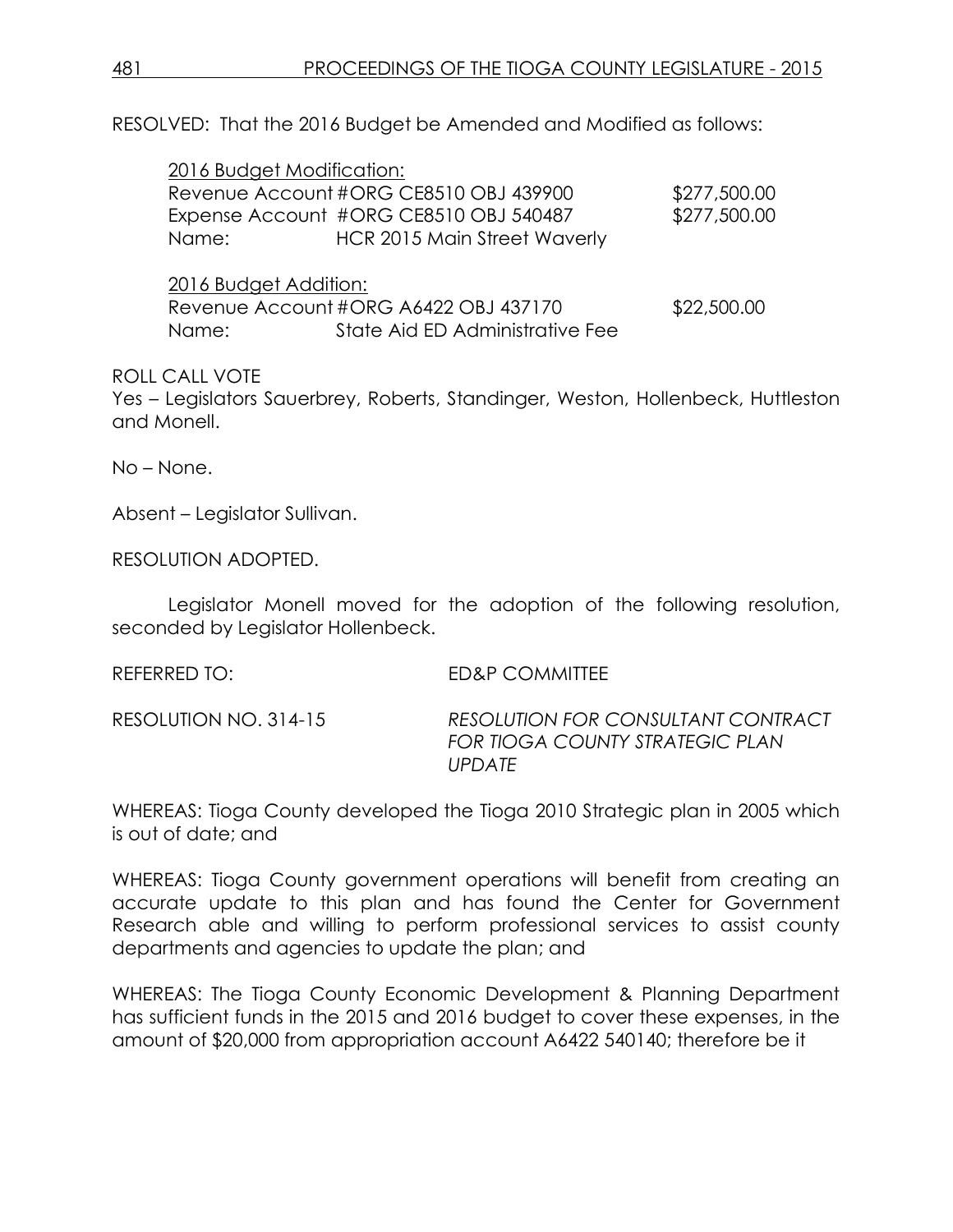RESOLVED: That the 2016 Budget be Amended and Modified as follows:

| 2016 Budget Modification: |                                        |              |  |  |
|---------------------------|----------------------------------------|--------------|--|--|
|                           | Revenue Account #ORG CE8510 OBJ 439900 | \$277,500.00 |  |  |
|                           | Expense Account #ORG CE8510 OBJ 540487 | \$277,500.00 |  |  |
| Name:                     | <b>HCR 2015 Main Street Waverly</b>    |              |  |  |
|                           |                                        |              |  |  |
| 2016 Budget Addition:     |                                        |              |  |  |
|                           | Revenue Account #ORG A6422 OBJ 437170  | \$22,500.00  |  |  |
| Name:                     | State Aid ED Administrative Fee        |              |  |  |

### ROLL CALL VOTE

Yes – Legislators Sauerbrey, Roberts, Standinger, Weston, Hollenbeck, Huttleston and Monell.

No – None.

Absent – Legislator Sullivan.

RESOLUTION ADOPTED.

Legislator Monell moved for the adoption of the following resolution, seconded by Legislator Hollenbeck.

REFERRED TO: ED&P COMMITTEE

RESOLUTION NO. 314-15 *RESOLUTION FOR CONSULTANT CONTRACT FOR TIOGA COUNTY STRATEGIC PLAN UPDATE*

WHEREAS: Tioga County developed the Tioga 2010 Strategic plan in 2005 which is out of date; and

WHEREAS: Tioga County government operations will benefit from creating an accurate update to this plan and has found the Center for Government Research able and willing to perform professional services to assist county departments and agencies to update the plan; and

WHEREAS: The Tioga County Economic Development & Planning Department has sufficient funds in the 2015 and 2016 budget to cover these expenses, in the amount of \$20,000 from appropriation account A6422 540140; therefore be it